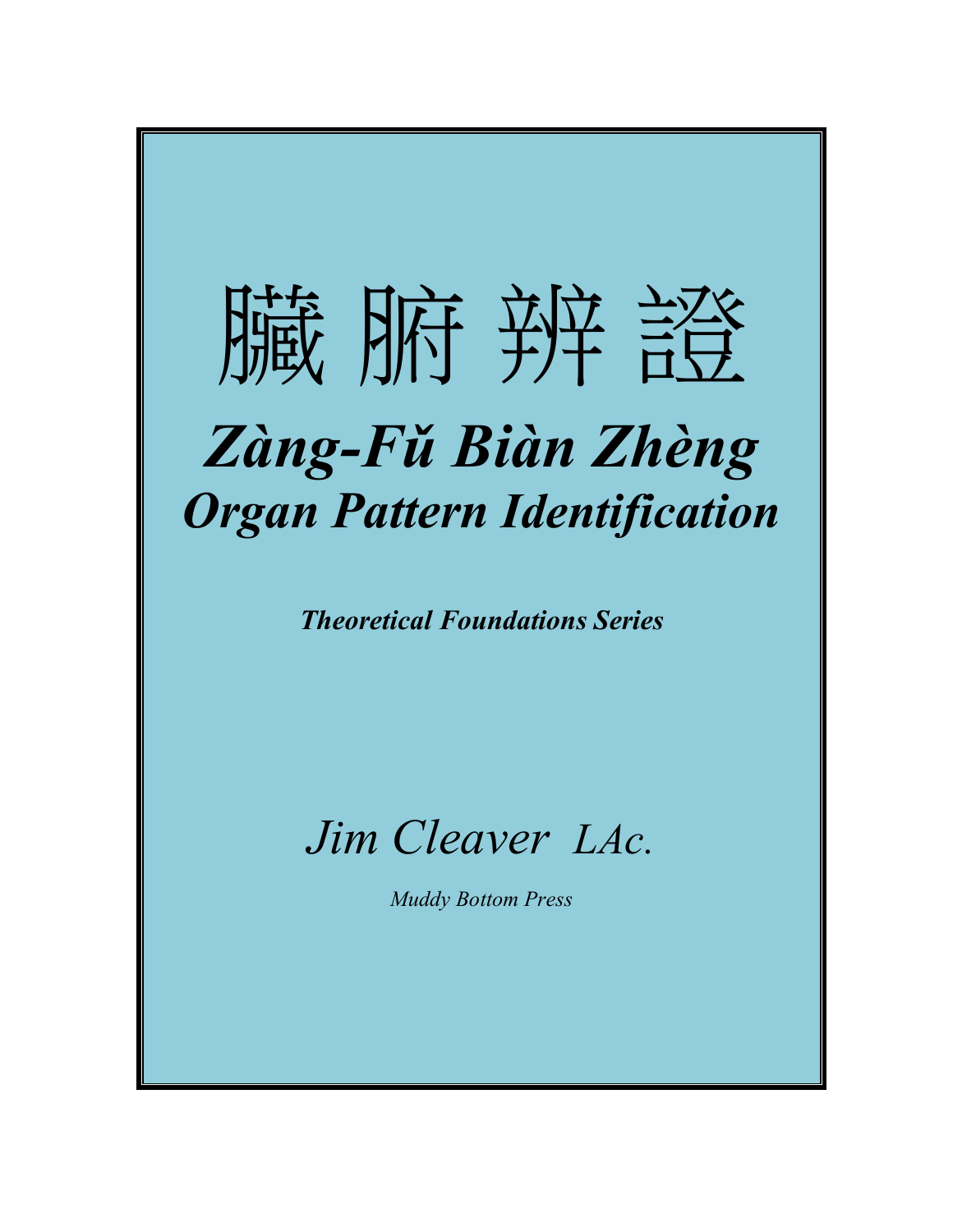# 臃 肺 辨 證 *Zàng-Fǔ Biàn Zhèng Organ Pattern Identification*

*Theoretical Foundations Series*

## *Jim Cleaver LAc.*

*Muddy Bottom Press*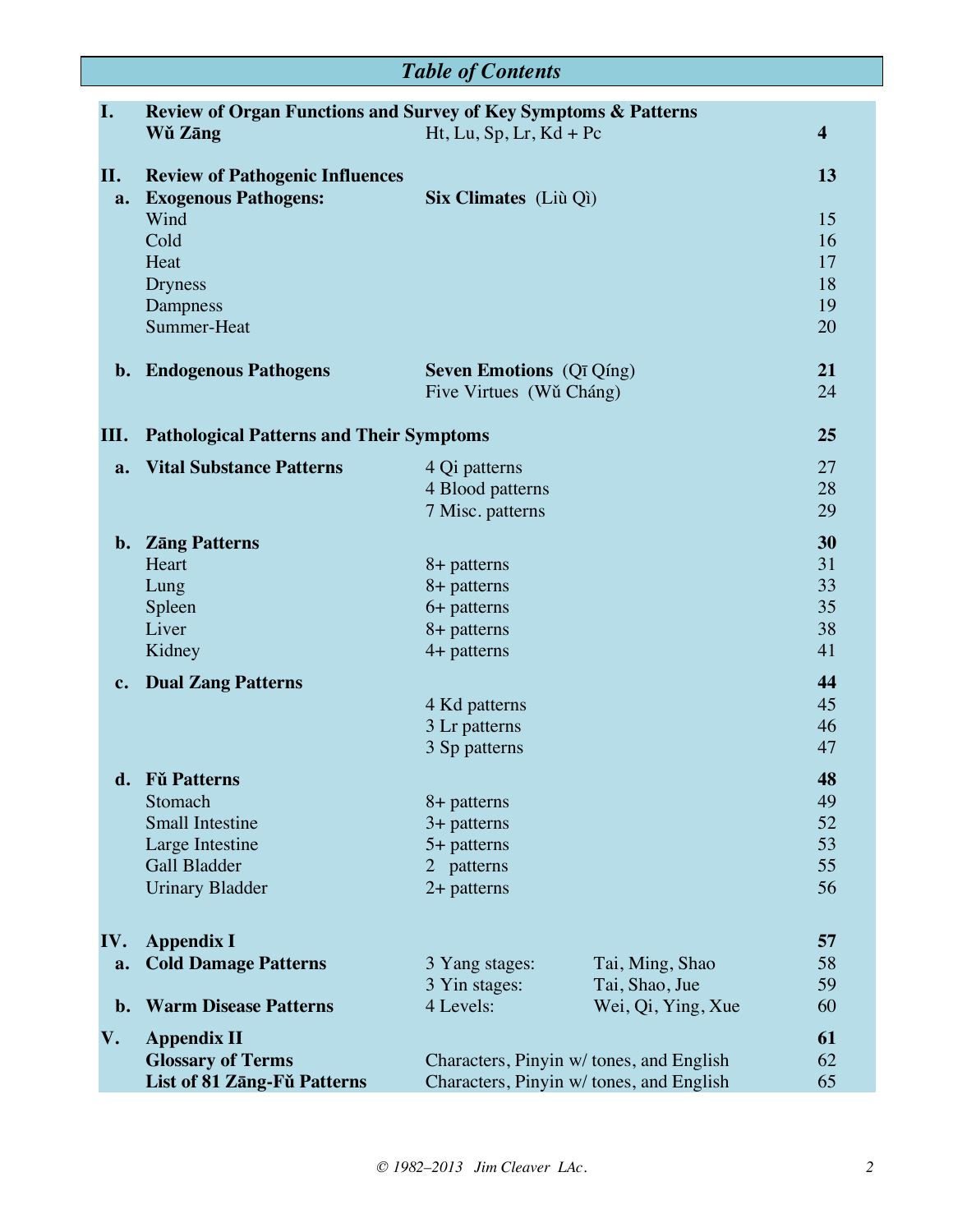| <b>Table of Contents</b> |                                                                 |                                         |                    |                         |
|--------------------------|-----------------------------------------------------------------|-----------------------------------------|--------------------|-------------------------|
| I.                       | Review of Organ Functions and Survey of Key Symptoms & Patterns |                                         |                    |                         |
|                          | Wǔ Zāng                                                         | $Ht, Lu, Sp, Lr, Kd + Pc$               |                    | $\overline{\mathbf{4}}$ |
|                          |                                                                 |                                         |                    |                         |
| II.                      | <b>Review of Pathogenic Influences</b>                          |                                         |                    | 13                      |
| a.                       | <b>Exogenous Pathogens:</b>                                     | Six Climates (Liù Qì)                   |                    |                         |
|                          | Wind                                                            |                                         |                    | 15                      |
|                          | Cold<br>Heat                                                    |                                         |                    | 16<br>17                |
|                          | <b>Dryness</b>                                                  |                                         |                    | 18                      |
|                          | Dampness                                                        |                                         |                    | 19                      |
|                          | Summer-Heat                                                     |                                         |                    | 20                      |
|                          |                                                                 |                                         |                    |                         |
|                          | <b>b.</b> Endogenous Pathogens                                  | <b>Seven Emotions</b> (Qī Qíng)         |                    | 21                      |
|                          |                                                                 | Five Virtues (Wǔ Cháng)                 |                    | 24                      |
|                          |                                                                 |                                         |                    |                         |
| Ш.                       | <b>Pathological Patterns and Their Symptoms</b>                 |                                         |                    | 25                      |
| a.                       | <b>Vital Substance Patterns</b>                                 | 4 Qi patterns                           |                    | 27                      |
|                          |                                                                 | 4 Blood patterns                        |                    | 28                      |
|                          |                                                                 | 7 Misc. patterns                        |                    | 29                      |
|                          | b. Zāng Patterns                                                |                                         |                    | 30                      |
|                          | Heart                                                           | 8+ patterns                             |                    | 31                      |
|                          | Lung                                                            | 8+ patterns                             |                    | 33                      |
|                          | Spleen                                                          | 6+ patterns                             |                    | 35                      |
|                          | Liver                                                           | 8+ patterns                             |                    | 38                      |
|                          | Kidney                                                          | 4+ patterns                             |                    | 41                      |
| $c_{\bullet}$            | <b>Dual Zang Patterns</b>                                       |                                         |                    | 44                      |
|                          |                                                                 | 4 Kd patterns                           |                    | 45                      |
|                          |                                                                 | 3 Lr patterns                           |                    | 46                      |
|                          |                                                                 | 3 Sp patterns                           |                    | 47                      |
|                          | d. Fǔ Patterns                                                  |                                         |                    | 48                      |
|                          | Stomach                                                         | 8+ patterns                             |                    | 49                      |
|                          | <b>Small Intestine</b>                                          | $3+$ patterns                           |                    | 52                      |
|                          | Large Intestine                                                 | 5+ patterns                             |                    | 53                      |
|                          | Gall Bladder                                                    | 2 patterns                              |                    | 55                      |
|                          | <b>Urinary Bladder</b>                                          | $2+$ patterns                           |                    | 56                      |
|                          |                                                                 |                                         |                    |                         |
| IV.                      | <b>Appendix I</b>                                               |                                         |                    | 57                      |
| a.                       | <b>Cold Damage Patterns</b>                                     | 3 Yang stages:                          | Tai, Ming, Shao    | 58                      |
|                          |                                                                 | 3 Yin stages:                           | Tai, Shao, Jue     | 59                      |
| $b$ .                    | <b>Warm Disease Patterns</b>                                    | 4 Levels:                               | Wei, Qi, Ying, Xue | 60                      |
| V.                       | <b>Appendix II</b>                                              |                                         |                    | 61                      |
|                          | <b>Glossary of Terms</b>                                        | Characters, Pinyin w/tones, and English |                    | 62                      |
|                          | List of 81 Zāng-Fǔ Patterns                                     | Characters, Pinyin w/tones, and English |                    | 65                      |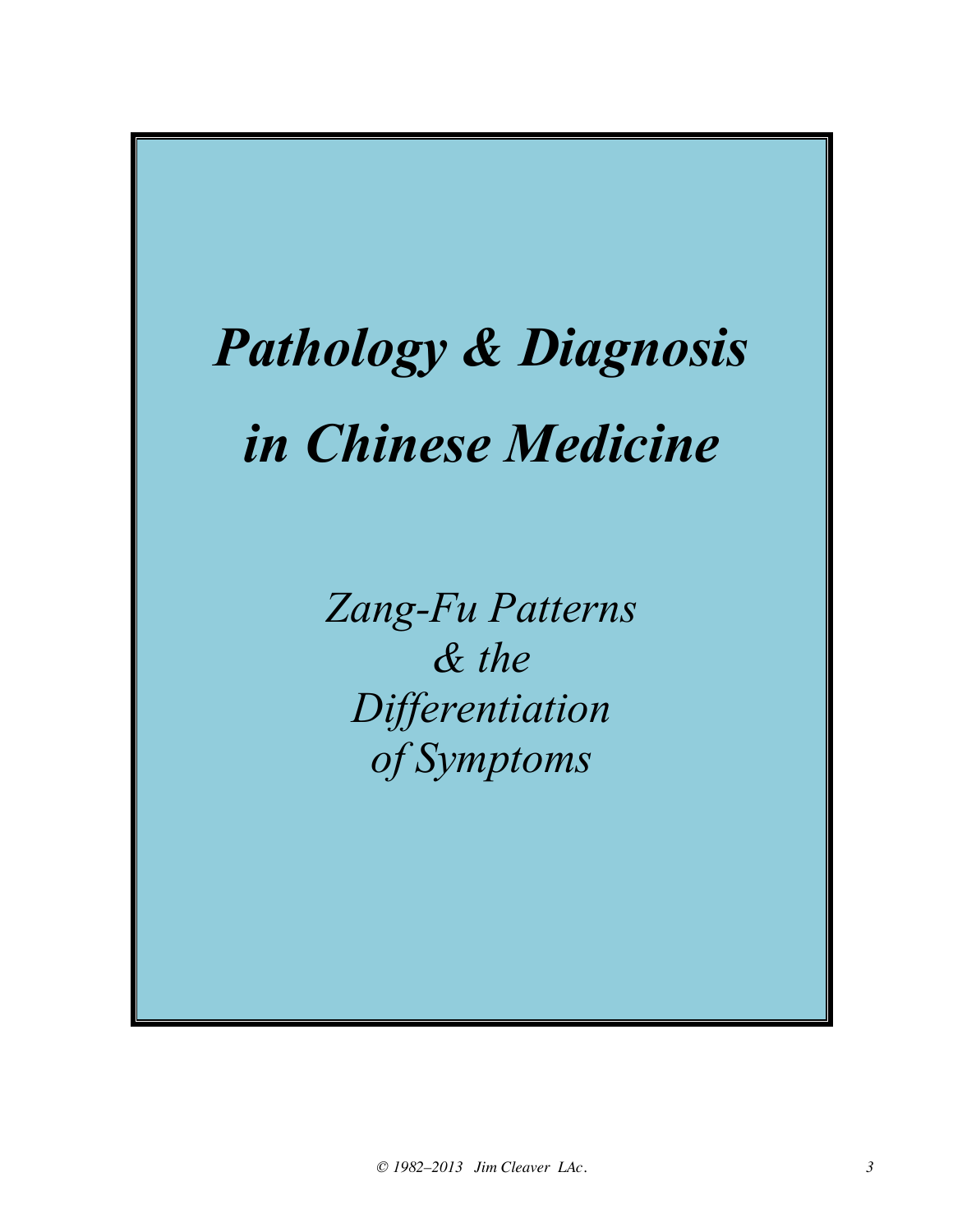# *Pathology & Diagnosis in Chinese Medicine*

*Zang-Fu Patterns & the Differentiation of Symptoms*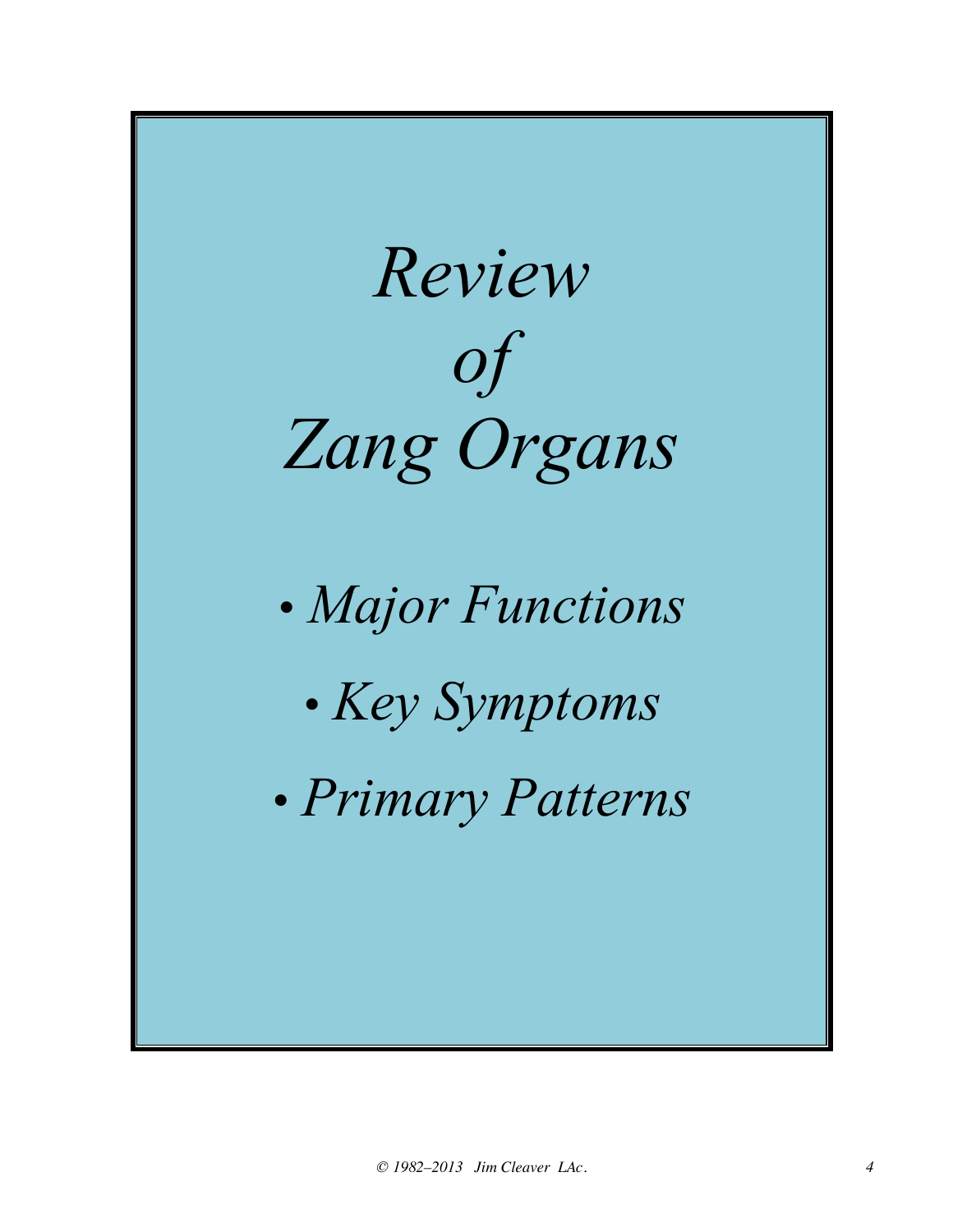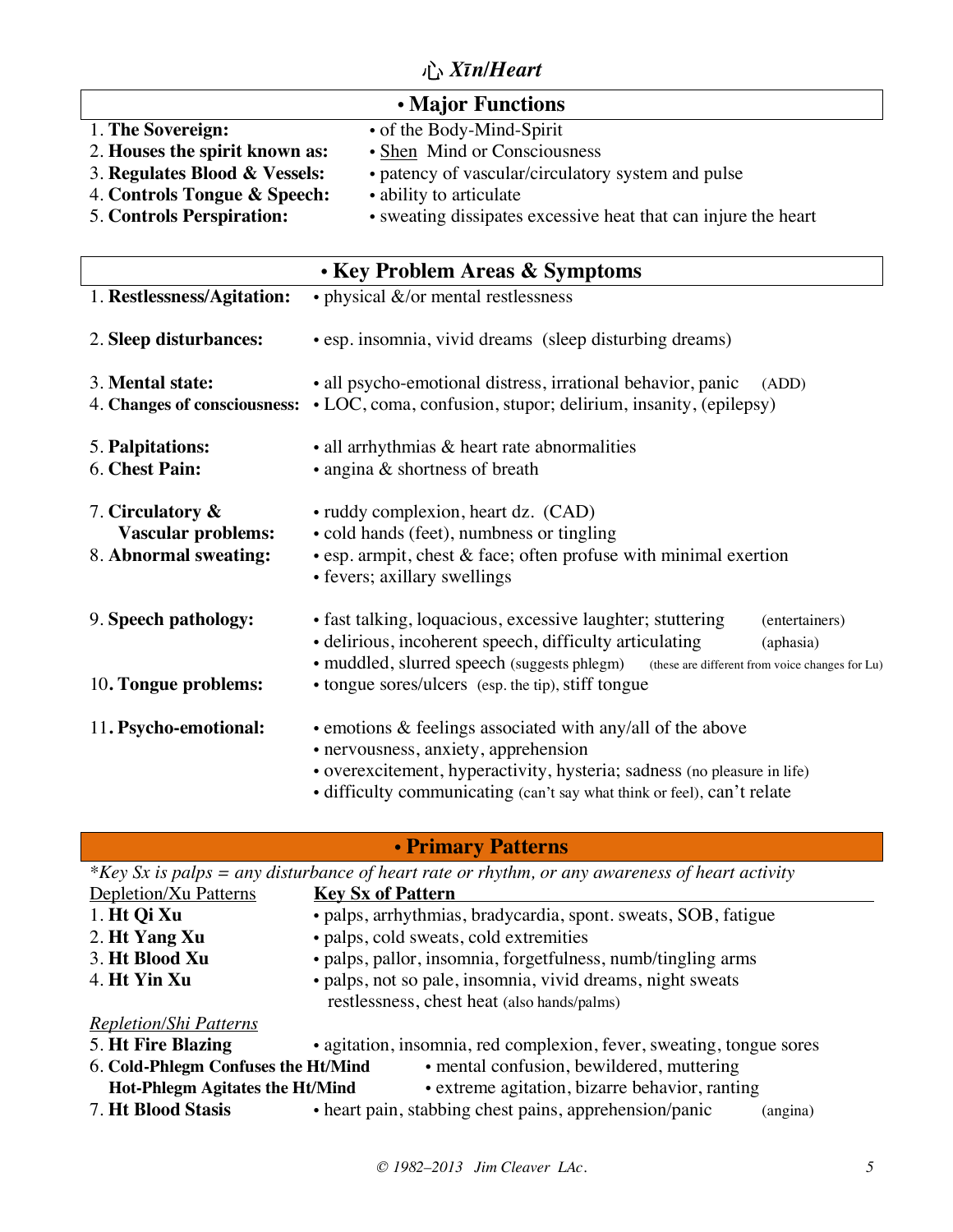## 心 *Xīn/Heart*

| • Major Functions                                                                                 |                                                                                                                                                                     |  |
|---------------------------------------------------------------------------------------------------|---------------------------------------------------------------------------------------------------------------------------------------------------------------------|--|
| 1. The Sovereign:<br>2. Houses the spirit known as:                                               | • of the Body-Mind-Spirit<br>• Shen Mind or Consciousness                                                                                                           |  |
| 3. Regulates Blood & Vessels:<br>4. Controls Tongue & Speech:<br><b>5. Controls Perspiration:</b> | • patency of vascular/circulatory system and pulse<br>• ability to articulate<br>• sweating dissipates excessive heat that can injure the heart                     |  |
| • Key Problem Areas & Symptoms                                                                    |                                                                                                                                                                     |  |
| 1. Restlessness/Agitation:                                                                        | • physical &/or mental restlessness                                                                                                                                 |  |
| 2. Sleep disturbances:                                                                            | • esp. insomnia, vivid dreams (sleep disturbing dreams)                                                                                                             |  |
| 3. Mental state:                                                                                  | • all psycho-emotional distress, irrational behavior, panic<br>(ADD)<br>4. Changes of consciousness: • LOC, coma, confusion, stupor; delirium, insanity, (epilepsy) |  |
| 5. Palpitations:<br>6. Chest Pain:                                                                | • all arrhythmias & heart rate abnormalities<br>• angina & shortness of breath                                                                                      |  |

- 7. **Circulatory &**  ruddy complexion, heart dz. (CAD) **Vascular problems:** • cold hands (feet), numbness or tingling 8. **Abnormal sweating:** • esp. armpit, chest & face; often profuse with minimal exertion • fevers; axillary swellings 9. **Speech pathology:** • fast talking, loquacious, excessive laughter; stuttering (entertainers) • delirious, incoherent speech, difficulty articulating (aphasia) • muddled, slurred speech (suggests phlegm) (these are different from voice changes for Lu) 10**. Tongue problems:** • tongue sores/ulcers (esp. the tip), stiff tongue 11**. Psycho-emotional:** • emotions & feelings associated with any/all of the above • nervousness, anxiety, apprehension
	- overexcitement, hyperactivity, hysteria; sadness (no pleasure in life)
	- difficulty communicating (can't say what think or feel), can't relate

#### • **Primary Patterns**

| *Key Sx is palps = any disturbance of heart rate or rhythm, or any awareness of heart activity |                                                                      |  |
|------------------------------------------------------------------------------------------------|----------------------------------------------------------------------|--|
| Depletion/Xu Patterns                                                                          | <b>Key Sx of Pattern</b>                                             |  |
| 1. Ht Qi Xu                                                                                    | • palps, arrhythmias, bradycardia, spont. sweats, SOB, fatigue       |  |
| 2. Ht Yang Xu                                                                                  | • palps, cold sweats, cold extremities                               |  |
| 3. Ht Blood Xu                                                                                 | • palps, pallor, insomnia, forgetfulness, numb/tingling arms         |  |
| 4. Ht Yin Xu                                                                                   | · palps, not so pale, insomnia, vivid dreams, night sweats           |  |
|                                                                                                | restlessness, chest heat (also hands/palms)                          |  |
| <b>Repletion/Shi Patterns</b>                                                                  |                                                                      |  |
| 5. Ht Fire Blazing                                                                             | • agitation, insomnia, red complexion, fever, sweating, tongue sores |  |
| • mental confusion, bewildered, muttering<br>6. Cold-Phlegm Confuses the Ht/Mind               |                                                                      |  |
| • extreme agitation, bizarre behavior, ranting<br><b>Hot-Phlegm Agitates the Ht/Mind</b>       |                                                                      |  |
| <b>7. Ht Blood Stasis</b>                                                                      | • heart pain, stabbing chest pains, apprehension/panic<br>(angina)   |  |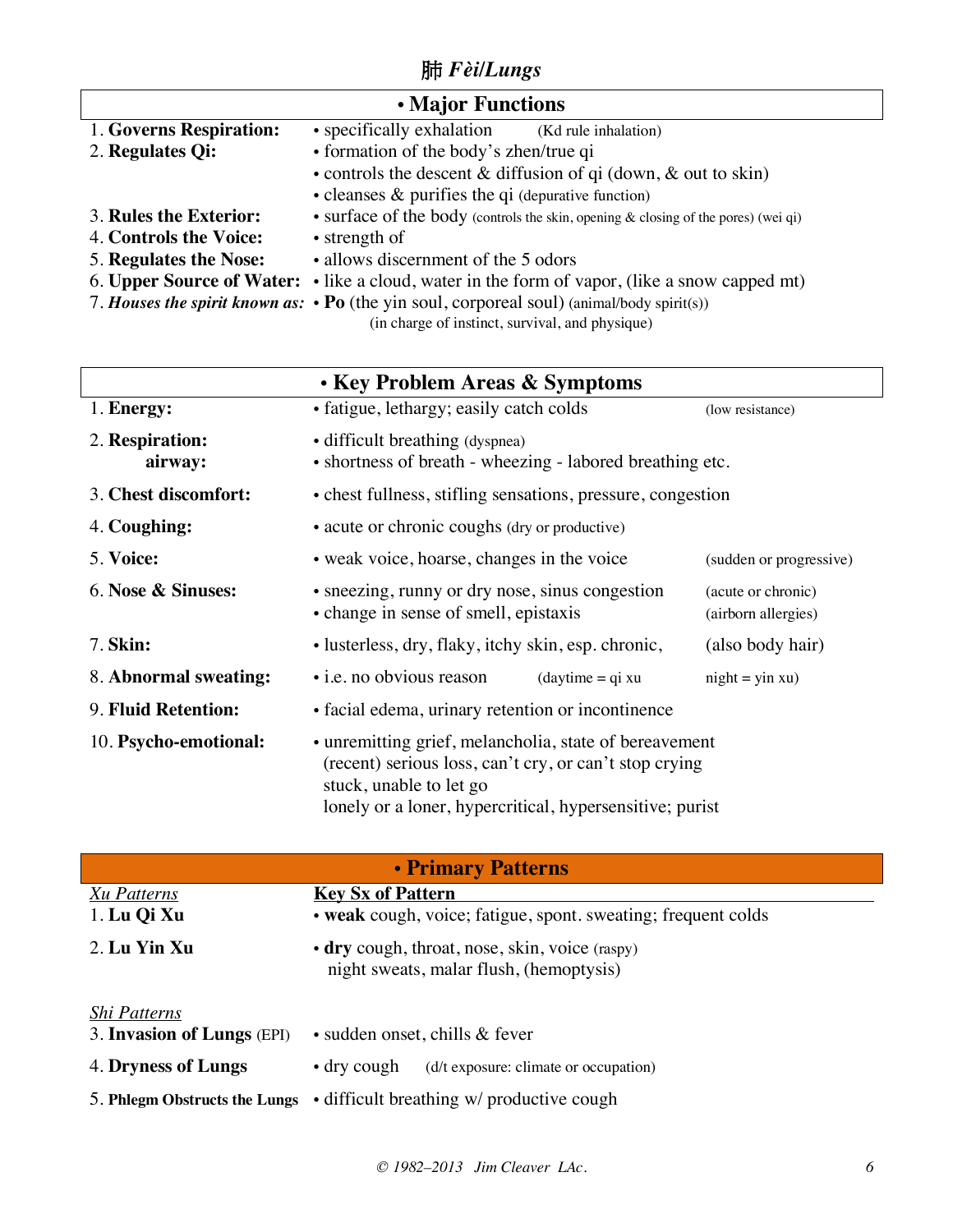## 肺 *Fèi/Lungs*

| • Major Functions             |                                                                                                  |  |
|-------------------------------|--------------------------------------------------------------------------------------------------|--|
| 1. Governs Respiration:       | • specifically exhalation<br>(Kd rule inhalation)                                                |  |
| 2. Regulates Qi:              | • formation of the body's zhen/true qi                                                           |  |
|                               | • controls the descent $\&$ diffusion of qi (down, $\&$ out to skin)                             |  |
|                               | • cleanses $\&$ purifies the qi (depurative function)                                            |  |
| 3. Rules the Exterior:        | • surface of the body (controls the skin, opening $\&$ closing of the pores) (wei qi)            |  |
| <b>4. Controls the Voice:</b> | • strength of                                                                                    |  |
| <b>5. Regulates the Nose:</b> | • allows discernment of the 5 odors                                                              |  |
|                               | 6. Upper Source of Water: • like a cloud, water in the form of vapor, (like a snow capped mt)    |  |
|                               | 7. Houses the spirit known as: $\cdot$ Po (the yin soul, corporeal soul) (animal/body spirit(s)) |  |

(in charge of instinct, survival, and physique)

|                            | • Key Problem Areas & Symptoms                                                                                                                                                                          |                                           |
|----------------------------|---------------------------------------------------------------------------------------------------------------------------------------------------------------------------------------------------------|-------------------------------------------|
| 1. Energy:                 | • fatigue, lethargy; easily catch colds                                                                                                                                                                 | (low resistance)                          |
| 2. Respiration:<br>airway: | • difficult breathing (dyspnea)<br>• shortness of breath - wheezing - labored breathing etc.                                                                                                            |                                           |
| 3. Chest discomfort:       | • chest fullness, stifling sensations, pressure, congestion                                                                                                                                             |                                           |
| 4. Coughing:               | • acute or chronic coughs (dry or productive)                                                                                                                                                           |                                           |
| 5. Voice:                  | • weak voice, hoarse, changes in the voice<br>(sudden or progressive)                                                                                                                                   |                                           |
| 6. Nose & Sinuses:         | • sneezing, runny or dry nose, sinus congestion<br>• change in sense of smell, epistaxis                                                                                                                | (acute or chronic)<br>(airborn allergies) |
| 7. Skin:                   | • lusterless, dry, flaky, itchy skin, esp. chronic,                                                                                                                                                     | (also body hair)                          |
| 8. Abnormal sweating:      | • i.e. no obvious reason<br>$(daytime = qi xu)$                                                                                                                                                         | $night = yin xu$                          |
| 9. Fluid Retention:        | • facial edema, urinary retention or incontinence                                                                                                                                                       |                                           |
| 10. Psycho-emotional:      | • unremitting grief, melancholia, state of bereavement<br>(recent) serious loss, can't cry, or can't stop crying<br>stuck, unable to let go<br>lonely or a loner, hypercritical, hypersensitive; purist |                                           |

| • Primary Patterns                                                                        |  |  |
|-------------------------------------------------------------------------------------------|--|--|
| <b>Key Sx of Pattern</b>                                                                  |  |  |
| • weak cough, voice; fatigue, spont. sweating; frequent colds                             |  |  |
| • dry cough, throat, nose, skin, voice (raspy)<br>night sweats, malar flush, (hemoptysis) |  |  |
|                                                                                           |  |  |
| • sudden onset, chills & fever                                                            |  |  |
| $\cdot$ dry cough<br>(d/t exposure: climate or occupation)                                |  |  |
| 5. Philosopherm Obstructs the Lungs • difficult breathing w/ productive cough             |  |  |
|                                                                                           |  |  |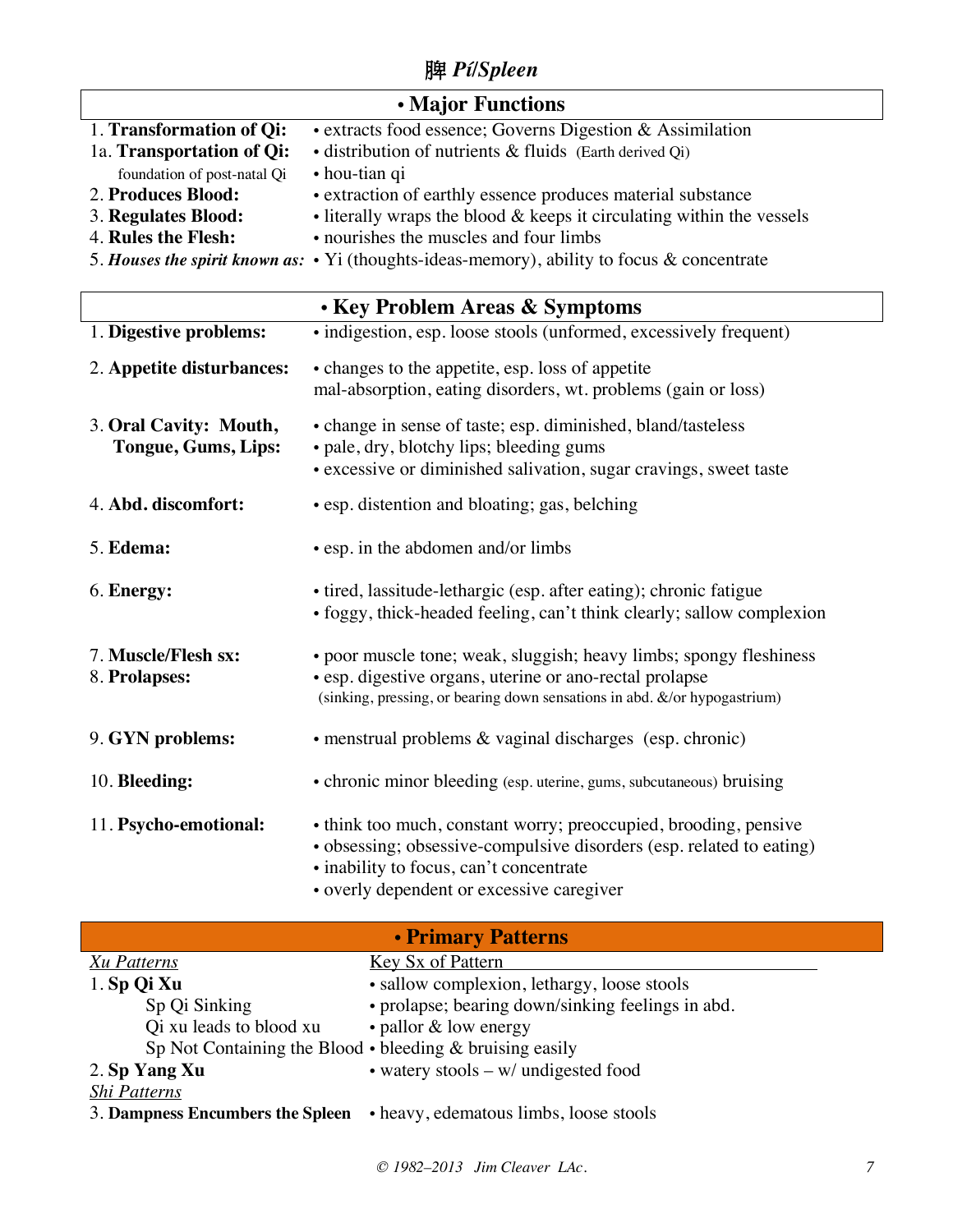脾 *Pí/Spleen*

| <b>• Major Functions</b>                         |                                                                                                   |  |
|--------------------------------------------------|---------------------------------------------------------------------------------------------------|--|
| 1. Transformation of Qi:                         | · extracts food essence; Governs Digestion & Assimilation                                         |  |
| 1a. Transportation of Qi:                        | · distribution of nutrients & fluids (Earth derived Qi)                                           |  |
| foundation of post-natal Qi                      | • hou-tian qi                                                                                     |  |
| 2. Produces Blood:                               | • extraction of earthly essence produces material substance                                       |  |
| 3. Regulates Blood:                              | • literally wraps the blood & keeps it circulating within the vessels                             |  |
| 4. Rules the Flesh:                              | • nourishes the muscles and four limbs                                                            |  |
|                                                  | 5. Houses the spirit known as: $\cdot$ Yi (thoughts-ideas-memory), ability to focus & concentrate |  |
|                                                  |                                                                                                   |  |
|                                                  | • Key Problem Areas & Symptoms                                                                    |  |
| 1. Digestive problems:                           | · indigestion, esp. loose stools (unformed, excessively frequent)                                 |  |
| 2. Appetite disturbances:                        | • changes to the appetite, esp. loss of appetite                                                  |  |
|                                                  | mal-absorption, eating disorders, wt. problems (gain or loss)                                     |  |
|                                                  |                                                                                                   |  |
| 3. Oral Cavity: Mouth,                           | • change in sense of taste; esp. diminished, bland/tasteless                                      |  |
| Tongue, Gums, Lips:                              | • pale, dry, blotchy lips; bleeding gums                                                          |  |
|                                                  | • excessive or diminished salivation, sugar cravings, sweet taste                                 |  |
|                                                  |                                                                                                   |  |
| 4. Abd. discomfort:                              | • esp. distention and bloating; gas, belching                                                     |  |
|                                                  |                                                                                                   |  |
| 5. Edema:                                        | • esp. in the abdomen and/or limbs                                                                |  |
|                                                  |                                                                                                   |  |
| 6. Energy:                                       | • tired, lassitude-lethargic (esp. after eating); chronic fatigue                                 |  |
|                                                  | • foggy, thick-headed feeling, can't think clearly; sallow complexion                             |  |
|                                                  |                                                                                                   |  |
| 7. Muscle/Flesh sx:                              | • poor muscle tone; weak, sluggish; heavy limbs; spongy fleshiness                                |  |
| 8. Prolapses:                                    | • esp. digestive organs, uterine or ano-rectal prolapse                                           |  |
|                                                  | (sinking, pressing, or bearing down sensations in abd. &/or hypogastrium)                         |  |
|                                                  |                                                                                                   |  |
| 9. GYN problems:                                 | • menstrual problems & vaginal discharges (esp. chronic)                                          |  |
| 10. Bleeding:                                    |                                                                                                   |  |
|                                                  | • chronic minor bleeding (esp. uterine, gums, subcutaneous) bruising                              |  |
| 11. Psycho-emotional:                            | • think too much, constant worry; preoccupied, brooding, pensive                                  |  |
|                                                  |                                                                                                   |  |
|                                                  | · obsessing; obsessive-compulsive disorders (esp. related to eating)                              |  |
|                                                  | · inability to focus, can't concentrate                                                           |  |
|                                                  | • overly dependent or excessive caregiver                                                         |  |
|                                                  |                                                                                                   |  |
|                                                  | • Primary Patterns                                                                                |  |
| <b>Xu Patterns</b>                               | <b>Key Sx of Pattern</b>                                                                          |  |
| 1. Sp Qi Xu                                      | · sallow complexion, lethargy, loose stools                                                       |  |
| Sp Qi Sinking                                    | • prolapse; bearing down/sinking feelings in abd.                                                 |  |
| • pallor & low energy<br>Qi xu leads to blood xu |                                                                                                   |  |

- 2. **Sp Yang Xu** watery stools w/ undigested food *Shi Patterns*
- 3. **Dampness Encumbers the Spleen** heavy, edematous limbs, loose stools

Sp Not Containing the Blood • bleeding & bruising easily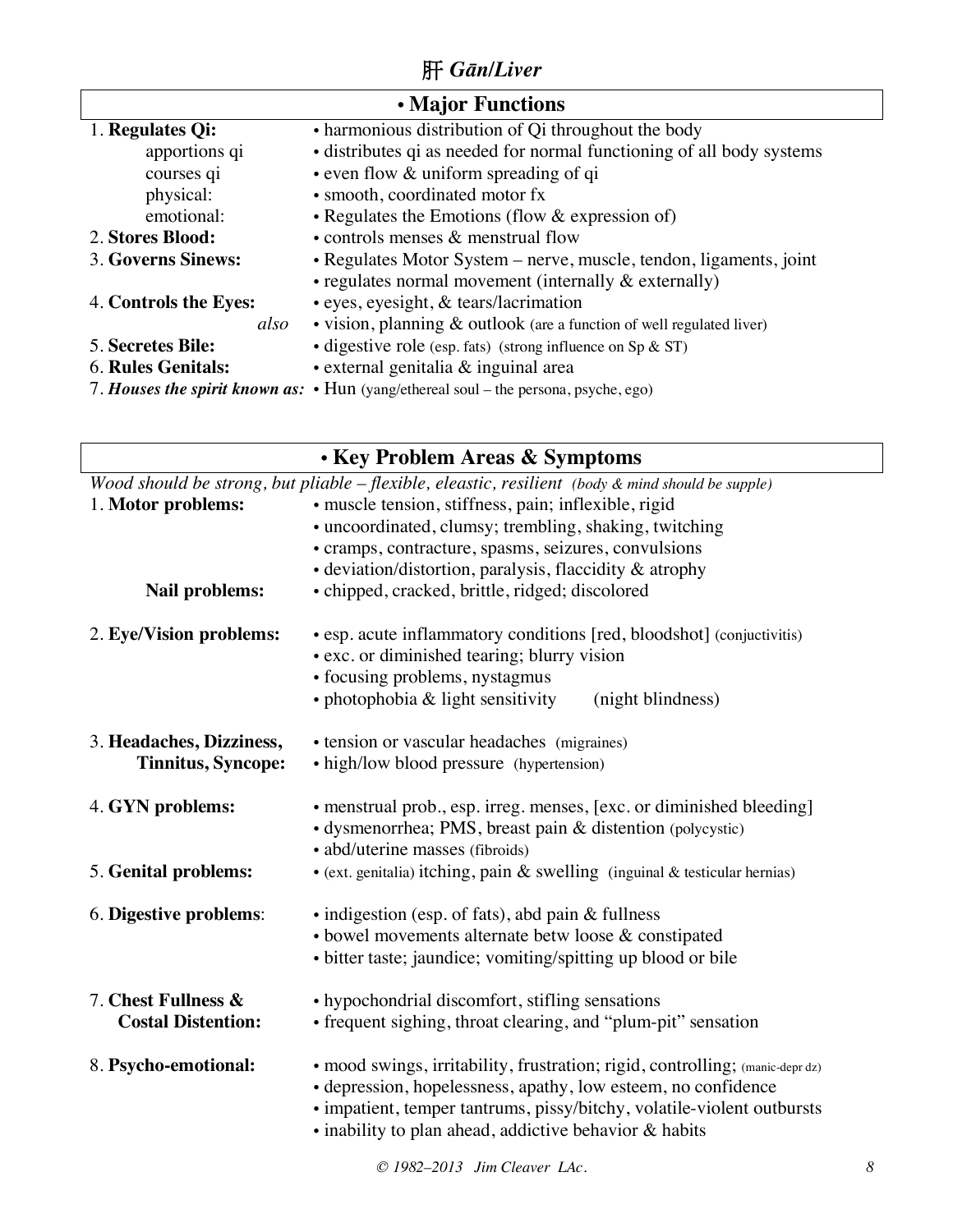## 肝 *Gān/Liver*

| • Major Functions         |                                                                                            |  |
|---------------------------|--------------------------------------------------------------------------------------------|--|
| 1. Regulates Qi:          | • harmonious distribution of Qi throughout the body                                        |  |
| apportions qi             | • distributes qi as needed for normal functioning of all body systems                      |  |
| courses qi                | $\cdot$ even flow $\&$ uniform spreading of qi                                             |  |
| physical:                 | • smooth, coordinated motor fx                                                             |  |
| emotional:                | • Regulates the Emotions (flow $&$ expression of)                                          |  |
| 2. Stores Blood:          | • controls menses $\&$ menstrual flow                                                      |  |
| 3. Governs Sinews:        | • Regulates Motor System – nerve, muscle, tendon, ligaments, joint                         |  |
|                           | $\cdot$ regulates normal movement (internally $\&$ externally)                             |  |
| 4. Controls the Eyes:     | • eyes, eyesight, & tears/lacrimation                                                      |  |
| also                      | $\bullet$ vision, planning $\&$ outlook (are a function of well regulated liver)           |  |
| 5. Secretes Bile:         | • digestive role (esp. fats) (strong influence on $Sp & ST$ )                              |  |
| <b>6. Rules Genitals:</b> | • external genitalia & inguinal area                                                       |  |
|                           | 7. Houses the spirit known as: $\cdot$ Hun (yang/ethereal soul – the persona, psyche, ego) |  |

| • Key Problem Areas & Symptoms                                                                    |                                                                                                                                                                                                                                                                                    |  |
|---------------------------------------------------------------------------------------------------|------------------------------------------------------------------------------------------------------------------------------------------------------------------------------------------------------------------------------------------------------------------------------------|--|
| Wood should be strong, but pliable - flexible, eleastic, resilient (body & mind should be supple) |                                                                                                                                                                                                                                                                                    |  |
| 1. Motor problems:                                                                                | · muscle tension, stiffness, pain; inflexible, rigid                                                                                                                                                                                                                               |  |
|                                                                                                   | • uncoordinated, clumsy; trembling, shaking, twitching                                                                                                                                                                                                                             |  |
|                                                                                                   | • cramps, contracture, spasms, seizures, convulsions                                                                                                                                                                                                                               |  |
|                                                                                                   | $\bullet$ deviation/distortion, paralysis, flaccidity & atrophy                                                                                                                                                                                                                    |  |
| Nail problems:                                                                                    | · chipped, cracked, brittle, ridged; discolored                                                                                                                                                                                                                                    |  |
| 2. Eye/Vision problems:                                                                           | • esp. acute inflammatory conditions [red, bloodshot] (conjuctivitis)<br>• exc. or diminished tearing; blurry vision                                                                                                                                                               |  |
|                                                                                                   | • focusing problems, nystagmus                                                                                                                                                                                                                                                     |  |
|                                                                                                   | · photophobia & light sensitivity<br>(night blindness)                                                                                                                                                                                                                             |  |
| 3. Headaches, Dizziness,                                                                          | • tension or vascular headaches (migraines)                                                                                                                                                                                                                                        |  |
| <b>Tinnitus, Syncope:</b>                                                                         | • high/low blood pressure (hypertension)                                                                                                                                                                                                                                           |  |
| 4. GYN problems:                                                                                  | • menstrual prob., esp. irreg. menses, [exc. or diminished bleeding]<br>· dysmenorrhea; PMS, breast pain & distention (polycystic)<br>· abd/uterine masses (fibroids)                                                                                                              |  |
| 5. Genital problems:                                                                              | • (ext. genitalia) itching, pain & swelling (inguinal & testicular hernias)                                                                                                                                                                                                        |  |
| 6. Digestive problems:                                                                            | • indigestion (esp. of fats), abd pain & fullness                                                                                                                                                                                                                                  |  |
|                                                                                                   | • bowel movements alternate betw loose & constipated                                                                                                                                                                                                                               |  |
|                                                                                                   | • bitter taste; jaundice; vomiting/spitting up blood or bile                                                                                                                                                                                                                       |  |
| 7. Chest Fullness &                                                                               | • hypochondrial discomfort, stifling sensations                                                                                                                                                                                                                                    |  |
| <b>Costal Distention:</b>                                                                         | • frequent sighing, throat clearing, and "plum-pit" sensation                                                                                                                                                                                                                      |  |
| 8. Psycho-emotional:                                                                              | • mood swings, irritability, frustration; rigid, controlling; (manic-depr dz)<br>· depression, hopelessness, apathy, low esteem, no confidence<br>· impatient, temper tantrums, pissy/bitchy, volatile-violent outbursts<br>• inability to plan ahead, addictive behavior & habits |  |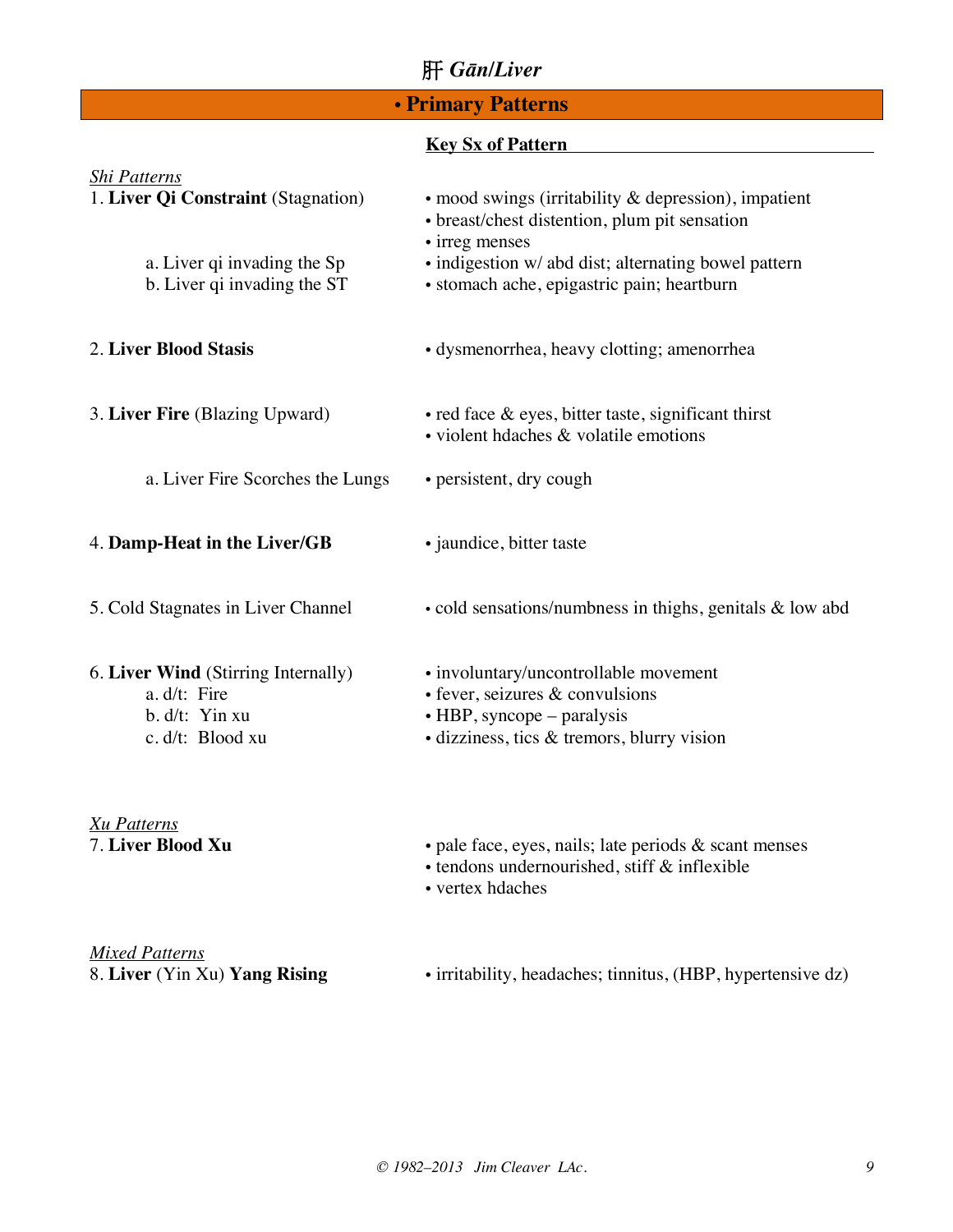## 肝 *Gān/Liver*

## • **Primary Patterns**

### **Key Sx of Pattern**

| <b>Shi Patterns</b><br>1. Liver Qi Constraint (Stagnation)                                | • mood swings (irritability $\&$ depression), impatient<br>• breast/chest distention, plum pit sensation                                                     |
|-------------------------------------------------------------------------------------------|--------------------------------------------------------------------------------------------------------------------------------------------------------------|
| a. Liver qi invading the Sp<br>b. Liver qi invading the ST                                | • irreg menses<br>· indigestion w/ abd dist; alternating bowel pattern<br>· stomach ache, epigastric pain; heartburn                                         |
| 2. Liver Blood Stasis                                                                     | • dysmenorrhea, heavy clotting; amenorrhea                                                                                                                   |
| 3. Liver Fire (Blazing Upward)                                                            | $\bullet$ red face $\&$ eyes, bitter taste, significant thirst<br>· violent hdaches & volatile emotions                                                      |
| a. Liver Fire Scorches the Lungs                                                          | • persistent, dry cough                                                                                                                                      |
| 4. Damp-Heat in the Liver/GB                                                              | • jaundice, bitter taste                                                                                                                                     |
| 5. Cold Stagnates in Liver Channel                                                        | • cold sensations/numbness in thighs, genitals & low abd                                                                                                     |
| 6. Liver Wind (Stirring Internally)<br>a. d/t: Fire<br>b. d/t: Yin xu<br>c. d/t: Blood xu | • involuntary/uncontrollable movement<br>· fever, seizures & convulsions<br>$\bullet$ HBP, syncope – paralysis<br>· dizziness, tics & tremors, blurry vision |
| <b>Xu Patterns</b><br>7. Liver Blood Xu                                                   | • pale face, eyes, nails; late periods $\&$ scant menses<br>· tendons undernourished, stiff & inflexible<br>• vertex hdaches                                 |

*Mixed Patterns*<br>8. Liver (Yin Xu) **Yang Rising** 

• irritability, headaches; tinnitus, (HBP, hypertensive dz)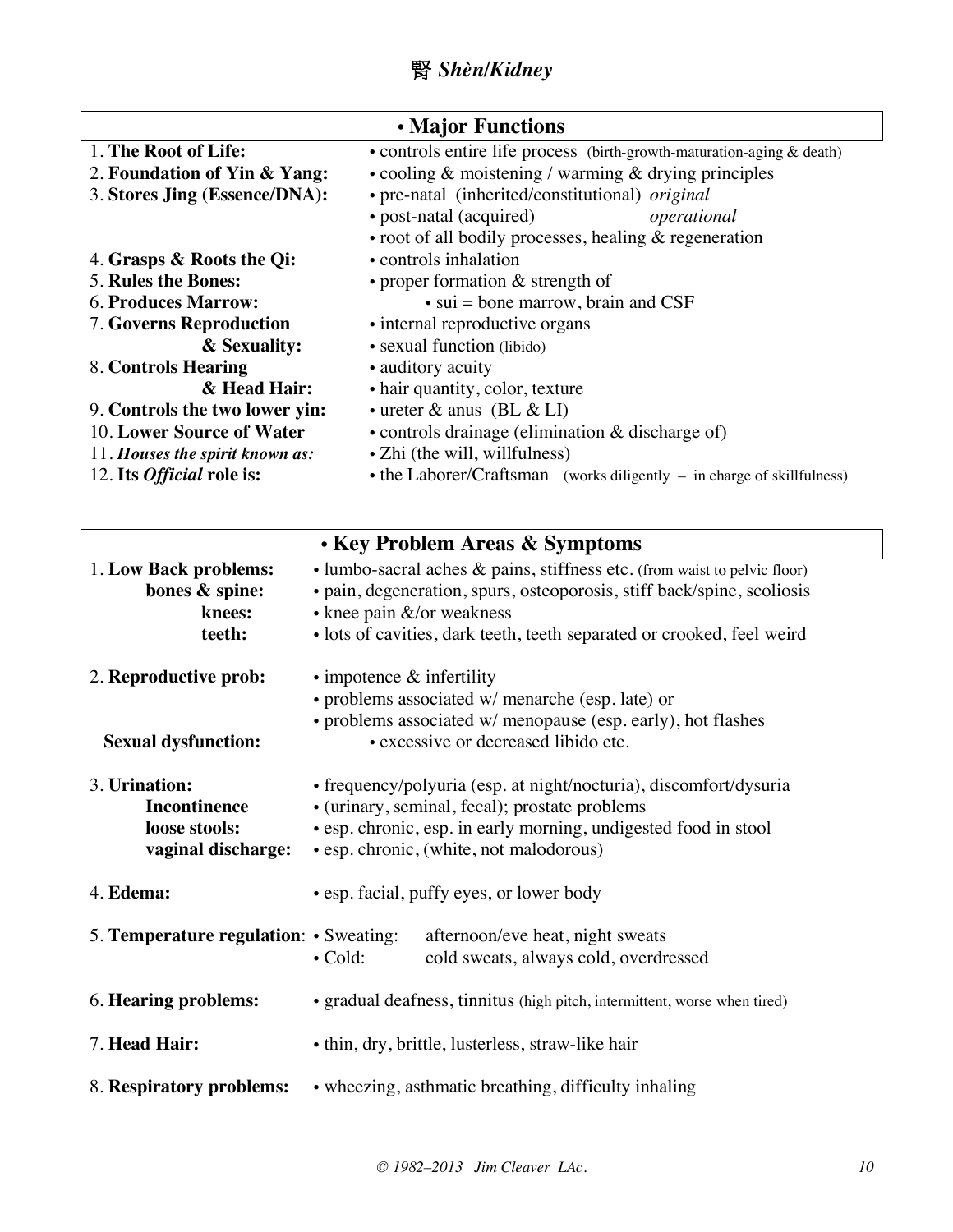## 腎 *Shèn/Kidney*

| • Major Functions                |                                                                                  |  |
|----------------------------------|----------------------------------------------------------------------------------|--|
| 1. The Root of Life:             | • controls entire life process (birth-growth-maturation-aging & death)           |  |
| 2. Foundation of Yin & Yang:     | • cooling $\&$ moistening / warming $\&$ drying principles                       |  |
| 3. Stores Jing (Essence/DNA):    | · pre-natal (inherited/constitutional) original                                  |  |
|                                  | • post-natal (acquired)<br>operational                                           |  |
|                                  | $\bullet$ root of all bodily processes, healing $\&$ regeneration                |  |
| 4. Grasps & Roots the Qi:        | • controls inhalation                                                            |  |
| <b>5. Rules the Bones:</b>       | • proper formation $&$ strength of                                               |  |
| <b>6. Produces Marrow:</b>       | $\bullet$ sui = bone marrow, brain and CSF                                       |  |
| 7. Governs Reproduction          | • internal reproductive organs                                                   |  |
| & Sexuality:                     | • sexual function (libido)                                                       |  |
| 8. Controls Hearing              | • auditory acuity                                                                |  |
| & Head Hair:                     | • hair quantity, color, texture                                                  |  |
| 9. Controls the two lower yin:   | $\cdot$ ureter & anus (BL & LI)                                                  |  |
| 10. Lower Source of Water        | • controls drainage (elimination $\&$ discharge of)                              |  |
| 11. Houses the spirit known as:  | • Zhi (the will, willfulness)                                                    |  |
| 12. Its <i>Official</i> role is: | $\bullet$ the Laborer/Craftsman (works diligently $-$ in charge of skillfulness) |  |

| <b>· Key Problem Areas &amp; Symptoms</b>                                   |                                                                                                                                                                                                                                                                       |  |
|-----------------------------------------------------------------------------|-----------------------------------------------------------------------------------------------------------------------------------------------------------------------------------------------------------------------------------------------------------------------|--|
| 1. Low Back problems:<br>bones & spine:<br>knees:<br>teeth:                 | $\bullet$ lumbo-sacral aches $\&$ pains, stiffness etc. (from waist to pelvic floor)<br>· pain, degeneration, spurs, osteoporosis, stiff back/spine, scoliosis<br>• knee pain &/or weakness<br>· lots of cavities, dark teeth, teeth separated or crooked, feel weird |  |
| 2. Reproductive prob:<br><b>Sexual dysfunction:</b>                         | $\cdot$ impotence $\&$ infertility<br>· problems associated w/ menarche (esp. late) or<br>• problems associated w/ menopause (esp. early), hot flashes<br>· excessive or decreased libido etc.                                                                        |  |
| 3. Urination:<br><b>Incontinence</b><br>loose stools:<br>vaginal discharge: | • frequency/polyuria (esp. at night/nocturia), discomfort/dysuria<br>• (urinary, seminal, fecal); prostate problems<br>• esp. chronic, esp. in early morning, undigested food in stool<br>• esp. chronic, (white, not malodorous)                                     |  |
| 4. Edema:                                                                   | • esp. facial, puffy eyes, or lower body                                                                                                                                                                                                                              |  |
| 5. Temperature regulation: $\cdot$ Sweating:                                | afternoon/eve heat, night sweats<br>cold sweats, always cold, overdressed<br>$\bullet$ Cold:                                                                                                                                                                          |  |
| 6. Hearing problems:                                                        | • gradual deafness, tinnitus (high pitch, intermittent, worse when tired)                                                                                                                                                                                             |  |
| 7. Head Hair:                                                               | • thin, dry, brittle, lusterless, straw-like hair                                                                                                                                                                                                                     |  |
| 8. Respiratory problems:                                                    | • wheezing, asthmatic breathing, difficulty inhaling                                                                                                                                                                                                                  |  |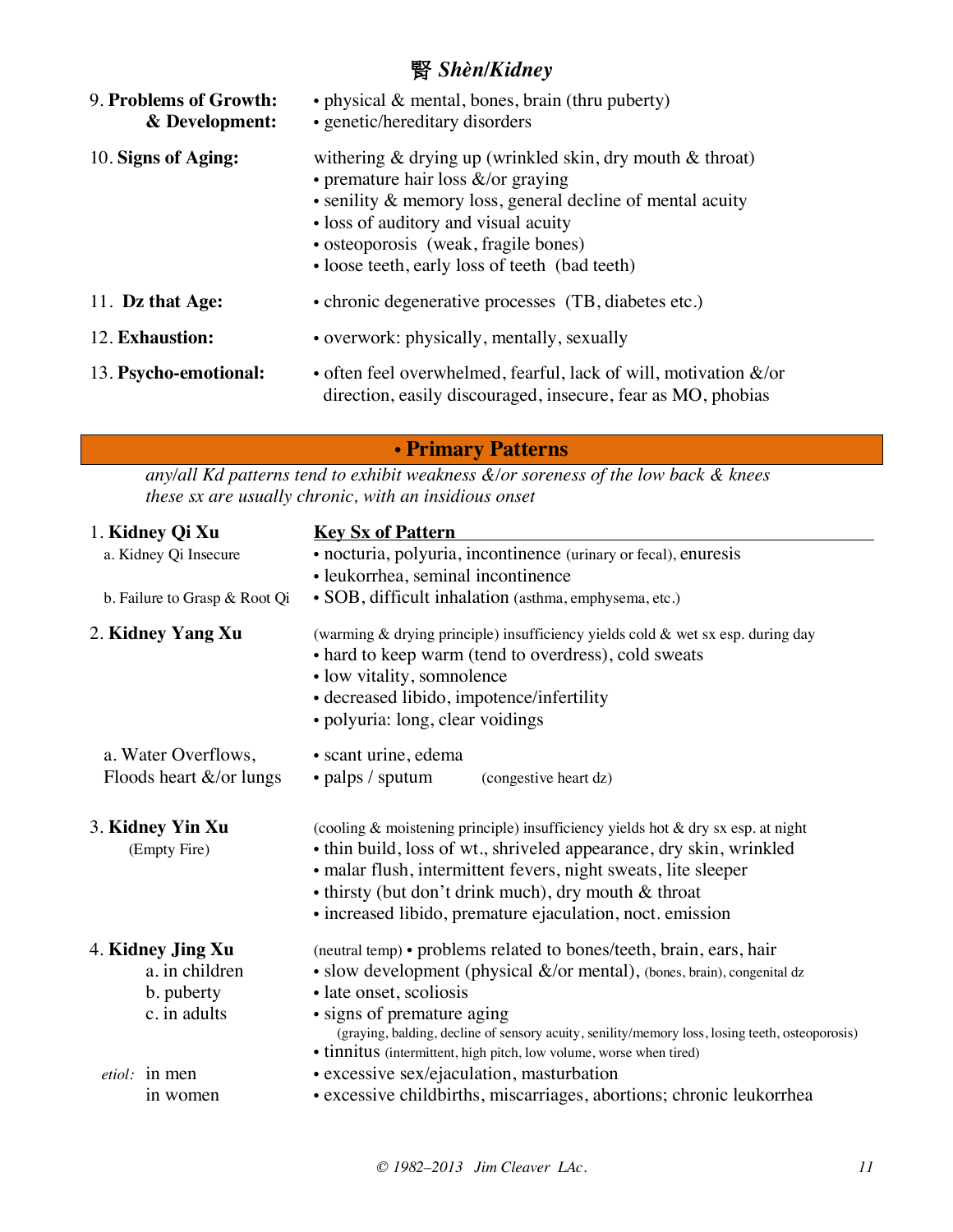## 腎 *Shèn/Kidney*

| 9. Problems of Growth:<br>& Development: | • physical $\&$ mental, bones, brain (thru puberty)<br>• genetic/hereditary disorders                                                                                                                                                                                                                     |
|------------------------------------------|-----------------------------------------------------------------------------------------------------------------------------------------------------------------------------------------------------------------------------------------------------------------------------------------------------------|
| 10. Signs of Aging:                      | withering $\&$ drying up (wrinkled skin, dry mouth $\&$ throat)<br>• premature hair loss $\&$ /or graying<br>• senility & memory loss, general decline of mental acuity<br>• loss of auditory and visual acuity<br>• osteoporosis (weak, fragile bones)<br>• loose teeth, early loss of teeth (bad teeth) |
| 11. Dz that Age:                         | • chronic degenerative processes (TB, diabetes etc.)                                                                                                                                                                                                                                                      |
| 12. Exhaustion:                          | • overwork: physically, mentally, sexually                                                                                                                                                                                                                                                                |
| 13. Psycho-emotional:                    | • often feel overwhelmed, fearful, lack of will, motivation $\&$ /or<br>direction, easily discouraged, insecure, fear as MO, phobias                                                                                                                                                                      |

• **Primary Patterns**

*any/all Kd patterns tend to exhibit weakness &/or soreness of the low back & knees these sx are usually chronic, with an insidious onset*

| 1. Kidney Qi Xu                  | <b>Key Sx of Pattern</b>                                                                                                                                                                                                                                                                                                                       |  |  |  |
|----------------------------------|------------------------------------------------------------------------------------------------------------------------------------------------------------------------------------------------------------------------------------------------------------------------------------------------------------------------------------------------|--|--|--|
| a. Kidney Qi Insecure            | · nocturia, polyuria, incontinence (urinary or fecal), enuresis                                                                                                                                                                                                                                                                                |  |  |  |
|                                  | · leukorrhea, seminal incontinence                                                                                                                                                                                                                                                                                                             |  |  |  |
| b. Failure to Grasp & Root Qi    | · SOB, difficult inhalation (asthma, emphysema, etc.)                                                                                                                                                                                                                                                                                          |  |  |  |
| 2. Kidney Yang Xu                | (warming & drying principle) insufficiency yields cold & wet sx esp. during day<br>• hard to keep warm (tend to overdress), cold sweats<br>• low vitality, somnolence<br>· decreased libido, impotence/infertility<br>· polyuria: long, clear voidings                                                                                         |  |  |  |
| a. Water Overflows,              | • scant urine, edema                                                                                                                                                                                                                                                                                                                           |  |  |  |
| Floods heart &/or lungs          | $\cdot$ palps / sputum<br>(congestive heart dz)                                                                                                                                                                                                                                                                                                |  |  |  |
|                                  |                                                                                                                                                                                                                                                                                                                                                |  |  |  |
| 3. Kidney Yin Xu<br>(Empty Fire) | (cooling & moistening principle) insufficiency yields hot & dry sx esp. at night<br>• thin build, loss of wt., shriveled appearance, dry skin, wrinkled<br>• malar flush, intermittent fevers, night sweats, lite sleeper<br>• thirsty (but don't drink much), dry mouth & throat<br>· increased libido, premature ejaculation, noct. emission |  |  |  |
| 4. Kidney Jing Xu                | (neutral temp) • problems related to bones/teeth, brain, ears, hair                                                                                                                                                                                                                                                                            |  |  |  |
| a. in children                   | • slow development (physical $\&$ /or mental), (bones, brain), congenital dz                                                                                                                                                                                                                                                                   |  |  |  |
| b. puberty                       | · late onset, scoliosis                                                                                                                                                                                                                                                                                                                        |  |  |  |
| c. in adults                     | • signs of premature aging<br>(graying, balding, decline of sensory acuity, senility/memory loss, losing teeth, osteoporosis)<br>• tinnitus (intermittent, high pitch, low volume, worse when tired)                                                                                                                                           |  |  |  |
| <i>etiol</i> : in men            | • excessive sex/ejaculation, masturbation                                                                                                                                                                                                                                                                                                      |  |  |  |
| in women                         | • excessive childbirths, miscarriages, abortions; chronic leukorrhea                                                                                                                                                                                                                                                                           |  |  |  |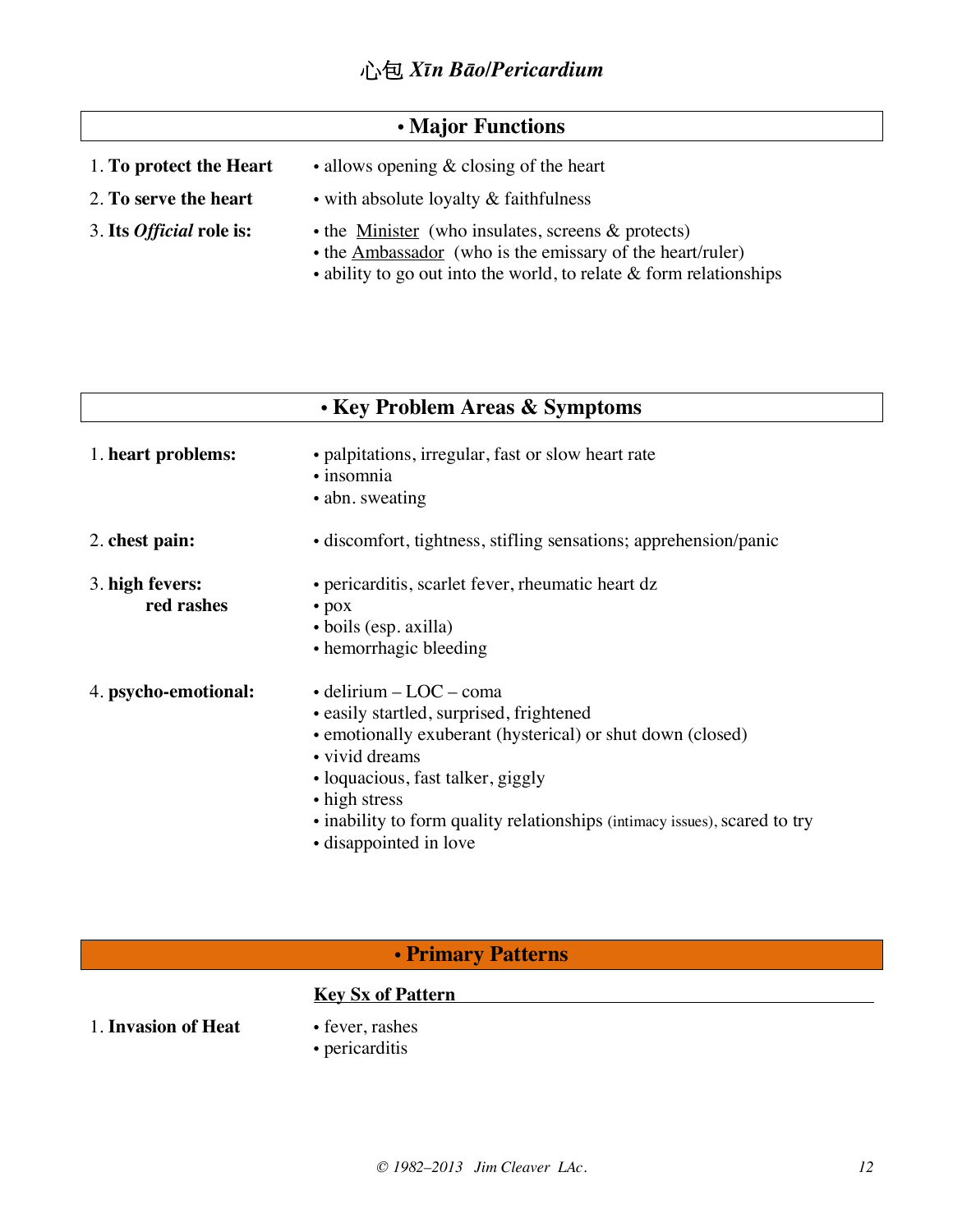## • **Major Functions**

| 1. To protect the Heart         | • allows opening $&$ closing of the heart                                                                                                                                                             |
|---------------------------------|-------------------------------------------------------------------------------------------------------------------------------------------------------------------------------------------------------|
| 2. To serve the heart           | • with absolute loyalty & faithfulness                                                                                                                                                                |
| 3. Its <i>Official</i> role is: | $\bullet$ the Minister (who insulates, screens & protects)<br>• the Ambassador (who is the emissary of the heart/ruler)<br>$\bullet$ ability to go out into the world, to relate & form relationships |

|                               | • Key Problem Areas & Symptoms                                                                                                                                                                                                                                                                                            |
|-------------------------------|---------------------------------------------------------------------------------------------------------------------------------------------------------------------------------------------------------------------------------------------------------------------------------------------------------------------------|
| 1. heart problems:            | • palpitations, irregular, fast or slow heart rate<br>• insomnia<br>• abn. sweating                                                                                                                                                                                                                                       |
| 2. chest pain:                | • discomfort, tightness, stifling sensations; apprehension/panic                                                                                                                                                                                                                                                          |
| 3. high fevers:<br>red rashes | • pericarditis, scarlet fever, rheumatic heart dz<br>$\bullet$ pox<br>• boils (esp. axilla)<br>• hemorrhagic bleeding                                                                                                                                                                                                     |
| 4. psycho-emotional:          | $\bullet$ delirium – LOC – coma<br>• easily startled, surprised, frightened<br>• emotionally exuberant (hysterical) or shut down (closed)<br>• vivid dreams<br>• loquacious, fast talker, giggly<br>• high stress<br>• inability to form quality relationships (intimacy issues), scared to try<br>• disappointed in love |

## • **Primary Patterns**

## **Key Sx of Pattern**

1. **Invasion of Heat** • fever, rashes

- 
- pericarditis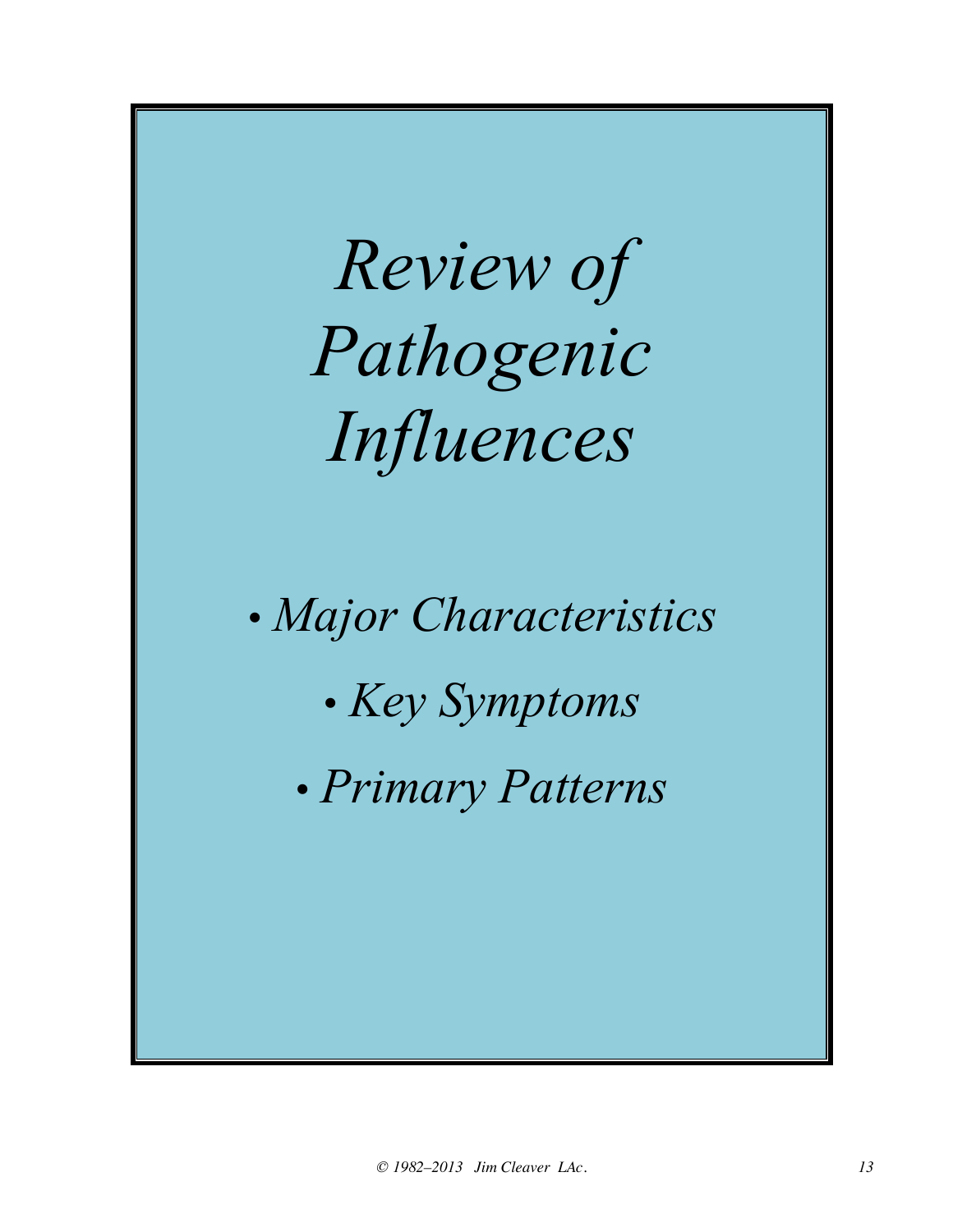*Review of Pathogenic Influences*

*• Major Characteristics • Key Symptoms • Primary Patterns*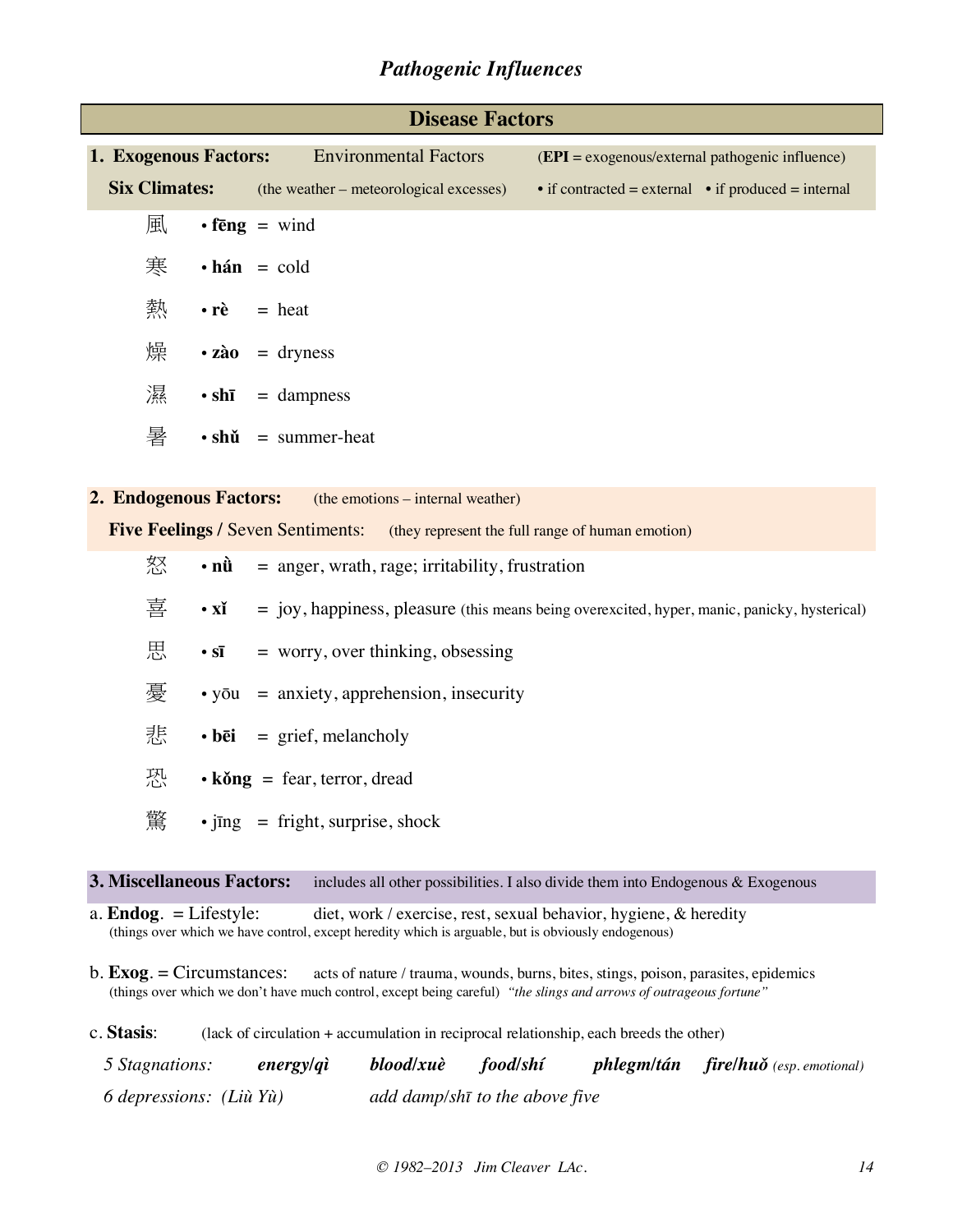### *Pathogenic Influences*

|                                                          | <b>Disease Factors</b> |                                                                                           |  |                                                     |  |
|----------------------------------------------------------|------------------------|-------------------------------------------------------------------------------------------|--|-----------------------------------------------------|--|
| 1. Exogenous Factors:                                    |                        | <b>Environmental Factors</b>                                                              |  | $(EPI = exogenous/external pathogenic influence)$   |  |
| <b>Six Climates:</b>                                     |                        | (the weather – meteorological excesses)                                                   |  | • if contracted = external • if produced = internal |  |
| 風                                                        |                        | $\cdot$ fēng = wind                                                                       |  |                                                     |  |
| 寒                                                        |                        | $\cdot$ hán = cold                                                                        |  |                                                     |  |
| 熱                                                        |                        | $\cdot \vec{re}$ = heat                                                                   |  |                                                     |  |
| 燥                                                        |                        | $\cdot$ zào = dryness                                                                     |  |                                                     |  |
| 濕                                                        |                        | $\cdot$ shi = dampness                                                                    |  |                                                     |  |
| 暑                                                        |                        | $\cdot$ shǔ = summer-heat                                                                 |  |                                                     |  |
|                                                          |                        |                                                                                           |  |                                                     |  |
| 2. Endogenous Factors: (the emotions – internal weather) |                        |                                                                                           |  |                                                     |  |
|                                                          |                        | <b>Five Feelings / Seven Sentiments:</b> (they represent the full range of human emotion) |  |                                                     |  |
| 怒<br>• nû                                                |                        | $=$ anger, wrath, rage; irritability, frustration                                         |  |                                                     |  |

- $\overline{\mathbf{\Xi}}$  **xǐ** = joy, happiness, pleasure (this means being overexcited, hyper, manic, panicky, hysterical)
- $\overline{AB}$  **sī** = worry, over thinking, obsessing
- $\overline{\mathcal{F}}$  yōu = anxiety, apprehension, insecurity
- 悲 **bēi** = grief, melancholy
- $\mathbb{R}^{\mathbb{L}}$  **kǒng** = fear, terror, dread
- $\hat{\mathbb{R}}$  jīng = fright, surprise, shock

#### **3. Miscellaneous Factors:** includes all other possibilities. I also divide them into Endogenous & Exogenous

a. **Endog**. = Lifestyle: diet, work / exercise, rest, sexual behavior, hygiene, & heredity (things over which we have control, except heredity which is arguable, but is obviously endogenous)

b. **Exog**. = Circumstances: acts of nature / trauma, wounds, burns, bites, stings, poison, parasites, epidemics (things over which we don't have much control, except being careful) *"the slings and arrows of outrageous fortune"*

c. **Stasis**: (lack of circulation + accumulation in reciprocal relationship, each breeds the other)

| 5 Stagnations:            | energy/qì | blood/xuè | food/shí                       | $phlegm/tán$ fire/ $hu\delta$ (esp. emotional) |
|---------------------------|-----------|-----------|--------------------------------|------------------------------------------------|
| 6 depressions: $(LiiYii)$ |           |           | add damp/shī to the above five |                                                |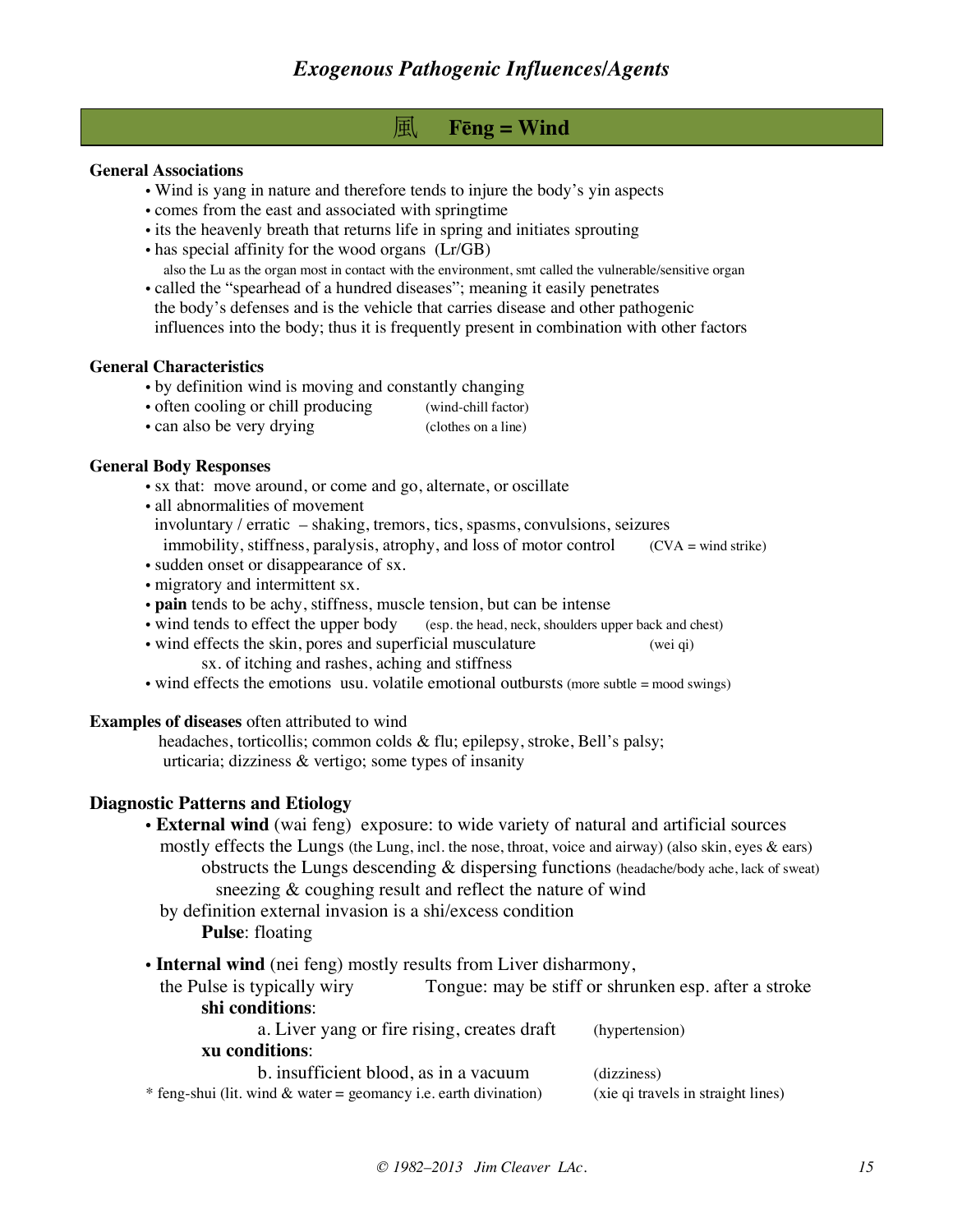### 風 **Fēng = Wind**

#### **General Associations**

- Wind is yang in nature and therefore tends to injure the body's yin aspects
- comes from the east and associated with springtime
- its the heavenly breath that returns life in spring and initiates sprouting
- has special affinity for the wood organs (Lr/GB) also the Lu as the organ most in contact with the environment, smt called the vulnerable/sensitive organ
- called the "spearhead of a hundred diseases"; meaning it easily penetrates the body's defenses and is the vehicle that carries disease and other pathogenic influences into the body; thus it is frequently present in combination with other factors

#### **General Characteristics**

- by definition wind is moving and constantly changing
- often cooling or chill producing (wind-chill factor)
- can also be very drying (clothes on a line)

#### **General Body Responses**

- sx that: move around, or come and go, alternate, or oscillate
- all abnormalities of movement
- involuntary / erratic shaking, tremors, tics, spasms, convulsions, seizures
- immobility, stiffness, paralysis, atrophy, and loss of motor control  $(CVA = wind strike)$
- sudden onset or disappearance of sx.
- migratory and intermittent sx.
- **pain** tends to be achy, stiffness, muscle tension, but can be intense
- wind tends to effect the upper body (esp. the head, neck, shoulders upper back and chest)
- wind effects the skin, pores and superficial musculature (wei qi) sx. of itching and rashes, aching and stiffness
- wind effects the emotions usu. volatile emotional outbursts (more subtle  $=$  mood swings)

#### **Examples of diseases** often attributed to wind

 headaches, torticollis; common colds & flu; epilepsy, stroke, Bell's palsy; urticaria; dizziness & vertigo; some types of insanity

#### **Diagnostic Patterns and Etiology**

• **External wind** (wai feng) exposure: to wide variety of natural and artificial sources

 mostly effects the Lungs (the Lung, incl. the nose, throat, voice and airway) (also skin, eyes & ears) obstructs the Lungs descending & dispersing functions (headache/body ache, lack of sweat) sneezing & coughing result and reflect the nature of wind

- by definition external invasion is a shi/excess condition
	- **Pulse**: floating
- **Internal wind** (nei feng) mostly results from Liver disharmony,
- the Pulse is typically wiry Tongue: may be stiff or shrunken esp. after a stroke **shi conditions**:

| a. Liver yang or fire rising, creates draft                        | (hypertension)                     |
|--------------------------------------------------------------------|------------------------------------|
| xu conditions:                                                     |                                    |
| b. insufficient blood, as in a vacuum                              | (dizziness)                        |
| * feng-shui (lit. wind $&$ water = geomancy i.e. earth divination) | (xie qi travels in straight lines) |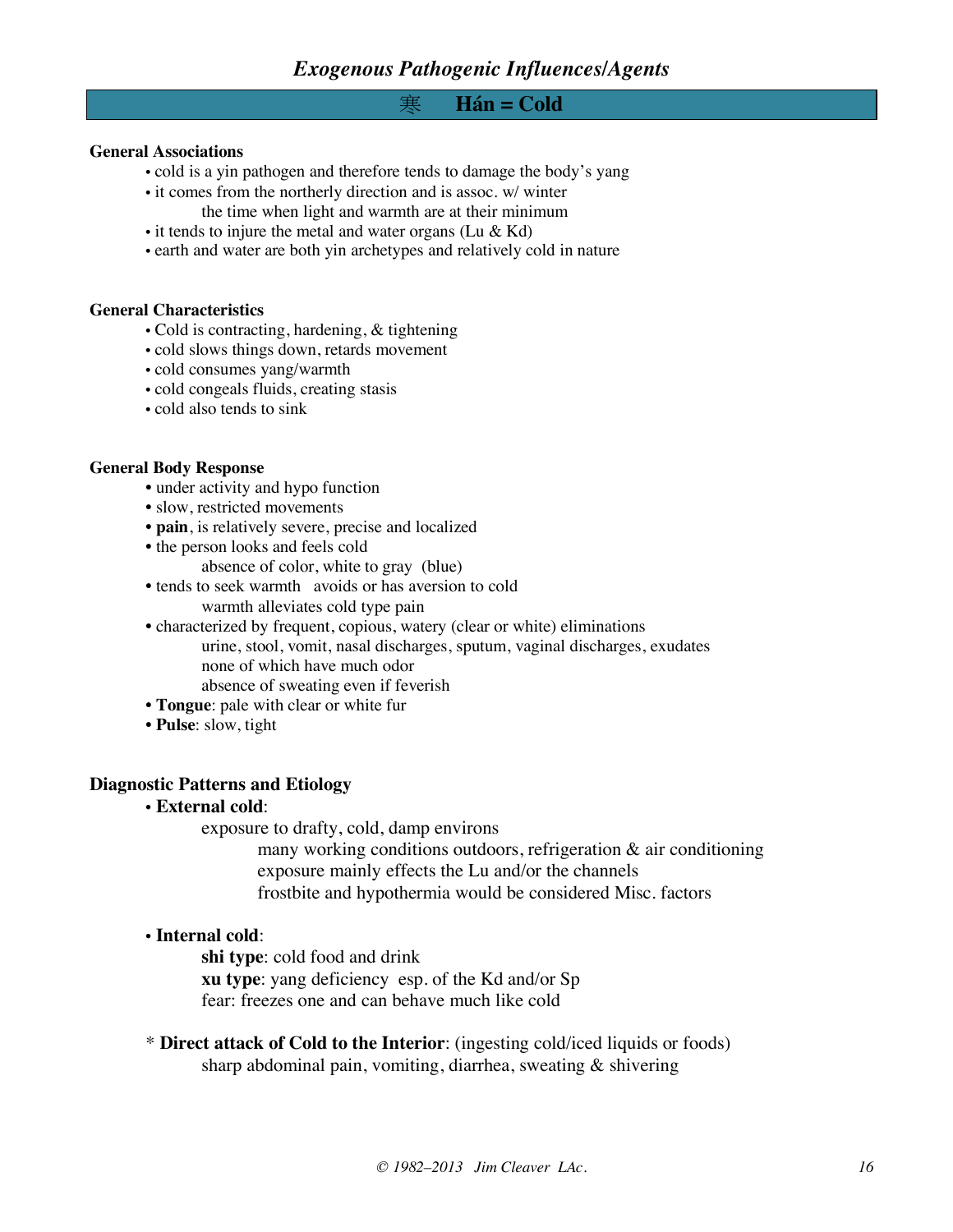#### 寒 **Hán = Cold**

#### **General Associations**

- cold is a yin pathogen and therefore tends to damage the body's yang
- it comes from the northerly direction and is assoc. w/ winter the time when light and warmth are at their minimum
- it tends to injure the metal and water organs (Lu & Kd)
- earth and water are both yin archetypes and relatively cold in nature

#### **General Characteristics**

- Cold is contracting, hardening, & tightening
- cold slows things down, retards movement
- cold consumes yang/warmth
- cold congeals fluids, creating stasis
- cold also tends to sink

#### **General Body Response**

- under activity and hypo function
- slow, restricted movements
- **pain**, is relatively severe, precise and localized
- the person looks and feels cold
	- absence of color, white to gray (blue)
- tends to seek warmth avoids or has aversion to cold warmth alleviates cold type pain
- characterized by frequent, copious, watery (clear or white) eliminations urine, stool, vomit, nasal discharges, sputum, vaginal discharges, exudates none of which have much odor absence of sweating even if feverish
- **Tongue**: pale with clear or white fur
- **Pulse**: slow, tight

#### **Diagnostic Patterns and Etiology**

• **External cold**:

exposure to drafty, cold, damp environs

many working conditions outdoors, refrigeration  $\&$  air conditioning exposure mainly effects the Lu and/or the channels frostbite and hypothermia would be considered Misc. factors

#### • **Internal cold**:

**shi type**: cold food and drink **xu type**: yang deficiency esp. of the Kd and/or Sp fear: freezes one and can behave much like cold

\* **Direct attack of Cold to the Interior**: (ingesting cold/iced liquids or foods) sharp abdominal pain, vomiting, diarrhea, sweating & shivering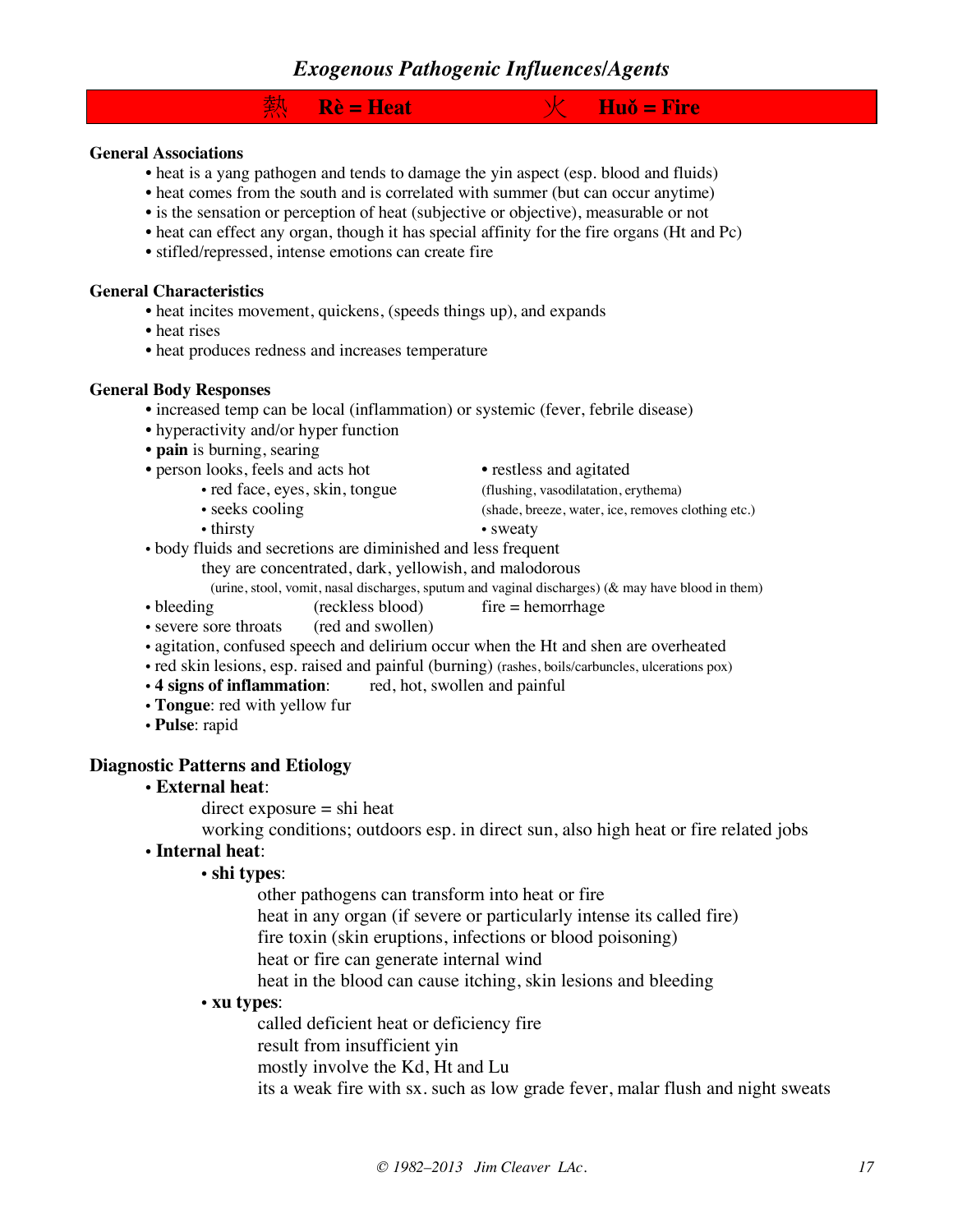### *Exogenous Pathogenic Influences/Agents*

## 熱 **Rè = Heat** 火 **Huǒ = Fire**

#### **General Associations**

- heat is a yang pathogen and tends to damage the yin aspect (esp. blood and fluids)
- heat comes from the south and is correlated with summer (but can occur anytime)
- is the sensation or perception of heat (subjective or objective), measurable or not
- heat can effect any organ, though it has special affinity for the fire organs (Ht and Pc)
- stifled/repressed, intense emotions can create fire

#### **General Characteristics**

- heat incites movement, quickens, (speeds things up), and expands
- heat rises
- heat produces redness and increases temperature

#### **General Body Responses**

- increased temp can be local (inflammation) or systemic (fever, febrile disease)
- hyperactivity and/or hyper function
- **pain** is burning, searing
- person looks, feels and acts hot restless and agitated
	- -
	-
- 
- red face, eyes, skin, tongue (flushing, vasodilatation, erythema)
- seeks cooling (shade, breeze, water, ice, removes clothing etc.)
- thirsty sweaty
- body fluids and secretions are diminished and less frequent
	- they are concentrated, dark, yellowish, and malodorous

(urine, stool, vomit, nasal discharges, sputum and vaginal discharges) (& may have blood in them)

- bleeding (reckless blood) fire = hemorrhage<br>• severe sore throats (red and swollen)
- severe sore throats
- agitation, confused speech and delirium occur when the Ht and shen are overheated
- red skin lesions, esp. raised and painful (burning) (rashes, boils/carbuncles, ulcerations pox)<br>• 4 signs of inflammation: red, hot, swollen and painful
- red, hot, swollen and painful
- **Tongue**: red with yellow fur
- **Pulse**: rapid

#### **Diagnostic Patterns and Etiology**

#### • **External heat**:

 $direct exposure =  $shift$  heat$ 

working conditions; outdoors esp. in direct sun, also high heat or fire related jobs

#### • **Internal heat**:

#### • **shi types**:

other pathogens can transform into heat or fire

heat in any organ (if severe or particularly intense its called fire)

fire toxin (skin eruptions, infections or blood poisoning)

heat or fire can generate internal wind

heat in the blood can cause itching, skin lesions and bleeding

#### • **xu types**:

called deficient heat or deficiency fire result from insufficient yin mostly involve the Kd, Ht and Lu its a weak fire with sx. such as low grade fever, malar flush and night sweats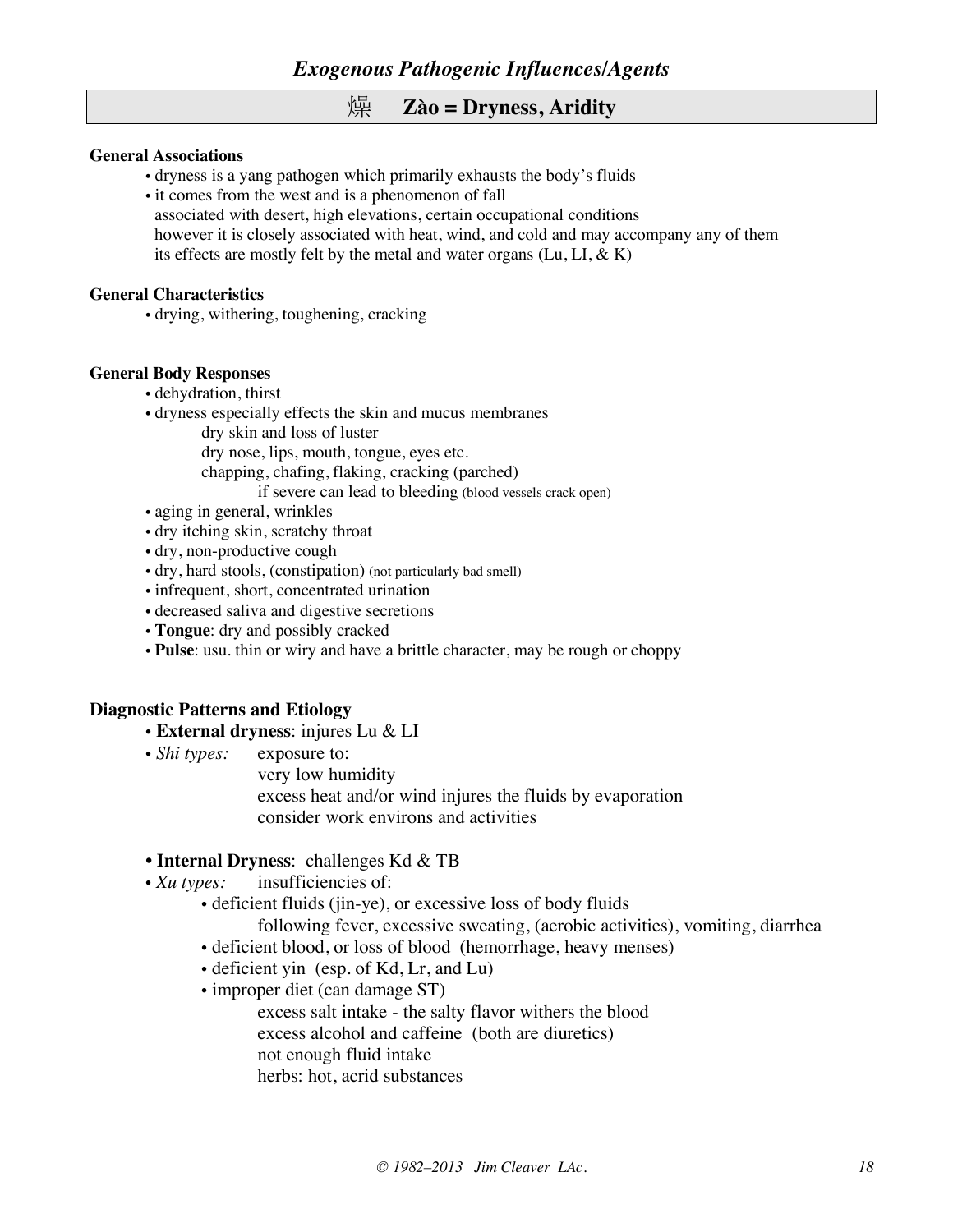### 燥 **Zào = Dryness, Aridity**

#### **General Associations**

- dryness is a yang pathogen which primarily exhausts the body's fluids
- it comes from the west and is a phenomenon of fall
- associated with desert, high elevations, certain occupational conditions however it is closely associated with heat, wind, and cold and may accompany any of them its effects are mostly felt by the metal and water organs  $(Lu, LI, & K)$

#### **General Characteristics**

• drying, withering, toughening, cracking

#### **General Body Responses**

- dehydration, thirst
- dryness especially effects the skin and mucus membranes
	- dry skin and loss of luster
		- dry nose, lips, mouth, tongue, eyes etc.
		- chapping, chafing, flaking, cracking (parched)
			- if severe can lead to bleeding (blood vessels crack open)
- aging in general, wrinkles
- dry itching skin, scratchy throat
- dry, non-productive cough
- dry, hard stools, (constipation) (not particularly bad smell)
- infrequent, short, concentrated urination
- decreased saliva and digestive secretions
- **Tongue**: dry and possibly cracked
- **Pulse**: usu. thin or wiry and have a brittle character, may be rough or choppy

#### **Diagnostic Patterns and Etiology**

- **External dryness**: injures Lu & LI
- *Shi types:* exposure to:
	- very low humidity
		- excess heat and/or wind injures the fluids by evaporation consider work environs and activities

#### • **Internal Dryness**: challenges Kd & TB

- *Xu types:* insufficiencies of:
	- deficient fluids (jin-ye), or excessive loss of body fluids
		- following fever, excessive sweating, (aerobic activities), vomiting, diarrhea
	- deficient blood, or loss of blood (hemorrhage, heavy menses)
	- deficient yin (esp. of Kd, Lr, and Lu)
	- improper diet (can damage ST)
		- excess salt intake the salty flavor withers the blood excess alcohol and caffeine (both are diuretics) not enough fluid intake herbs: hot, acrid substances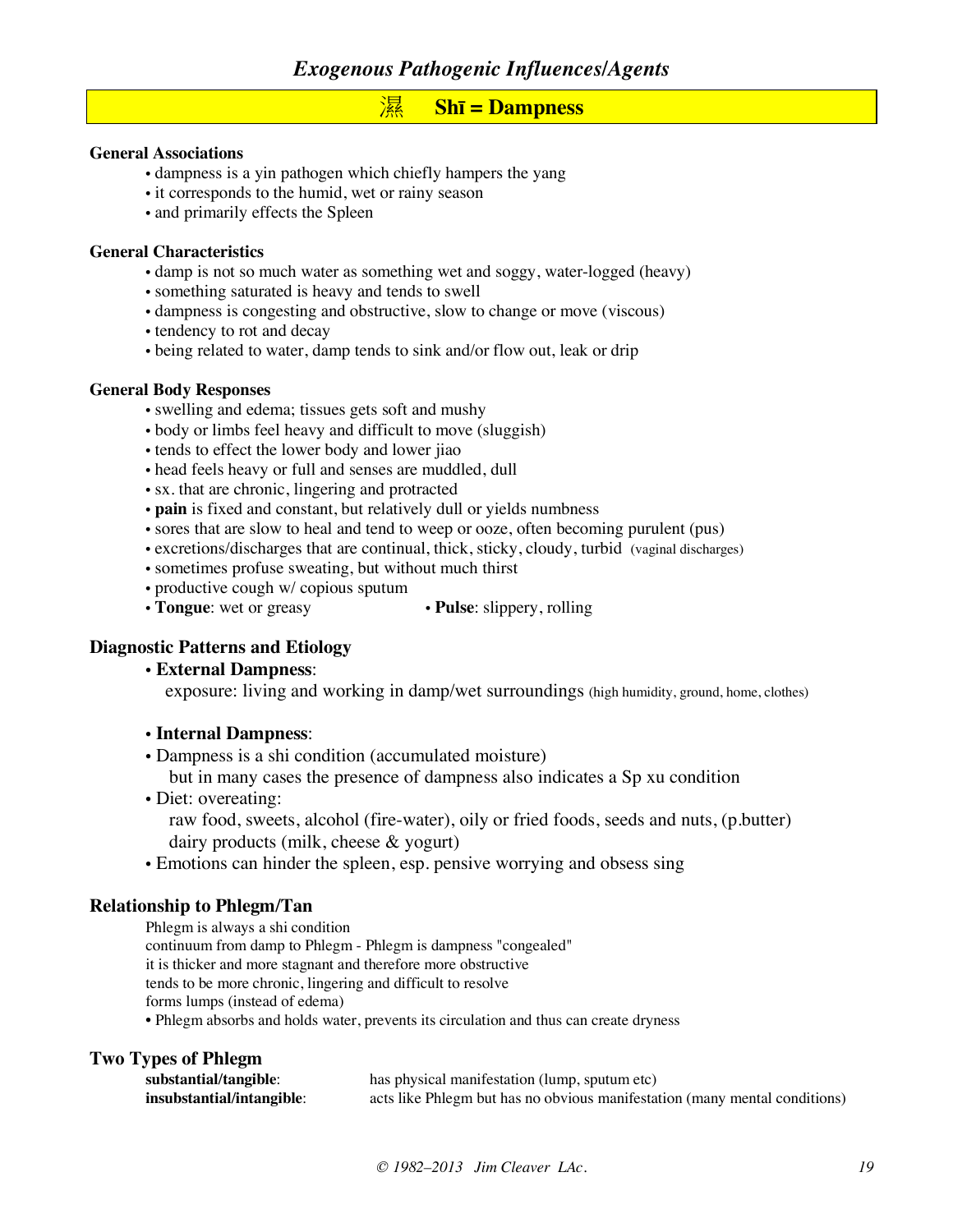### 濕 **Shī = Dampness**

#### **General Associations**

- dampness is a yin pathogen which chiefly hampers the yang
- it corresponds to the humid, wet or rainy season
- and primarily effects the Spleen

#### **General Characteristics**

- damp is not so much water as something wet and soggy, water-logged (heavy)
- something saturated is heavy and tends to swell
- dampness is congesting and obstructive, slow to change or move (viscous)
- tendency to rot and decay
- being related to water, damp tends to sink and/or flow out, leak or drip

#### **General Body Responses**

- swelling and edema; tissues gets soft and mushy
- body or limbs feel heavy and difficult to move (sluggish)
- tends to effect the lower body and lower jiao
- head feels heavy or full and senses are muddled, dull
- sx. that are chronic, lingering and protracted
- **pain** is fixed and constant, but relatively dull or yields numbness
- sores that are slow to heal and tend to weep or ooze, often becoming purulent (pus)
- excretions/discharges that are continual, thick, sticky, cloudy, turbid (vaginal discharges)
- sometimes profuse sweating, but without much thirst
- productive cough w/ copious sputum<br>• Tongue: wet or greasy
- **Pulse**: slippery, rolling

#### **Diagnostic Patterns and Etiology**

#### • **External Dampness**:

exposure: living and working in damp/wet surroundings (high humidity, ground, home, clothes)

#### • **Internal Dampness**:

- Dampness is a shi condition (accumulated moisture) but in many cases the presence of dampness also indicates a Sp xu condition
- Diet: overeating: raw food, sweets, alcohol (fire-water), oily or fried foods, seeds and nuts, (p.butter) dairy products (milk, cheese & yogurt)
- Emotions can hinder the spleen, esp. pensive worrying and obsess sing

#### **Relationship to Phlegm/Tan**

| Phlegm is always a shi condition                                                       |
|----------------------------------------------------------------------------------------|
| continuum from damp to Phlegm - Phlegm is dampness "congealed"                         |
| it is thicker and more stagnant and therefore more obstructive                         |
| tends to be more chronic, lingering and difficult to resolve                           |
| forms lumps (instead of edema)                                                         |
| • Phlegm absorbs and holds water, prevents its circulation and thus can create dryness |

#### **Two Types of Phlegm**

| substantial/tangible:     | has physical manifestation (lump, sputum etc)                              |
|---------------------------|----------------------------------------------------------------------------|
| insubstantial/intangible: | acts like Phlegm but has no obvious manifestation (many mental conditions) |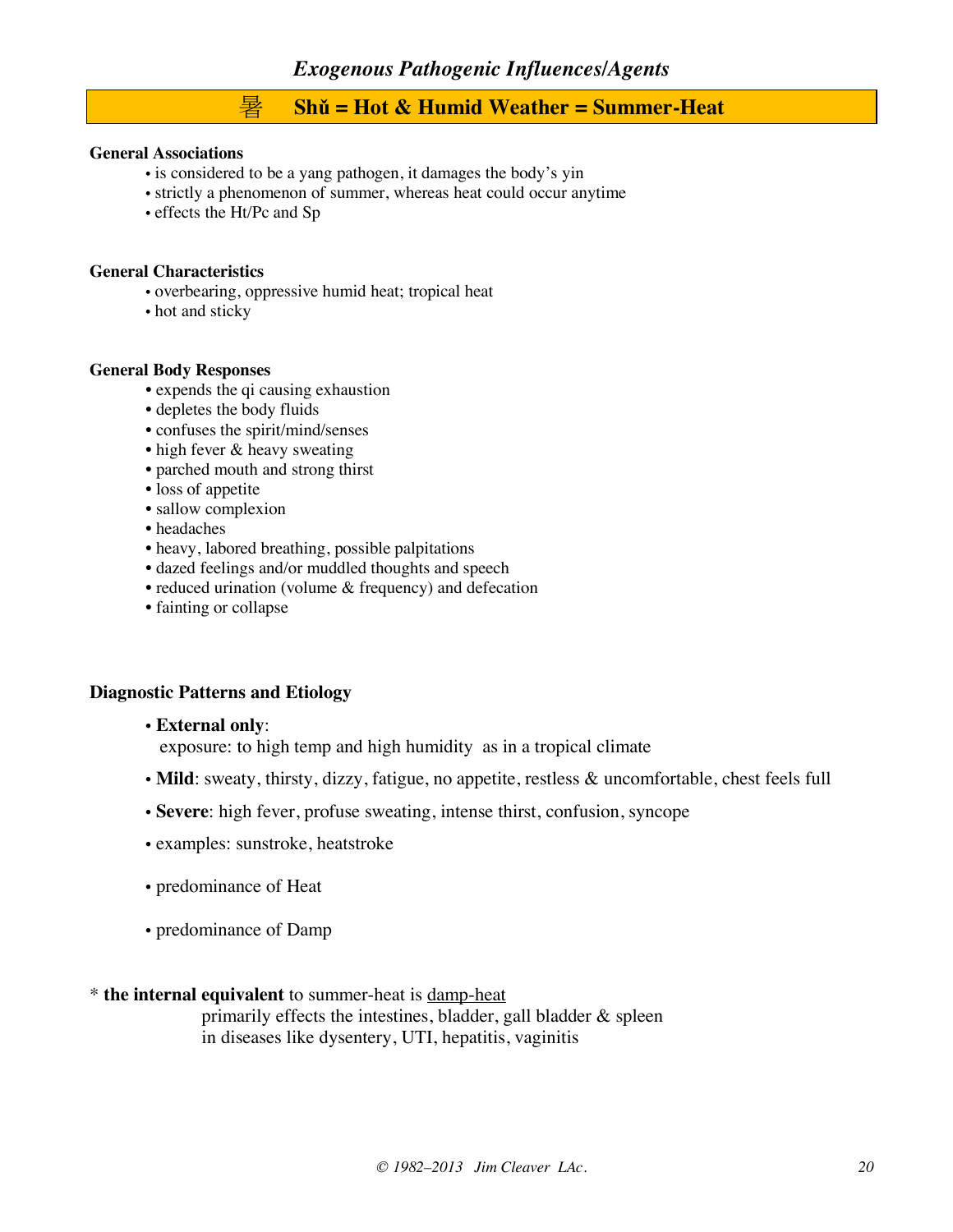## 暑 **Shǔ = Hot & Humid Weather = Summer-Heat**

#### **General Associations**

- is considered to be a yang pathogen, it damages the body's yin
- strictly a phenomenon of summer, whereas heat could occur anytime
- effects the Ht/Pc and Sp

#### **General Characteristics**

- overbearing, oppressive humid heat; tropical heat
- hot and sticky

#### **General Body Responses**

- expends the qi causing exhaustion
- depletes the body fluids
- confuses the spirit/mind/senses
- high fever & heavy sweating
- parched mouth and strong thirst
- loss of appetite
- sallow complexion
- headaches
- heavy, labored breathing, possible palpitations
- dazed feelings and/or muddled thoughts and speech
- reduced urination (volume & frequency) and defecation
- fainting or collapse

#### **Diagnostic Patterns and Etiology**

• **External only**:

exposure: to high temp and high humidity as in a tropical climate

- **Mild**: sweaty, thirsty, dizzy, fatigue, no appetite, restless & uncomfortable, chest feels full
- **Severe**: high fever, profuse sweating, intense thirst, confusion, syncope
- examples: sunstroke, heatstroke
- predominance of Heat
- predominance of Damp

#### \* **the internal equivalent** to summer-heat is damp-heat

primarily effects the intestines, bladder, gall bladder & spleen in diseases like dysentery, UTI, hepatitis, vaginitis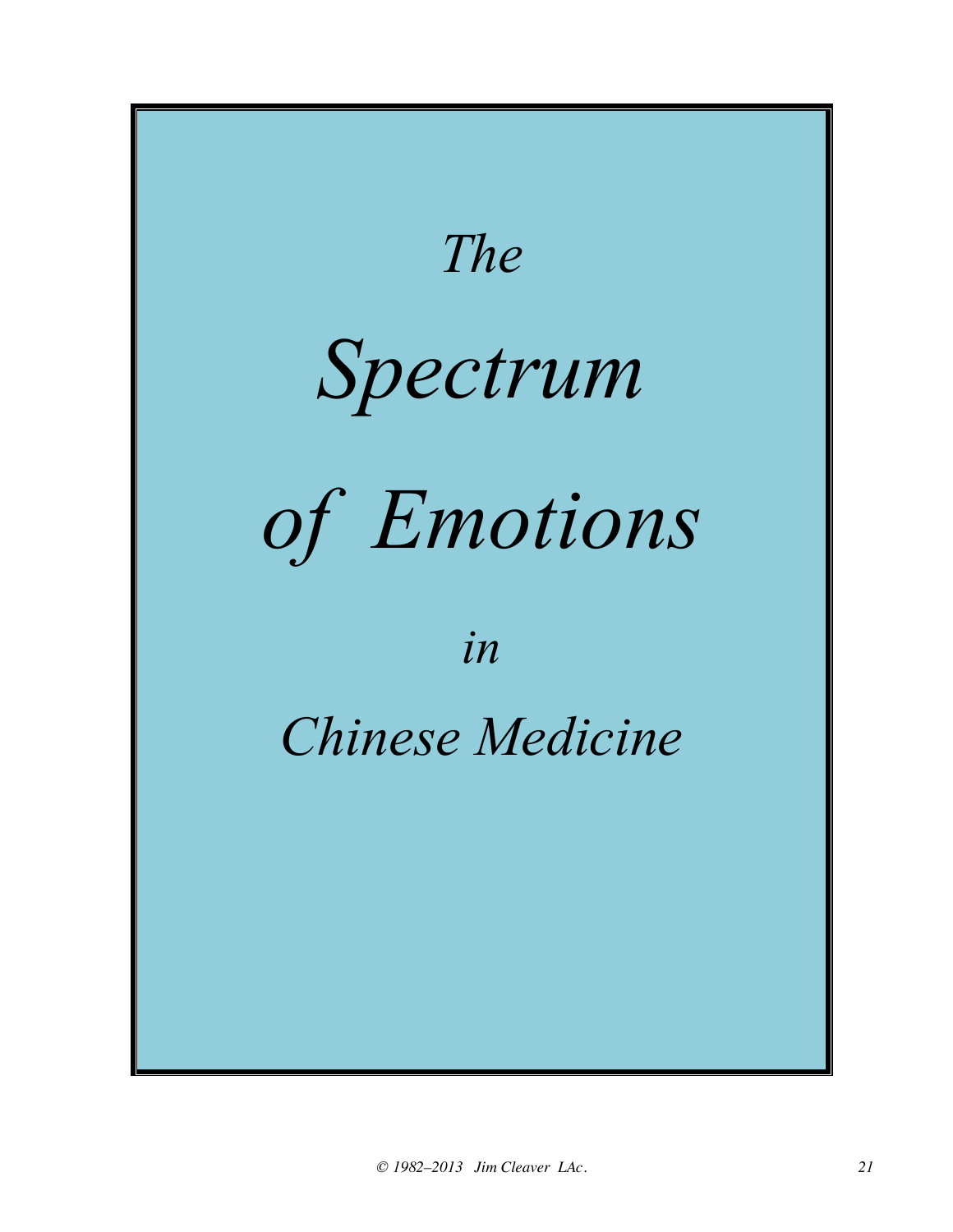![](_page_20_Figure_0.jpeg)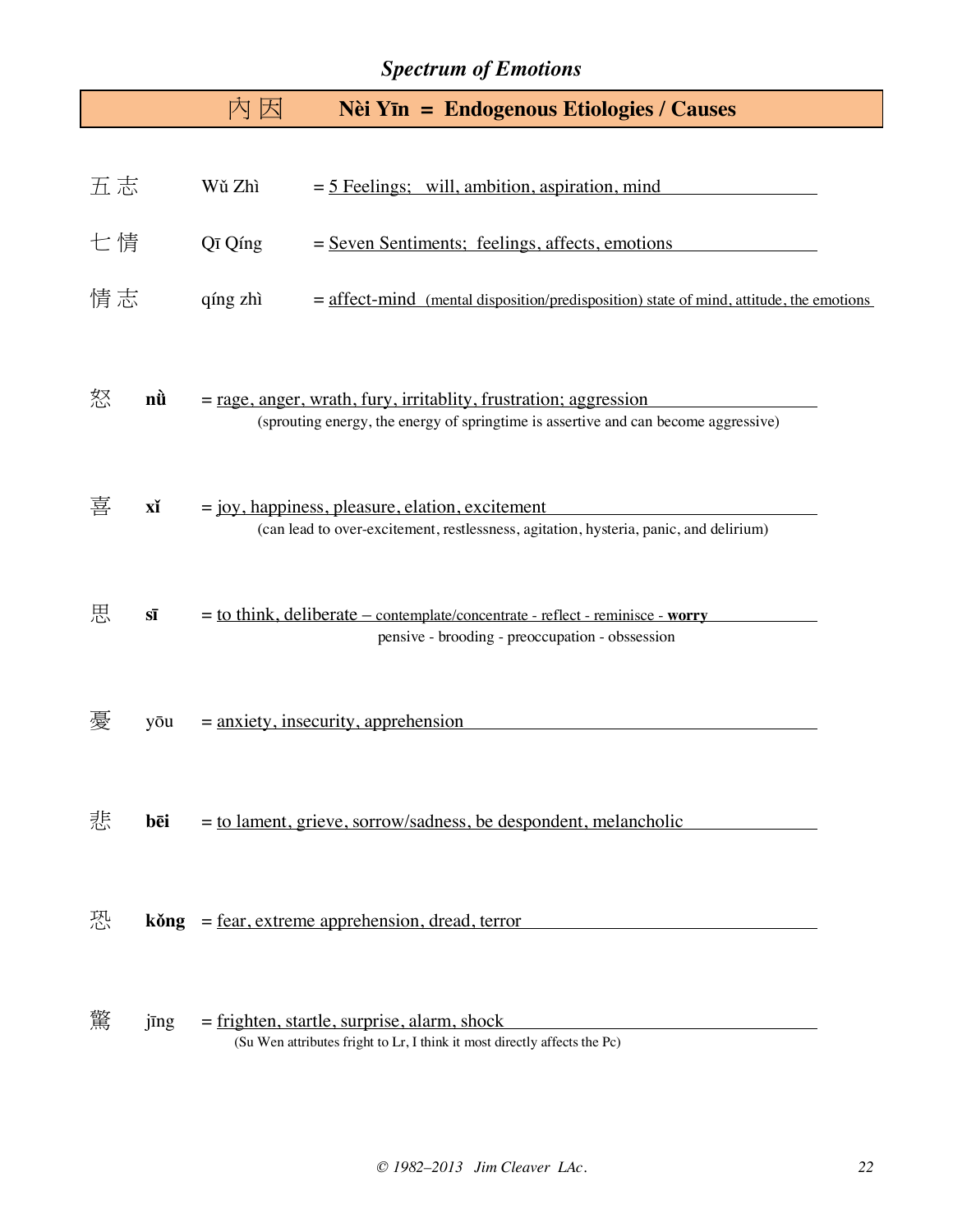## *Spectrum of Emotions*

|    |                          | 因<br>囚                                | <b>Nèi Yīn = Endogenous Etiologies / Causes</b>                                                                                                           |
|----|--------------------------|---------------------------------------|-----------------------------------------------------------------------------------------------------------------------------------------------------------|
| 五志 |                          | Wǔ Zhì                                | $=$ 5 Feelings; will, ambition, aspiration, mind                                                                                                          |
| 七情 |                          | Qī Qíng                               | = Seven Sentiments; feelings, affects, emotions                                                                                                           |
| 情志 |                          | qíng zhì                              | $=$ affect-mind (mental disposition/predisposition) state of mind, attitude, the emotions                                                                 |
| 怒  | nù                       |                                       | $=$ rage, anger, wrath, fury, irritablity, frustration; aggression<br>(sprouting energy, the energy of springtime is assertive and can become aggressive) |
| 喜  | xĭ                       |                                       | $=$ joy, happiness, pleasure, elation, excitement<br>(can lead to over-excitement, restlessness, agitation, hysteria, panic, and delirium)                |
| 思  | $S\overline{\mathbf{l}}$ |                                       | = to think, deliberate – contemplate/concentrate - reflect - reminisce - worry<br>pensive - brooding - preoccupation - obssession                         |
| 憂  | yōu                      | $=$ anxiety, insecurity, apprehension |                                                                                                                                                           |
| 悲  | bēi                      |                                       | = to lament, grieve, sorrow/sadness, be despondent, melancholic                                                                                           |
| 恐  |                          |                                       | $k\delta$ ng = fear, extreme apprehension, dread, terror                                                                                                  |
| 驚  | jīng                     |                                       | $=$ frighten, startle, surprise, alarm, shock<br>(Su Wen attributes fright to Lr, I think it most directly affects the Pc)                                |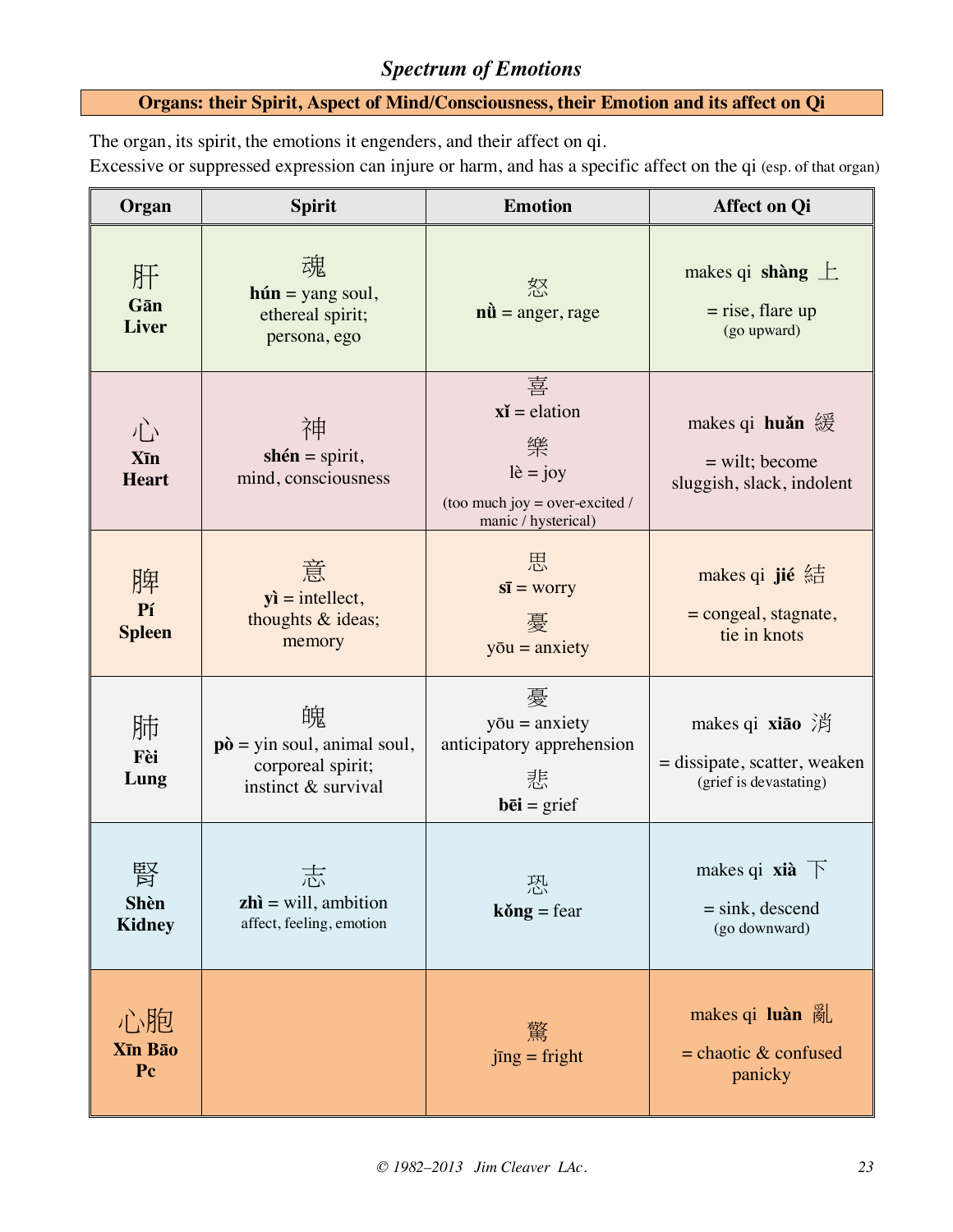## *Spectrum of Emotions*

### **Organs: their Spirit, Aspect of Mind/Consciousness, their Emotion and its affect on Qi**

The organ, its spirit, the emotions it engenders, and their affect on qi.

Excessive or suppressed expression can injure or harm, and has a specific affect on the qi (esp. of that organ)

| Organ                        | <b>Spirit</b>                                                                                          | <b>Emotion</b>                                                                                                 | <b>Affect on Qi</b>                                                                                 |
|------------------------------|--------------------------------------------------------------------------------------------------------|----------------------------------------------------------------------------------------------------------------|-----------------------------------------------------------------------------------------------------|
| 肝<br>Gān<br><b>Liver</b>     | 魂<br>$hún = yang soul,$<br>ethereal spirit;<br>persona, ego                                            | 怒<br>$n\hat{u}$ = anger, rage                                                                                  | makes qi shàng $\pm$<br>$=$ rise, flare up<br>(go upward)                                           |
| 心<br>Xīn<br><b>Heart</b>     | 神<br>shén = spirit,<br>mind, consciousness                                                             | 喜<br>$x\mathbf{i}$ = elation<br>樂<br>$l\hat{e} = joy$<br>(too much joy = over-excited /<br>manic / hysterical) | makes qi huǎn 緩<br>$=$ wilt; become<br>sluggish, slack, indolent                                    |
| 脾<br>Pí<br><b>Spleen</b>     | 意<br>$yi = intellect,$<br>thoughts & ideas;<br>memory                                                  | 思<br>$s\bar{s}$ = worry<br>憂<br>$y\bar{o}u =$ anxiety                                                          | makes qi jié $\text{st}$<br>$=$ congeal, stagnate,<br>tie in knots                                  |
| 肺<br>Fèi<br>Lung             | 魄<br>$\mathbf{p}\hat{\mathbf{o}} =$ yin soul, animal soul,<br>corporeal spirit;<br>instinct & survival | 憂<br>$y\bar{o}u =$ anxiety<br>anticipatory apprehension<br>悲<br>$b\overline{e}$ <b>i</b> = grief               | makes qi <b>xiao</b> $\overrightarrow{p}$<br>= dissipate, scatter, weaken<br>(grief is devastating) |
| <b>Shèn</b><br><b>Kidney</b> | $\mathbf{z}$ hì = will, ambition<br>affect, feeling, emotion                                           | 恐<br>$k\delta$ ng = fear                                                                                       | makes qi <b>xià</b> $\top$<br>$=$ sink, descend<br>(go downward)                                    |
| 心胞<br>Xīn Bāo<br>Pc          |                                                                                                        | 驚<br>$jng = fright$                                                                                            | makes qi luàn $\tilde{\mathcal{B}}$<br>$=$ chaotic $\&$ confused<br>panicky                         |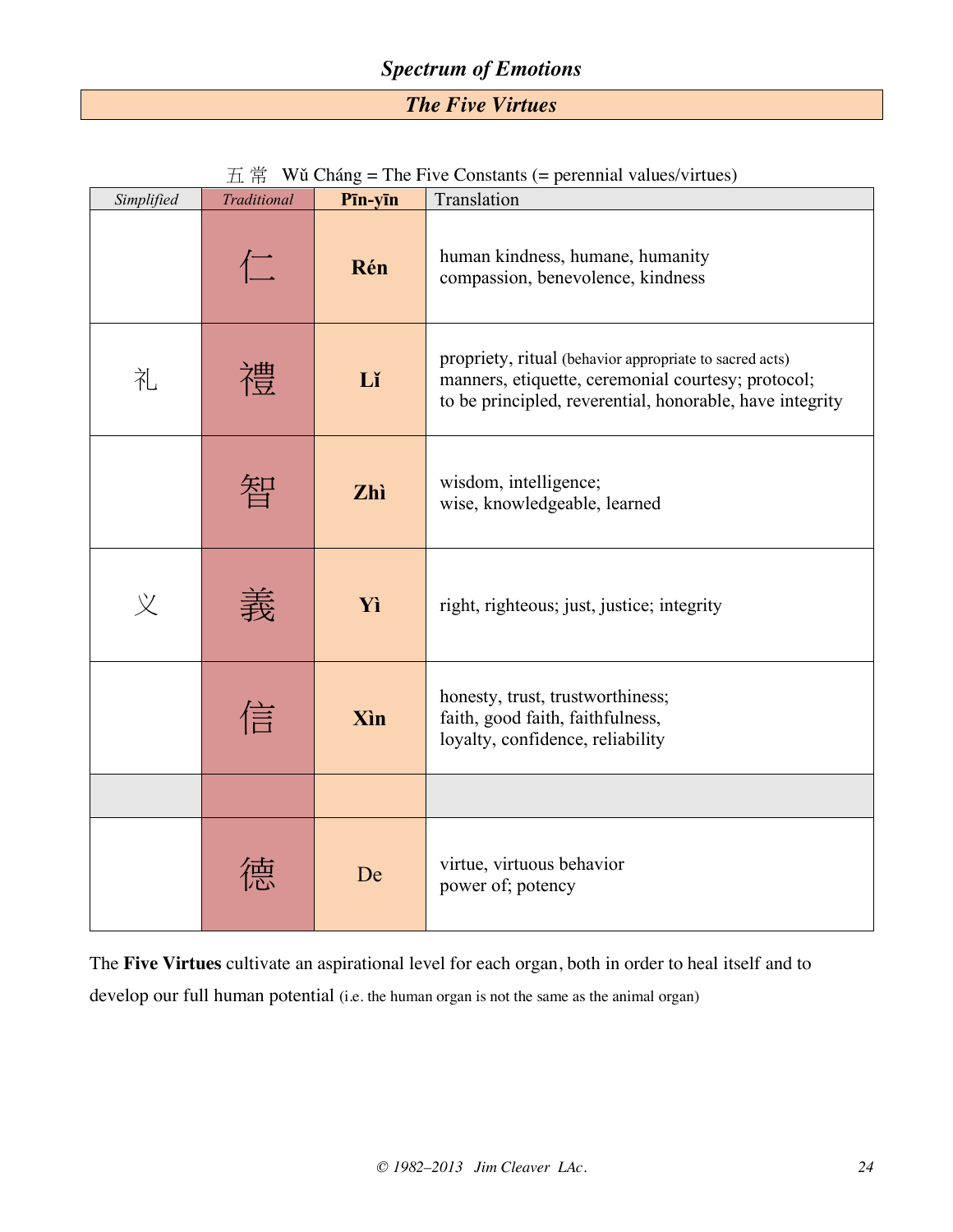## *Spectrum of Emotions*

*The Five Virtues*

| $\overline{\text{H}}$ $\overline{\text{H}}$ Wǔ Cháng = The Five Constants (= perennial values/virtues) |
|--------------------------------------------------------------------------------------------------------|
|                                                                                                        |

| Simplified | <b>Traditional</b> | Pīn-yīn     | Translation                                                                                                                                                               |  |
|------------|--------------------|-------------|---------------------------------------------------------------------------------------------------------------------------------------------------------------------------|--|
|            | 仁                  | Rén         | human kindness, humane, humanity<br>compassion, benevolence, kindness                                                                                                     |  |
| 礼          | 禮                  | Lĭ          | propriety, ritual (behavior appropriate to sacred acts)<br>manners, etiquette, ceremonial courtesy; protocol;<br>to be principled, reverential, honorable, have integrity |  |
|            | 智                  | Zhì         | wisdom, intelligence;<br>wise, knowledgeable, learned                                                                                                                     |  |
| 义          | 桒                  | Yì          | right, righteous; just, justice; integrity                                                                                                                                |  |
|            | 信                  | <b>X</b> in | honesty, trust, trustworthiness;<br>faith, good faith, faithfulness,<br>loyalty, confidence, reliability                                                                  |  |
|            |                    |             |                                                                                                                                                                           |  |
|            |                    | De          | virtue, virtuous behavior<br>power of; potency                                                                                                                            |  |

The **Five Virtues** cultivate an aspirational level for each organ, both in order to heal itself and to develop our full human potential (i.e. the human organ is not the same as the animal organ)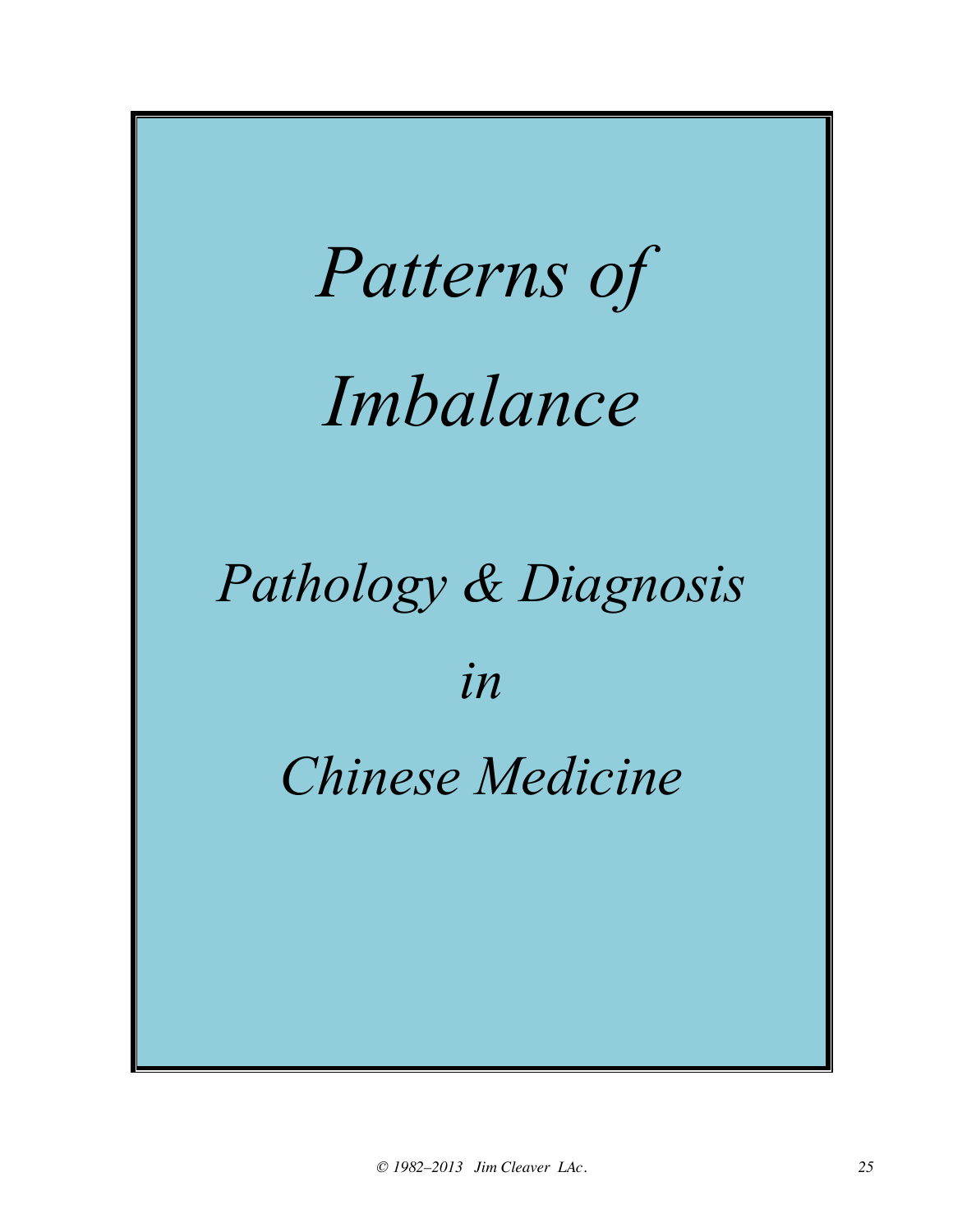![](_page_24_Picture_0.jpeg)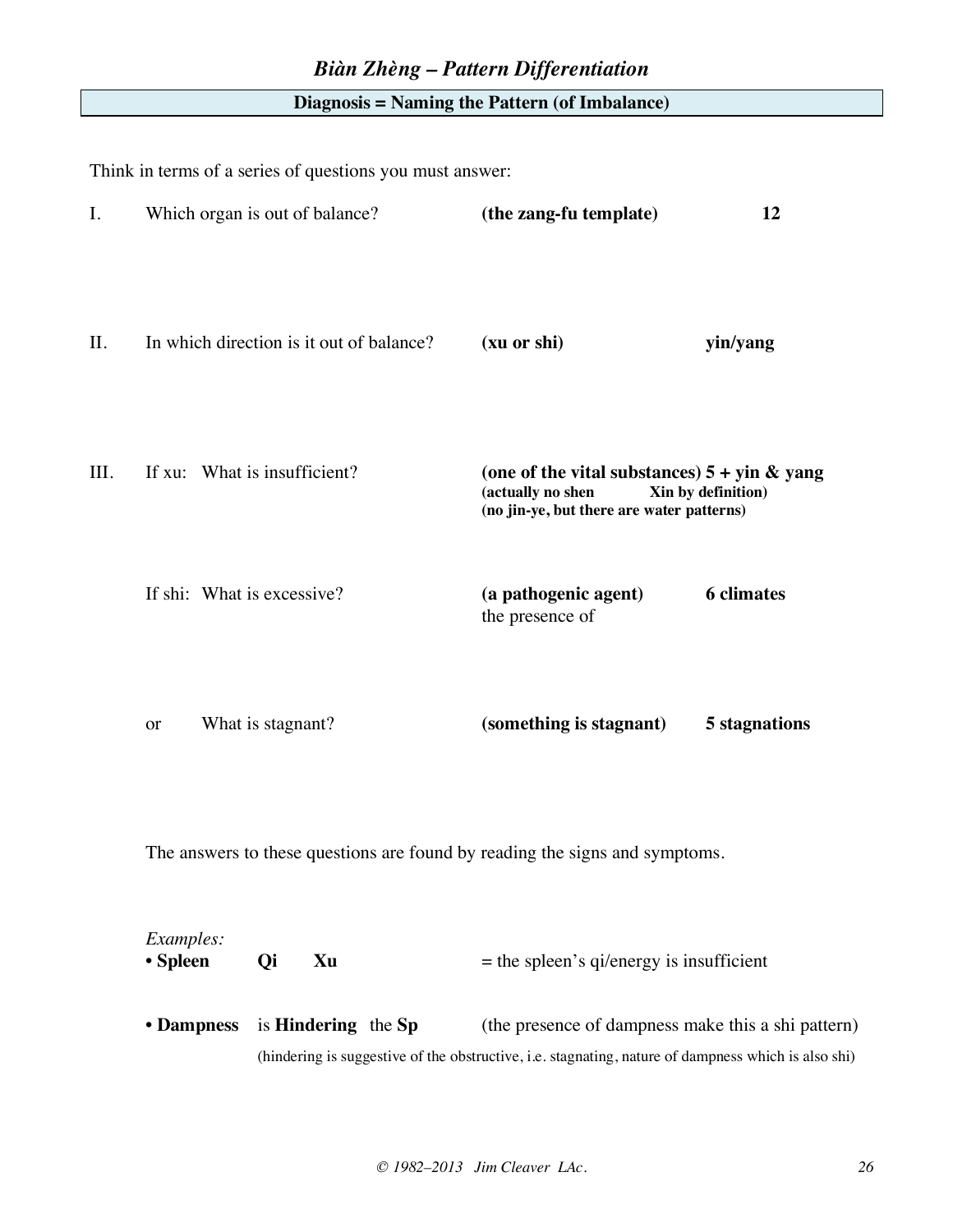#### **Diagnosis = Naming the Pattern (of Imbalance)**

Think in terms of a series of questions you must answer:

| I.   |                            | Which organ is out of balance?           | (the zang-fu template)                                                                                                                                    | 12                 |
|------|----------------------------|------------------------------------------|-----------------------------------------------------------------------------------------------------------------------------------------------------------|--------------------|
| II.  |                            | In which direction is it out of balance? | (xu or shi)                                                                                                                                               | yin/yang           |
| III. |                            | If xu: What is insufficient?             | (one of the vital substances) $5 + \sin \&$ yang<br>(actually no shen<br>(no jin-ye, but there are water patterns)                                        | Xin by definition) |
|      | If shi: What is excessive? |                                          | (a pathogenic agent)<br>the presence of                                                                                                                   | <b>6</b> climates  |
|      | <b>or</b>                  | What is stagnant?                        | (something is stagnant)                                                                                                                                   | 5 stagnations      |
|      |                            |                                          | The answers to these questions are found by reading the signs and symptoms.                                                                               |                    |
|      | Examples:<br>• Spleen      | Qi<br>Xu                                 | $=$ the spleen's qi/energy is insufficient                                                                                                                |                    |
|      | • Dampness                 | is <b>Hindering</b> the Sp               | (the presence of dampness make this a shi pattern)<br>(hindering is suggestive of the obstructive, i.e. stagnating, nature of dampness which is also shi) |                    |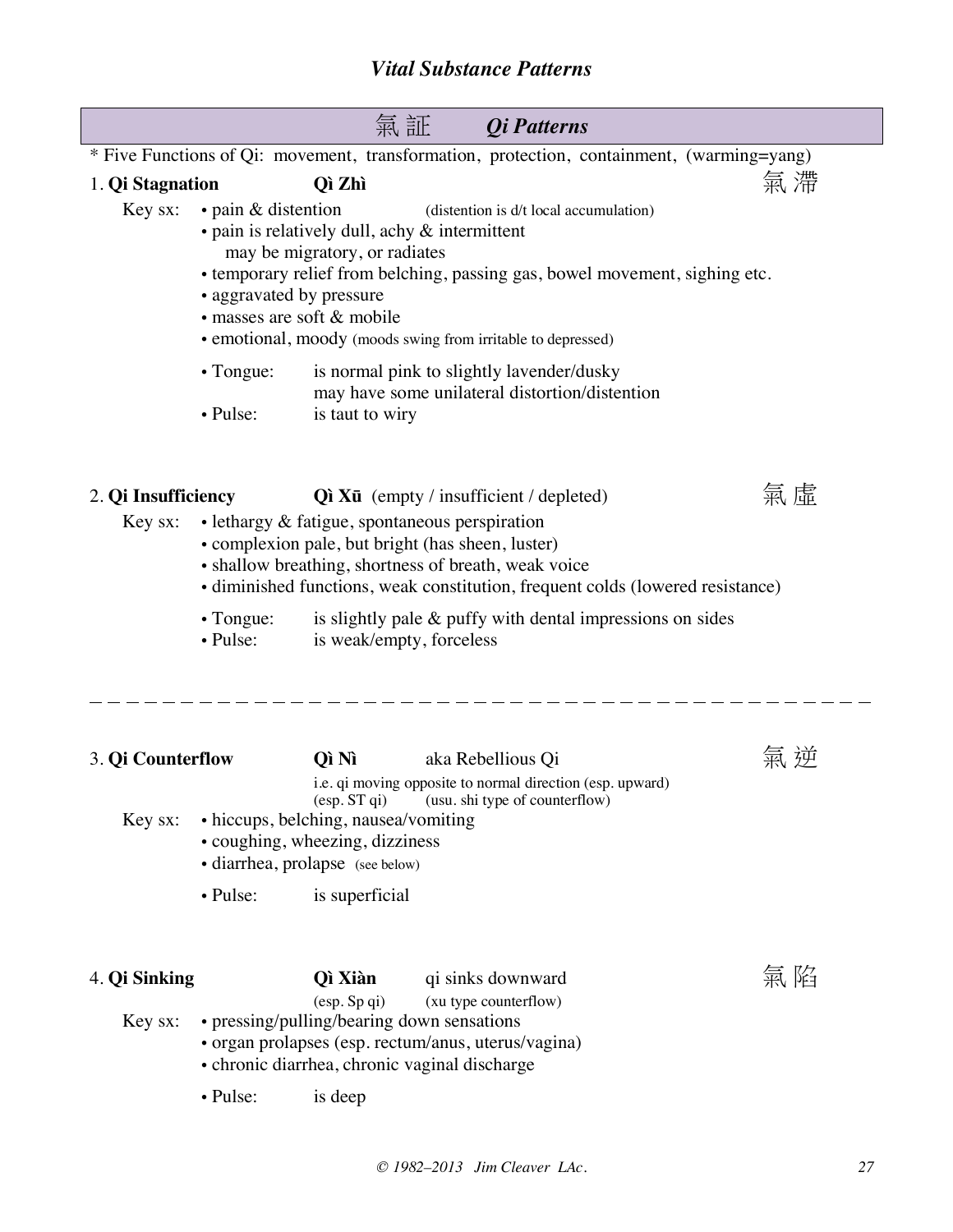|                                |                                                       |                                                                                                                                      | 氣 証<br><i><b>Qi</b></i> Patterns                                                                                                                                                                                                                                                                       |    |
|--------------------------------|-------------------------------------------------------|--------------------------------------------------------------------------------------------------------------------------------------|--------------------------------------------------------------------------------------------------------------------------------------------------------------------------------------------------------------------------------------------------------------------------------------------------------|----|
|                                |                                                       |                                                                                                                                      | * Five Functions of Qi: movement, transformation, protection, containment, (warming=yang)                                                                                                                                                                                                              |    |
| 1. Qi Stagnation               |                                                       | Qì Zhì                                                                                                                               |                                                                                                                                                                                                                                                                                                        | 氣滯 |
| Key sx:                        | $\cdot$ pain & distention<br>• aggravated by pressure | may be migratory, or radiates<br>· masses are soft & mobile                                                                          | (distention is d/t local accumulation)<br>$\bullet$ pain is relatively dull, achy $\&$ intermittent<br>• temporary relief from belching, passing gas, bowel movement, sighing etc.<br>• emotional, moody (moods swing from irritable to depressed)                                                     |    |
|                                | $\cdot$ Tongue:<br>• Pulse:                           | is taut to wiry                                                                                                                      | is normal pink to slightly lavender/dusky<br>may have some unilateral distortion/distention                                                                                                                                                                                                            |    |
| 2. Qi Insufficiency<br>Key sx: |                                                       |                                                                                                                                      | $Q$ ì Xū (empty / insufficient / depleted)<br>$\bullet$ lethargy $\&$ fatigue, spontaneous perspiration<br>• complexion pale, but bright (has sheen, luster)<br>• shallow breathing, shortness of breath, weak voice<br>• diminished functions, weak constitution, frequent colds (lowered resistance) | 席  |
|                                | $\cdot$ Tongue:<br>$\bullet$ Pulse:                   | is weak/empty, forceless                                                                                                             | is slightly pale $\&$ puffy with dental impressions on sides                                                                                                                                                                                                                                           |    |
| 3. Qi Counterflow              |                                                       | Qì Nì                                                                                                                                | aka Rebellious Qi                                                                                                                                                                                                                                                                                      |    |
| Key sx:                        |                                                       | $(\text{esp. ST qi})$<br>• hiccups, belching, nausea/vomiting<br>• coughing, wheezing, dizziness<br>· diarrhea, prolapse (see below) | i.e. qi moving opposite to normal direction (esp. upward)<br>(usu. shi type of counterflow)                                                                                                                                                                                                            |    |
|                                | • Pulse:                                              | is superficial                                                                                                                       |                                                                                                                                                                                                                                                                                                        |    |
| 4. Qi Sinking                  |                                                       | Qì Xiàn<br>(esp. Sp qi)                                                                                                              | qi sinks downward<br>(xu type counterflow)                                                                                                                                                                                                                                                             | 氣陷 |
| Key sx:                        |                                                       |                                                                                                                                      | • pressing/pulling/bearing down sensations<br>· organ prolapses (esp. rectum/anus, uterus/vagina)<br>• chronic diarrhea, chronic vaginal discharge                                                                                                                                                     |    |
|                                | • Pulse:                                              | is deep                                                                                                                              |                                                                                                                                                                                                                                                                                                        |    |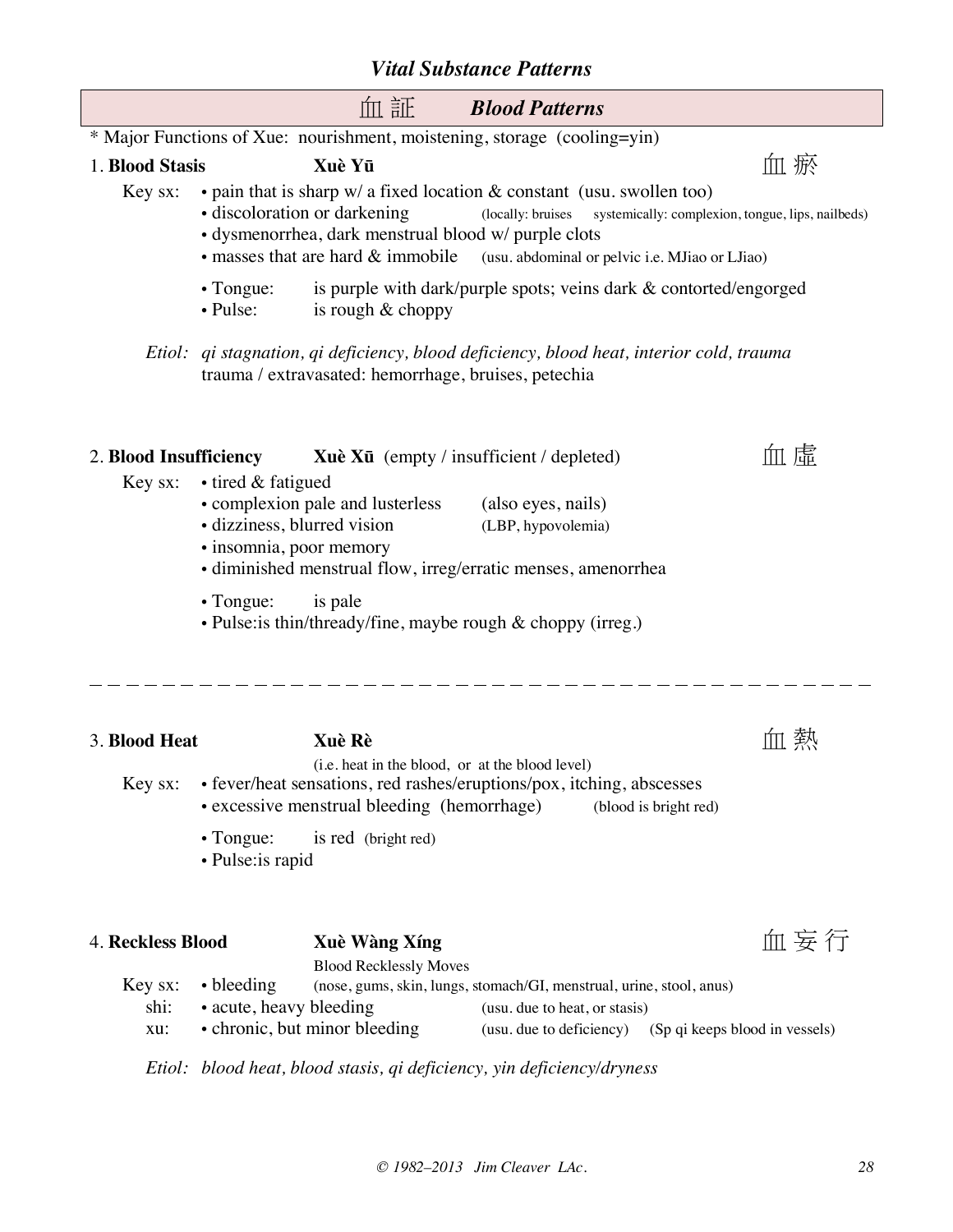|                 | 血証<br><b>Blood Patterns</b>                                                                                                                                                                                                                                                                                                      |
|-----------------|----------------------------------------------------------------------------------------------------------------------------------------------------------------------------------------------------------------------------------------------------------------------------------------------------------------------------------|
|                 | * Major Functions of Xue: nourishment, moistening, storage (cooling=yin)                                                                                                                                                                                                                                                         |
| 1. Blood Stasis | 血 瘀<br>Xuè Yū                                                                                                                                                                                                                                                                                                                    |
| Key sx:         | • pain that is sharp $w/a$ fixed location $\&$ constant (usu. swollen too)<br>· discoloration or darkening<br>(locally: bruises systemically: complexion, tongue, lips, nailbeds)<br>· dysmenorrhea, dark menstrual blood w/ purple clots<br>• masses that are hard & immobile<br>(usu. abdominal or pelvic i.e. MJiao or LJiao) |
|                 | is purple with dark/purple spots; veins dark & contorted/engorged<br>$\cdot$ Tongue:<br>• Pulse:<br>is rough & choppy                                                                                                                                                                                                            |
|                 | Etiol: qi stagnation, qi deficiency, blood deficiency, blood heat, interior cold, trauma<br>trauma / extravasated: hemorrhage, bruises, petechia                                                                                                                                                                                 |
|                 | 血虛<br><b>Xuè Xū</b> (empty / insufficient / depleted)<br>2. Blood Insufficiency                                                                                                                                                                                                                                                  |
| Key sx:         | • tired & fatigued<br>• complexion pale and lusterless<br>(also eyes, nails)<br>· dizziness, blurred vision<br>(LBP, hypovolemia)<br>· insomnia, poor memory<br>· diminished menstrual flow, irreg/erratic menses, amenorrhea                                                                                                    |
|                 | $\cdot$ Tongue:<br>is pale<br>• Pulse: is thin/thready/fine, maybe rough & choppy (irreg.)                                                                                                                                                                                                                                       |
| 3. Blood Heat   | ,蔡<br>Xuè Rè<br>ÍШ<br>(i.e. heat in the blood, or at the blood level)                                                                                                                                                                                                                                                            |
| Key sx:         | • fever/heat sensations, red rashes/eruptions/pox, itching, abscesses                                                                                                                                                                                                                                                            |

- excessive menstrual bleeding (hemorrhage) (blood is bright red)
	- Tongue: is red (bright red)
	- Pulse:is rapid

| <b>4. Reckless Blood</b> |      |                                | Xuè Wàng Xíng                 |                                                                      | 血妄行 |
|--------------------------|------|--------------------------------|-------------------------------|----------------------------------------------------------------------|-----|
|                          |      |                                | <b>Blood Recklessly Moves</b> |                                                                      |     |
|                          |      | $Key sx: \rightarrow bleeding$ |                               | (nose, gums, skin, lungs, stomach/GI, menstrual, urine, stool, anus) |     |
|                          | shi: | • acute, heavy bleeding        |                               | (usu, due to heat, or stasis)                                        |     |
|                          | XU:  |                                | • chronic, but minor bleeding | (usu. due to deficiency) (Sp qi keeps blood in vessels)              |     |
|                          |      |                                |                               |                                                                      |     |

*Etiol: blood heat, blood stasis, qi deficiency, yin deficiency/dryness*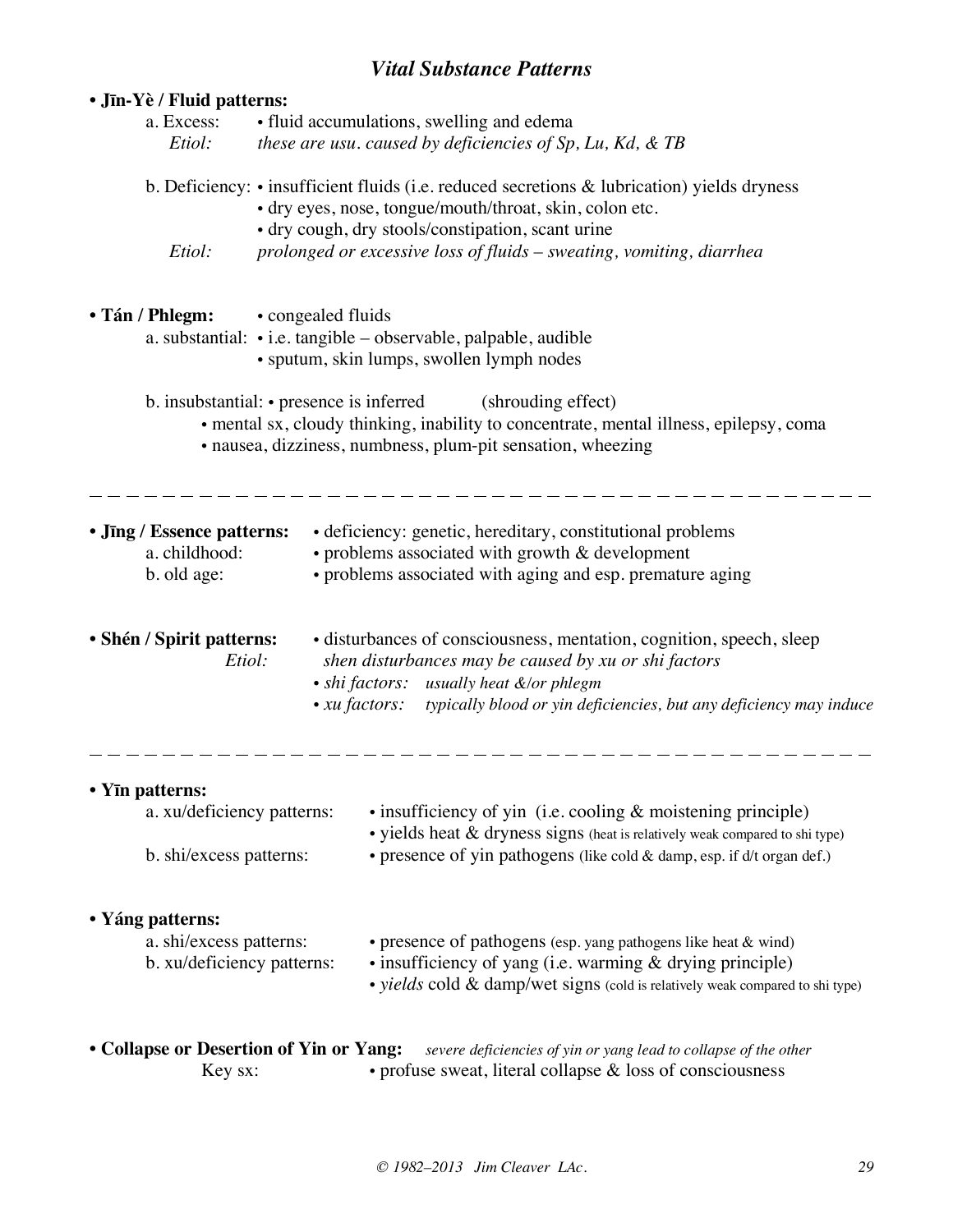## *Vital Substance Patterns*

| • Jīn-Yè / Fluid patterns:                                                |                                                                                                                                    |                                                                                                                                                                                                                                                             |  |  |  |  |  |
|---------------------------------------------------------------------------|------------------------------------------------------------------------------------------------------------------------------------|-------------------------------------------------------------------------------------------------------------------------------------------------------------------------------------------------------------------------------------------------------------|--|--|--|--|--|
| a. Excess:                                                                |                                                                                                                                    | • fluid accumulations, swelling and edema                                                                                                                                                                                                                   |  |  |  |  |  |
| Etiol:                                                                    |                                                                                                                                    | these are usu. caused by deficiencies of Sp, Lu, Kd, & TB                                                                                                                                                                                                   |  |  |  |  |  |
|                                                                           |                                                                                                                                    | b. Deficiency: • insufficient fluids (i.e. reduced secretions & lubrication) yields dryness<br>• dry eyes, nose, tongue/mouth/throat, skin, colon etc.<br>• dry cough, dry stools/constipation, scant urine                                                 |  |  |  |  |  |
| Etiol:                                                                    |                                                                                                                                    | prolonged or excessive loss of fluids - sweating, vomiting, diarrhea                                                                                                                                                                                        |  |  |  |  |  |
| • Tán / Phlegm:                                                           | • congealed fluids<br>a. substantial: • i.e. tangible - observable, palpable, audible<br>• sputum, skin lumps, swollen lymph nodes |                                                                                                                                                                                                                                                             |  |  |  |  |  |
|                                                                           |                                                                                                                                    | b. insubstantial: • presence is inferred (shrouding effect)<br>• mental sx, cloudy thinking, inability to concentrate, mental illness, epilepsy, coma<br>· nausea, dizziness, numbness, plum-pit sensation, wheezing                                        |  |  |  |  |  |
| • Jīng / Essence patterns:<br>a. childhood:<br>b. old age:                |                                                                                                                                    | • deficiency: genetic, hereditary, constitutional problems<br>$\cdot$ problems associated with growth $\&$ development<br>• problems associated with aging and esp. premature aging                                                                         |  |  |  |  |  |
| • Shén / Spirit patterns:<br>Etiol:                                       |                                                                                                                                    | • disturbances of consciousness, mentation, cognition, speech, sleep<br>shen disturbances may be caused by xu or shi factors<br>• shi factors: usually heat &/or phlegm<br>• xu factors: typically blood or yin deficiencies, but any deficiency may induce |  |  |  |  |  |
| • Yīn patterns:                                                           |                                                                                                                                    |                                                                                                                                                                                                                                                             |  |  |  |  |  |
| a. xu/deficiency patterns:                                                |                                                                                                                                    | $\bullet$ insufficiency of yin (i.e. cooling $\&$ moistening principle)<br>$\bullet$ yields heat $\&$ dryness signs (heat is relatively weak compared to shi type)                                                                                          |  |  |  |  |  |
| b. shi/excess patterns:                                                   |                                                                                                                                    | • presence of yin pathogens (like cold & damp, esp. if d/t organ def.)                                                                                                                                                                                      |  |  |  |  |  |
| • Yáng patterns:<br>a. shi/excess patterns:<br>b. xu/deficiency patterns: |                                                                                                                                    | • presence of pathogens (esp. yang pathogens like heat & wind)<br>• insufficiency of yang (i.e. warming & drying principle)<br>• yields cold & damp/wet signs (cold is relatively weak compared to shi type)                                                |  |  |  |  |  |
| • Collapse or Desertion of Yin or Yang:<br>Key sx:                        |                                                                                                                                    | severe deficiencies of yin or yang lead to collapse of the other<br>• profuse sweat, literal collapse $\&$ loss of consciousness                                                                                                                            |  |  |  |  |  |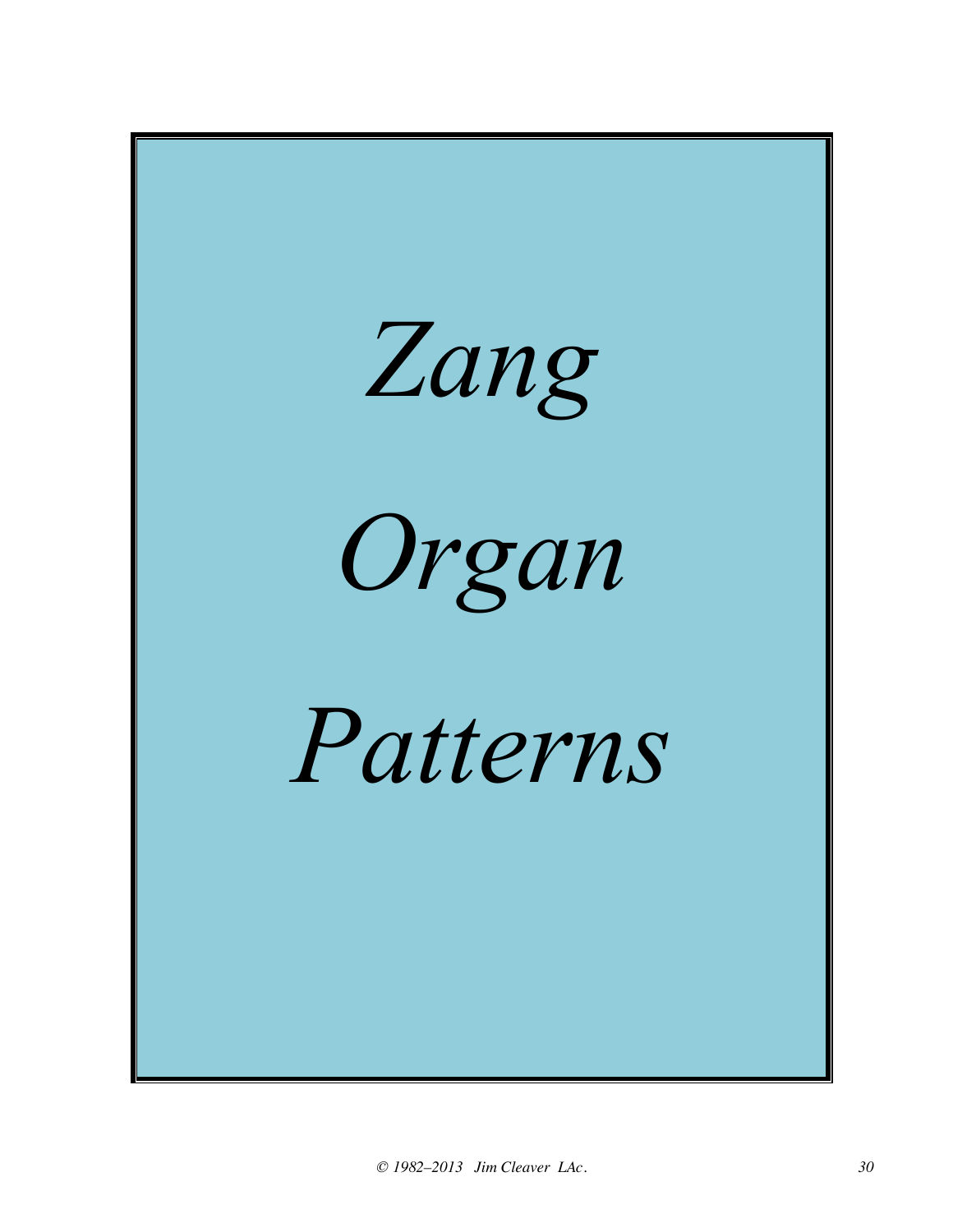![](_page_29_Picture_0.jpeg)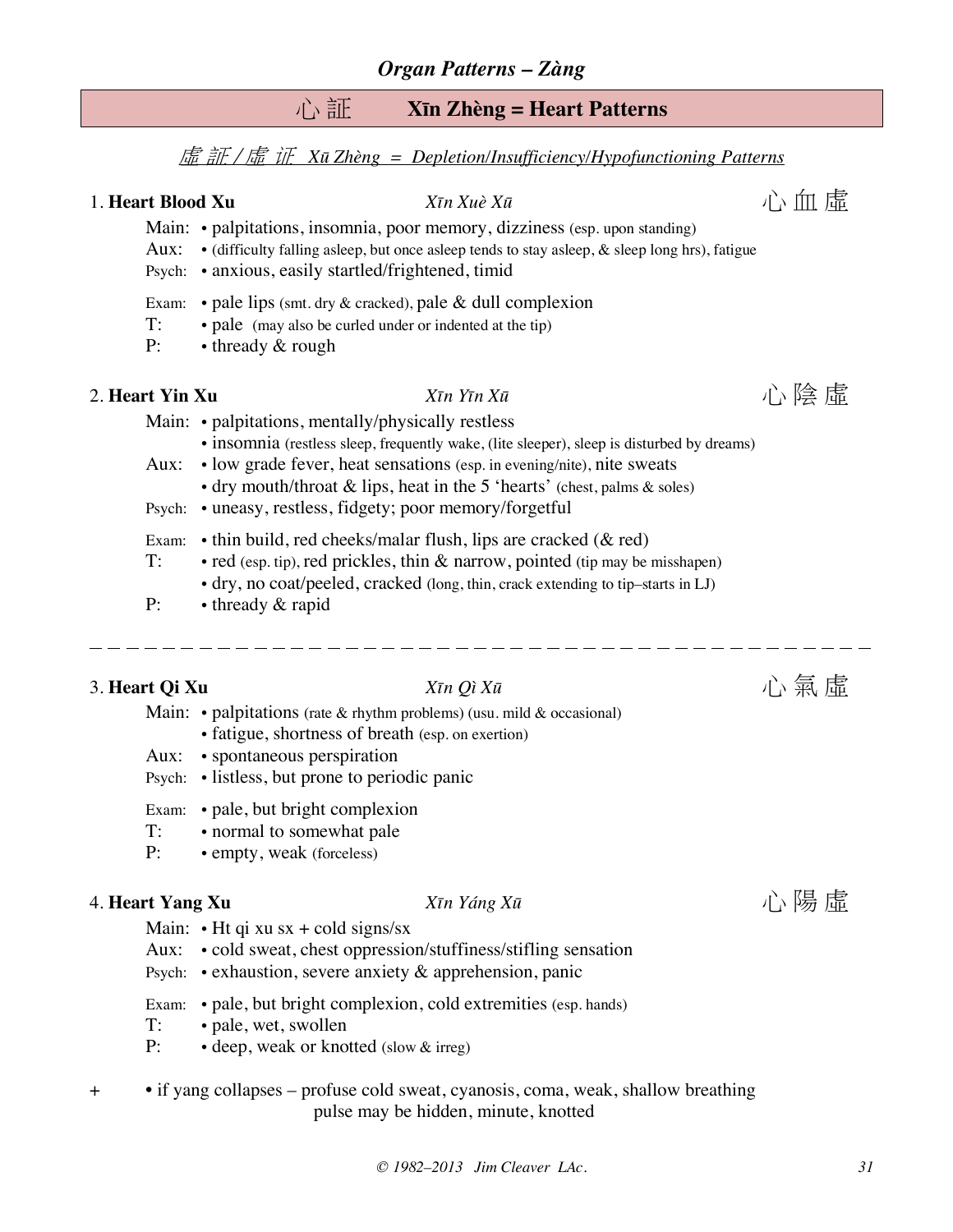## 心 証 **Xīn Zhèng = Heart Patterns**

#### 虛 証 / 虛 证 *Xū Zhèng = Depletion/Insufficiency/Hypofunctioning Patterns*

## 1. **Heart Blood Xu**  $X\bar{\imath}$ *n Xuè X* $\bar{\imath}$   $X\bar{\imath}$ *n Xuè X* $\bar{\imath}$   $X\bar{\imath}$   $X\bar{\imath}$   $X\bar{\imath}$   $X\bar{\imath}$   $X\bar{\imath}$   $X\bar{\imath}$   $X\bar{\imath}$   $X\bar{\imath}$   $X\bar{\imath}$   $X\bar{\imath}$   $X\bar{\imath}$   $X\bar{\imath}$   $X\bar{\imath}$   $X\bar{\imath}$   $X\bar{\im$

- Main: palpitations, insomnia, poor memory, dizziness (esp. upon standing)
- Aux:  $\bullet$  (difficulty falling asleep, but once asleep tends to stay asleep, & sleep long hrs), fatigue
- Psych: anxious, easily startled/frightened, timid
- Exam:  $\bullet$  pale lips (smt. dry & cracked), pale & dull complexion
- T: pale (may also be curled under or indented at the tip)
- P: thready & rough

## 2. **Heart Yin Xu**  $\qquad \qquad \qquad X\overline{u}$  *X* $\overline{u}$  *X* $\overline{u}$  **b**  $\qquad \qquad \qquad \qquad \qquad$   $\qquad \qquad$   $\qquad \qquad$   $\qquad$   $\qquad$   $\qquad$   $\qquad$   $\qquad$   $\qquad$   $\qquad$   $\qquad$   $\qquad$   $\qquad$   $\qquad$   $\qquad$   $\qquad$   $\qquad$   $\qquad$   $\qquad$   $\qquad$   $\qquad$   $\qquad$   $\qquad$

Main: • palpitations, mentally/physically restless

- insomnia (restless sleep, frequently wake, (lite sleeper), sleep is disturbed by dreams)
- Aux: low grade fever, heat sensations (esp. in evening/nite), nite sweats
	- dry mouth/throat  $\&$  lips, heat in the 5 'hearts' (chest, palms  $\&$  soles)
- Psych: uneasy, restless, fidgety; poor memory/forgetful
- Exam: thin build, red cheeks/malar flush, lips are cracked (& red)
- T: red (esp. tip), red prickles, thin & narrow, pointed (tip may be misshapen)
	- dry, no coat/peeled, cracked (long, thin, crack extending to tip–starts in LJ)
- P: thready & rapid

## 3. **Heart Qi Xu**  $\qquad \qquad \qquad X\bar{\iota}n Q\bar{\iota} X\bar{\iota}$  **1.**  $\qquad \qquad \qquad \qquad \qquad \qquad$

- Main: palpitations (rate  $\&$  rhythm problems) (usu. mild  $\&$  occasional)
	- fatigue, shortness of breath (esp. on exertion)
- Aux: spontaneous perspiration
- Psych: listless, but prone to periodic panic
- Exam: pale, but bright complexion
- T: normal to somewhat pale
- P: empty, weak (forceless)

## 4. **Heart Yang Xu** *Xīn Yáng Xū* 心 陽 虛

#### Main:  $\cdot$  Ht qi xu sx + cold signs/sx

- Aux: cold sweat, chest oppression/stuffiness/stifling sensation
- Psych: exhaustion, severe anxiety & apprehension, panic
- Exam: pale, but bright complexion, cold extremities (esp. hands)
- T: pale, wet, swollen
- P: deep, weak or knotted (slow & irreg)
- + if yang collapses profuse cold sweat, cyanosis, coma, weak, shallow breathing pulse may be hidden, minute, knotted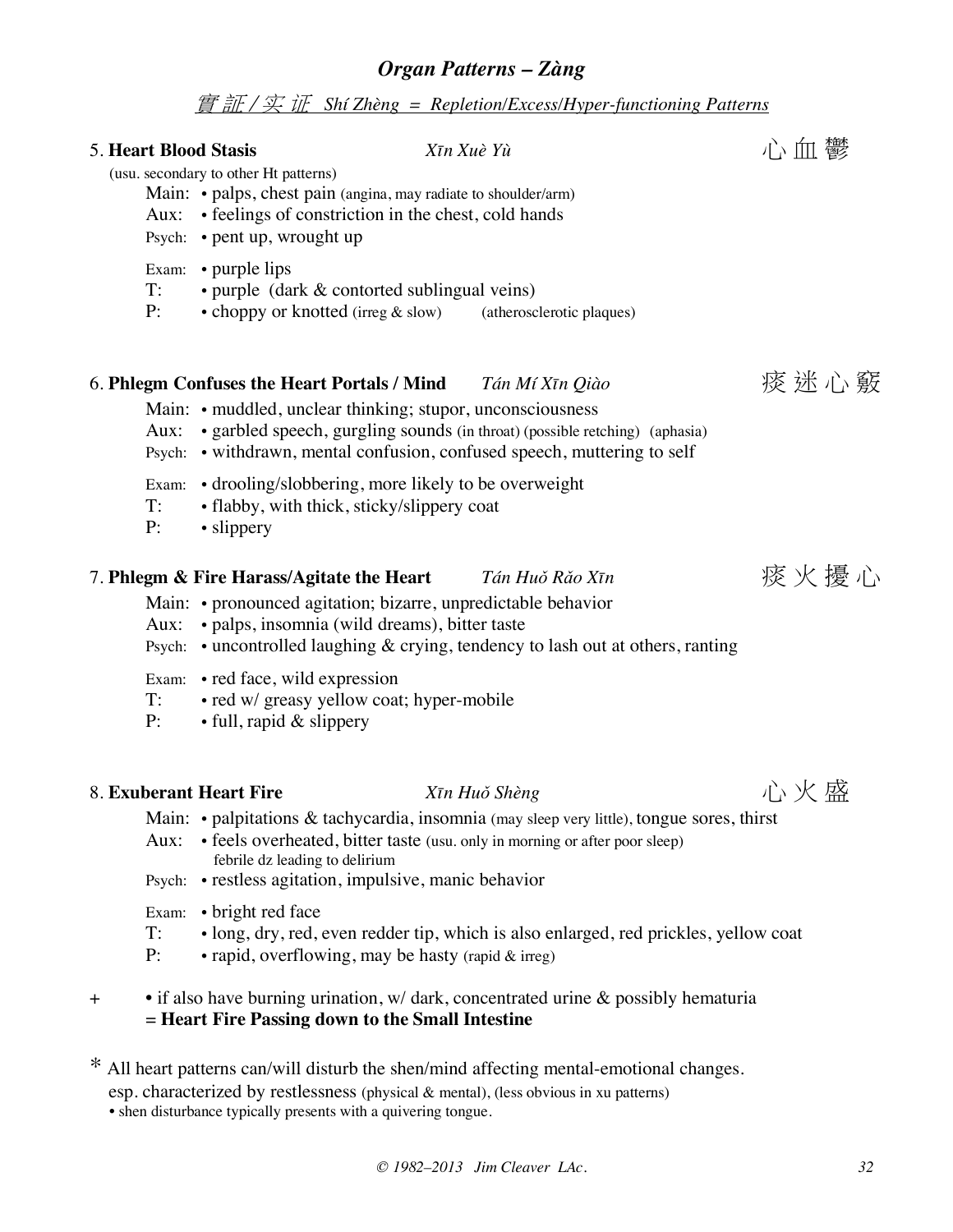### 實 証 / 实 证 *Shí Zhèng = Repletion/Excess/Hyper-functioning Patterns*

| Aux:                | <b>5. Heart Blood Stasis</b><br>(usu. secondary to other Ht patterns)<br>Main: • palps, chest pain (angina, may radiate to shoulder/arm)<br>• feelings of constriction in the chest, cold hands<br>Psych: • pent up, wrought up                 | Xīn Xuè Yù                                                                                                                                                          |      |
|---------------------|-------------------------------------------------------------------------------------------------------------------------------------------------------------------------------------------------------------------------------------------------|---------------------------------------------------------------------------------------------------------------------------------------------------------------------|------|
| T:<br>P:            | Exam: • purple lips<br>• purple (dark & contorted sublingual veins)<br>• choppy or knotted (irreg & slow) (atherosclerotic plaques)                                                                                                             |                                                                                                                                                                     |      |
| Aux:<br>$T$ :<br>P: | 6. Phlegm Confuses the Heart Portals / Mind<br>Main: • muddled, unclear thinking; stupor, unconsciousness<br>Psych:<br>• drooling/slobbering, more likely to be overweight<br>Exam:<br>• flabby, with thick, sticky/slippery coat<br>• slippery | Tán Mí Xīn Qiào<br>• garbled speech, gurgling sounds (in throat) (possible retching) (aphasia)<br>• withdrawn, mental confusion, confused speech, muttering to self | 痰迷心竅 |
| Aux:                | 7. Phlegm & Fire Harass/Agitate the Heart<br>Main: • pronounced agitation; bizarre, unpredictable behavior<br>· palps, insomnia (wild dreams), bitter taste<br>Psych:<br>Exam: • red face, wild expression                                      | Tán Huǒ Rǎo Xīn<br>$\bullet$ uncontrolled laughing $\&$ crying, tendency to lash out at others, ranting                                                             | 痰火擾心 |

- T: red w/ greasy yellow coat; hyper-mobile
- P: full, rapid & slippery

## 8. **Exuberant Heart Fire** *Xīn Huǒ Shèng* 心 火 盛

- Main: palpitations & tachycardia, insomnia (may sleep very little), tongue sores, thirst
- Aux: feels overheated, bitter taste (usu. only in morning or after poor sleep) febrile dz leading to delirium
- Psych: restless agitation, impulsive, manic behavior
- Exam: bright red face
- T: long, dry, red, even redder tip, which is also enlarged, red prickles, yellow coat
- P:  $\bullet$  rapid, overflowing, may be hasty (rapid & irreg)
- + if also have burning urination, w/ dark, concentrated urine & possibly hematuria = **Heart Fire Passing down to the Small Intestine**

\* All heart patterns can/will disturb the shen/mind affecting mental-emotional changes. esp. characterized by restlessness (physical & mental), (less obvious in xu patterns) • shen disturbance typically presents with a quivering tongue.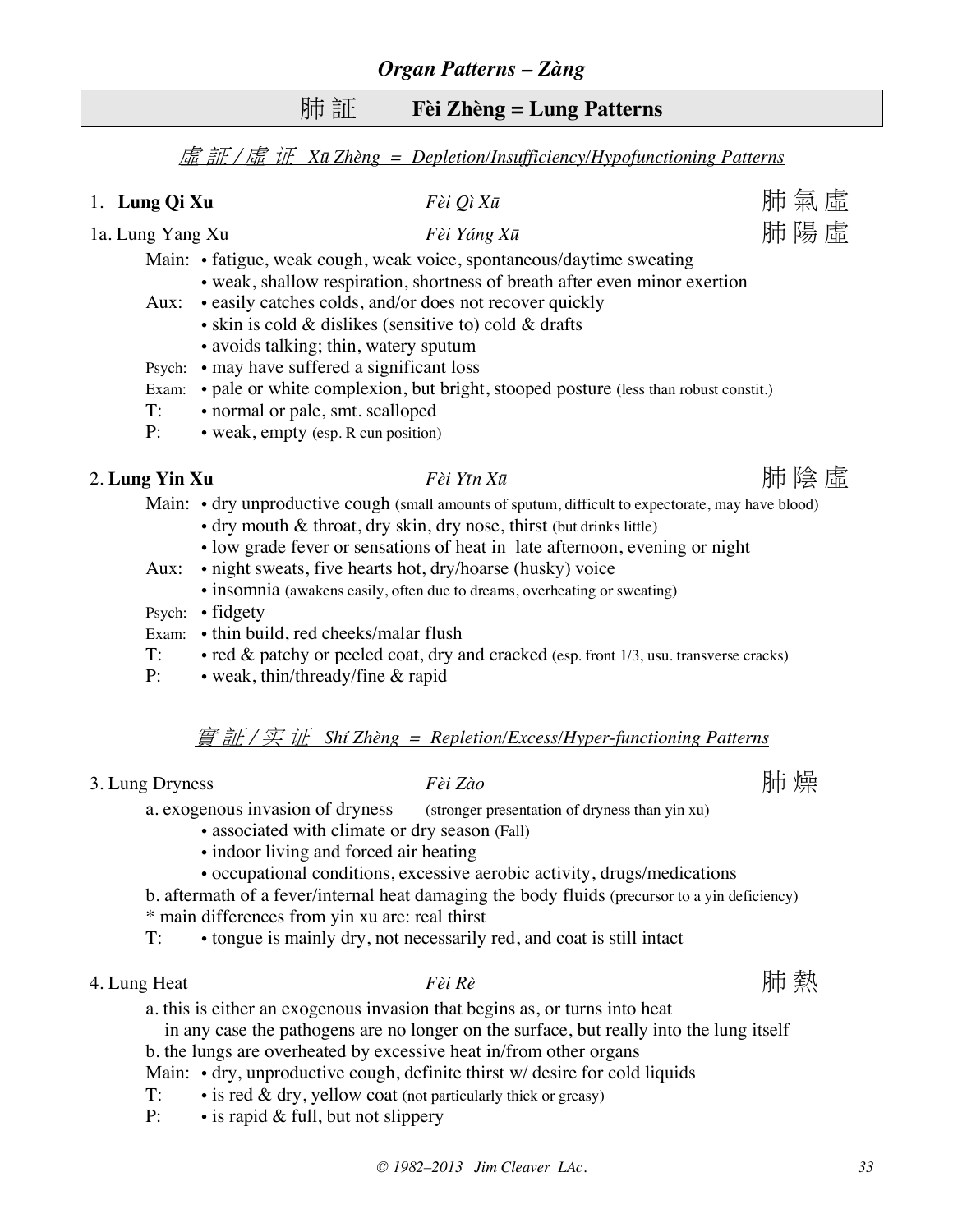## 肺 証 **Fèi Zhèng = Lung Patterns**

虛 証 / 虛 证 *Xū Zhèng = Depletion/Insufficiency/Hypofunctioning Patterns*

| 1. Lung Qi Xu    | Fèi Qì Xū                                                                                          | 肺氣虛 |  |
|------------------|----------------------------------------------------------------------------------------------------|-----|--|
| 1a. Lung Yang Xu | Fèi Yáng Xū                                                                                        | 肺陽虛 |  |
|                  | Main: • fatigue, weak cough, weak voice, spontaneous/daytime sweating                              |     |  |
|                  | • weak, shallow respiration, shortness of breath after even minor exertion                         |     |  |
|                  | Aux: • easily catches colds, and/or does not recover quickly                                       |     |  |
|                  | $\bullet$ skin is cold & dislikes (sensitive to) cold & drafts                                     |     |  |
|                  | • avoids talking; thin, watery sputum                                                              |     |  |
| Psych:           | • may have suffered a significant loss                                                             |     |  |
| Exam:            | • pale or white complexion, but bright, stooped posture (less than robust constit.)                |     |  |
| T:               | • normal or pale, smt. scalloped                                                                   |     |  |
| P:               | • weak, empty (esp. R cun position)                                                                |     |  |
| 2. Lung Yin Xu   | Fèi Yīn Xū                                                                                         | 肺陰虛 |  |
|                  | Main: • dry unproductive cough (small amounts of sputum, difficult to expectorate, may have blood) |     |  |
|                  | • dry mouth & throat, dry skin, dry nose, thirst (but drinks little)                               |     |  |
|                  | • low grade fever or sensations of heat in late afternoon, evening or night                        |     |  |
| Aux:             | • night sweats, five hearts hot, dry/hoarse (husky) voice                                          |     |  |
|                  | • insomnia (awakens easily, often due to dreams, overheating or sweating)                          |     |  |
|                  | $D = 1$ , $\ddot{a}$ destri                                                                        |     |  |

Psych: • fidgety

- Exam: thin build, red cheeks/malar flush
- T: red & patchy or peeled coat, dry and cracked (esp. front 1/3, usu. transverse cracks)
- P: weak, thin/thready/fine & rapid

#### 實 証 / 实 证 *Shí Zhèng = Repletion/Excess/Hyper-functioning Patterns*

3. Lung Dryness *Fèi Zào* 肺 燥

a. exogenous invasion of dryness (stronger presentation of dryness than yin xu)

- associated with climate or dry season (Fall)
- indoor living and forced air heating
- occupational conditions, excessive aerobic activity, drugs/medications
- b. aftermath of a fever/internal heat damaging the body fluids (precursor to a yin deficiency)
- \* main differences from yin xu are: real thirst
- T: tongue is mainly dry, not necessarily red, and coat is still intact
- 4. Lung Heat *Fèi Rè* 肺 熱

a. this is either an exogenous invasion that begins as, or turns into heat

 in any case the pathogens are no longer on the surface, but really into the lung itself b. the lungs are overheated by excessive heat in/from other organs

Main: • dry, unproductive cough, definite thirst w/ desire for cold liquids

- 
- T:  $\cdot$  is red & dry, yellow coat (not particularly thick or greasy)
- P: is rapid & full, but not slippery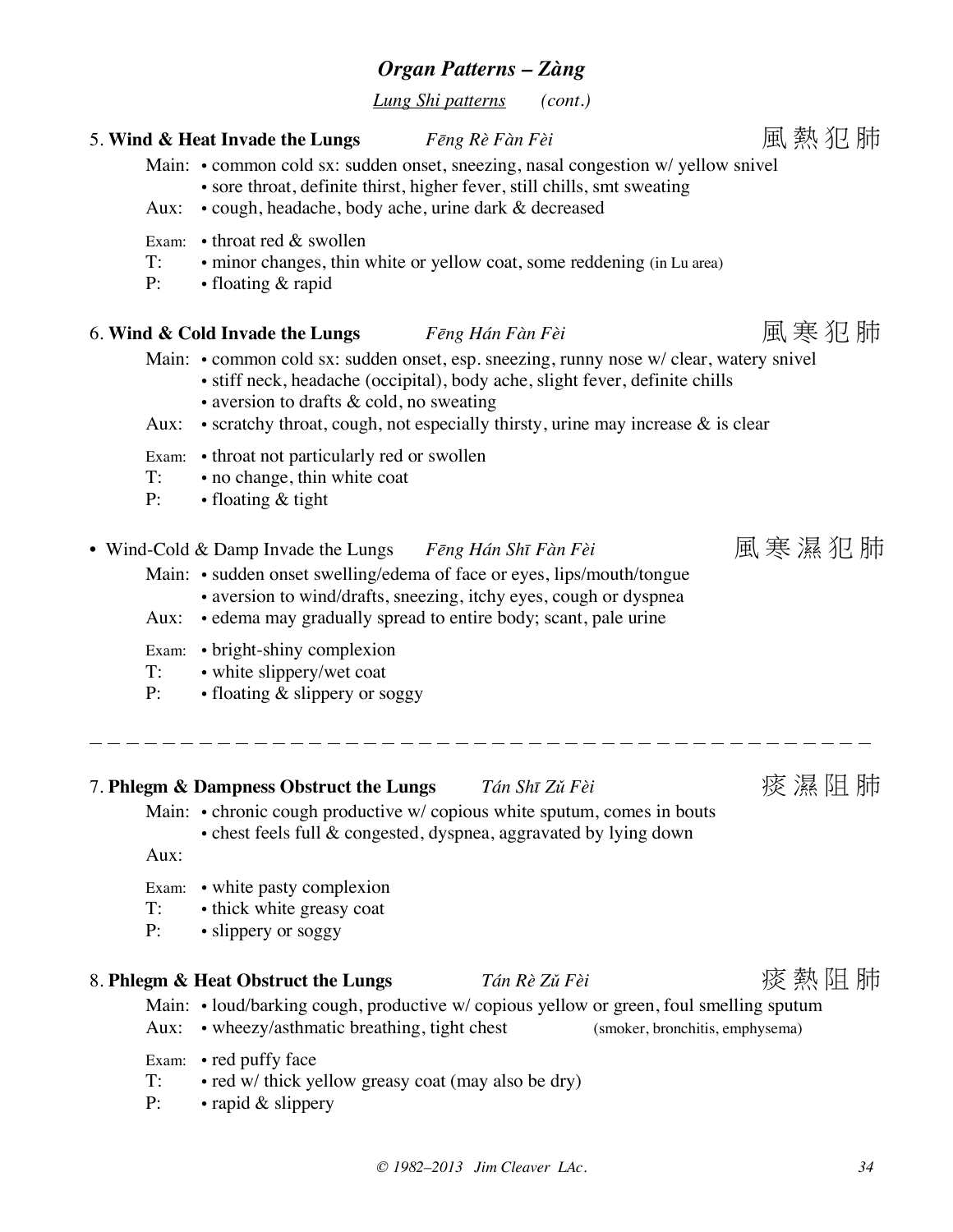*Lung Shi patterns (cont.)*

## 5. **Wind & Heat Invade the Lungs** *Fēng Rè Fàn Fèi* 風 熱 犯 肺

Main: • common cold sx: sudden onset, sneezing, nasal congestion w/ yellow snivel

- sore throat, definite thirst, higher fever, still chills, smt sweating
- Aux: cough, headache, body ache, urine dark & decreased
- Exam: throat red & swollen
- T: minor changes, thin white or yellow coat, some reddening (in Lu area)
- P: floating & rapid

## 6. **Wind & Cold Invade the Lungs** *Fēng Hán Fàn Fèi* 風 寒 犯 肺

Main: • common cold sx: sudden onset, esp. sneezing, runny nose w/ clear, watery snivel

- stiff neck, headache (occipital), body ache, slight fever, definite chills
- aversion to drafts & cold, no sweating
- Aux: scratchy throat, cough, not especially thirsty, urine may increase & is clear
- Exam: throat not particularly red or swollen
- T: no change, thin white coat
- P: floating & tight
- Wind-Cold & Damp Invade the Lungs *Fēng Hán Shī Fàn Fèi* 風 寒 濕 犯 肺
	- Main: sudden onset swelling/edema of face or eyes, lips/mouth/tongue • aversion to wind/drafts, sneezing, itchy eyes, cough or dyspnea
	- Aux: edema may gradually spread to entire body; scant, pale urine
	- Exam: bright-shiny complexion
	- T: white slippery/wet coat
	- P: floating & slippery or soggy
- 7. **Phlegm & Dampness Obstruct the Lungs** *Tán Shī Zǔ Fèi* 痰 濕 阻 肺
	- Main: chronic cough productive w/ copious white sputum, comes in bouts
		- chest feels full & congested, dyspnea, aggravated by lying down

Aux:

- Exam: white pasty complexion
- T: thick white greasy coat
- P: slippery or soggy

#### 8. **Phlegm & Heat Obstruct the Lungs** *Tán Rè Zǔ Fèi* 痰 熱 阻 肺

Main: • loud/barking cough, productive w/ copious yellow or green, foul smelling sputum

- Aux: wheezy/asthmatic breathing, tight chest (smoker, bronchitis, emphysema)
- Exam: red puffy face
- T: red w/ thick yellow greasy coat (may also be dry)
- P: rapid & slippery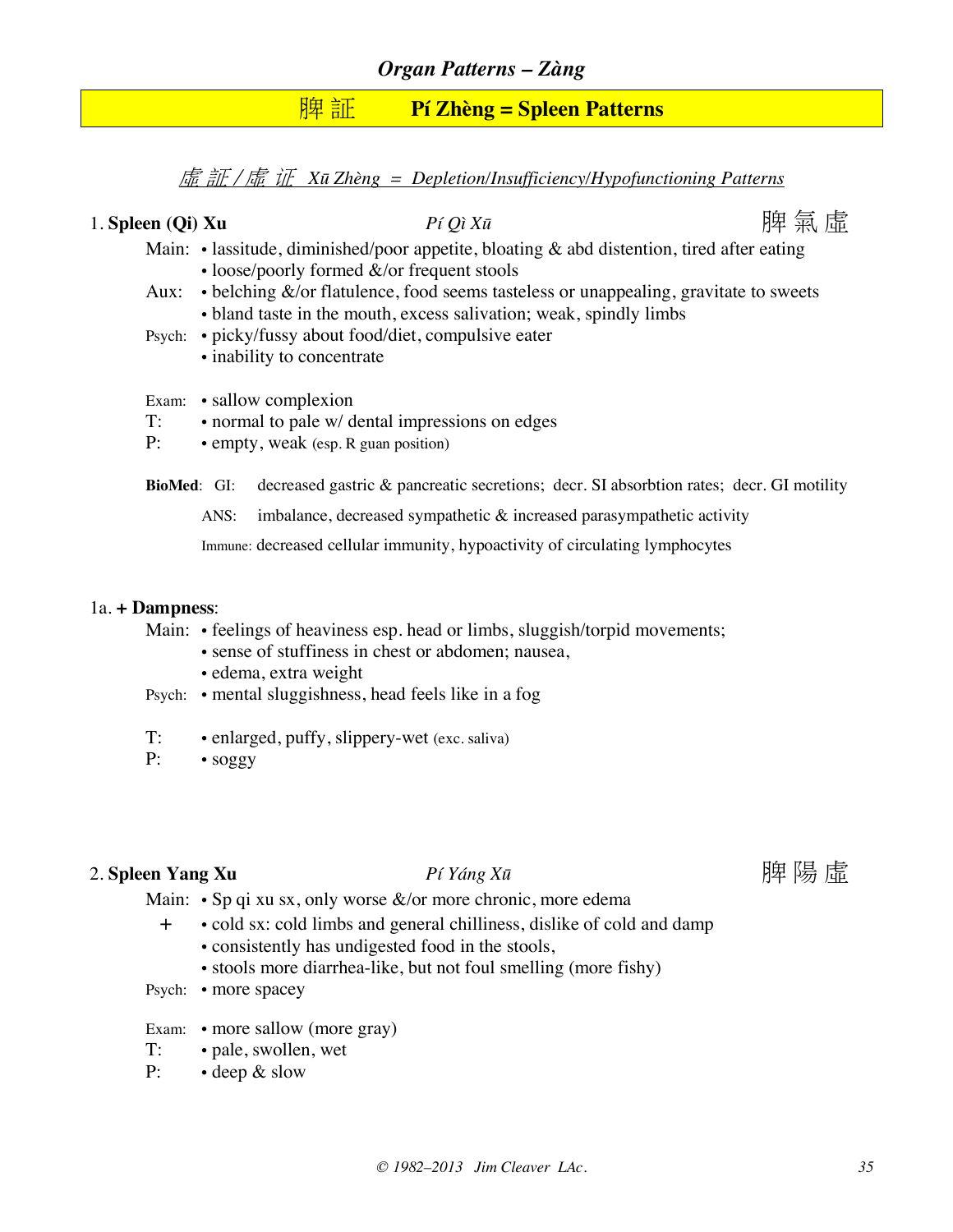## 脾 証 **Pí Zhèng = Spleen Patterns**

虛 証 / 虛 证 *Xū Zhèng = Depletion/Insufficiency/Hypofunctioning Patterns*

1. Spleen (Oi) Xu  $P$ *í Oì Xū*  $P$ 

- Main: lassitude, diminished/poor appetite, bloating & abd distention, tired after eating
	- loose/poorly formed &/or frequent stools
- Aux: belching &/or flatulence, food seems tasteless or unappealing, gravitate to sweets • bland taste in the mouth, excess salivation; weak, spindly limbs
- Psych: picky/fussy about food/diet, compulsive eater
	- inability to concentrate
- Exam: sallow complexion
- T: normal to pale w/ dental impressions on edges
- P: empty, weak (esp. R guan position)

**BioMed**: GI: decreased gastric & pancreatic secretions; decr. SI absorbtion rates; decr. GI motility

ANS: imbalance, decreased sympathetic & increased parasympathetic activity

Immune: decreased cellular immunity, hypoactivity of circulating lymphocytes

#### 1a. **+ Dampness**:

Main: • feelings of heaviness esp. head or limbs, sluggish/torpid movements;

- sense of stuffiness in chest or abdomen; nausea,
- edema, extra weight
- Psych: mental sluggishness, head feels like in a fog
- T: enlarged, puffy, slippery-wet (exc. saliva)
- P: soggy

#### 2. Spleen Yang Xu *Pí Yáng Xū* **produksiya yèn ku halang yèn ku halang yèn ku halang yèn ku halang yèn ku halang yèn**

- Main:  $\cdot$  Sp qi xu sx, only worse &/or more chronic, more edema
	- + cold sx: cold limbs and general chilliness, dislike of cold and damp
		- consistently has undigested food in the stools,
		- stools more diarrhea-like, but not foul smelling (more fishy)
- Psych: more spacey
- Exam: more sallow (more gray)
- T: pale, swollen, wet
- P: deep & slow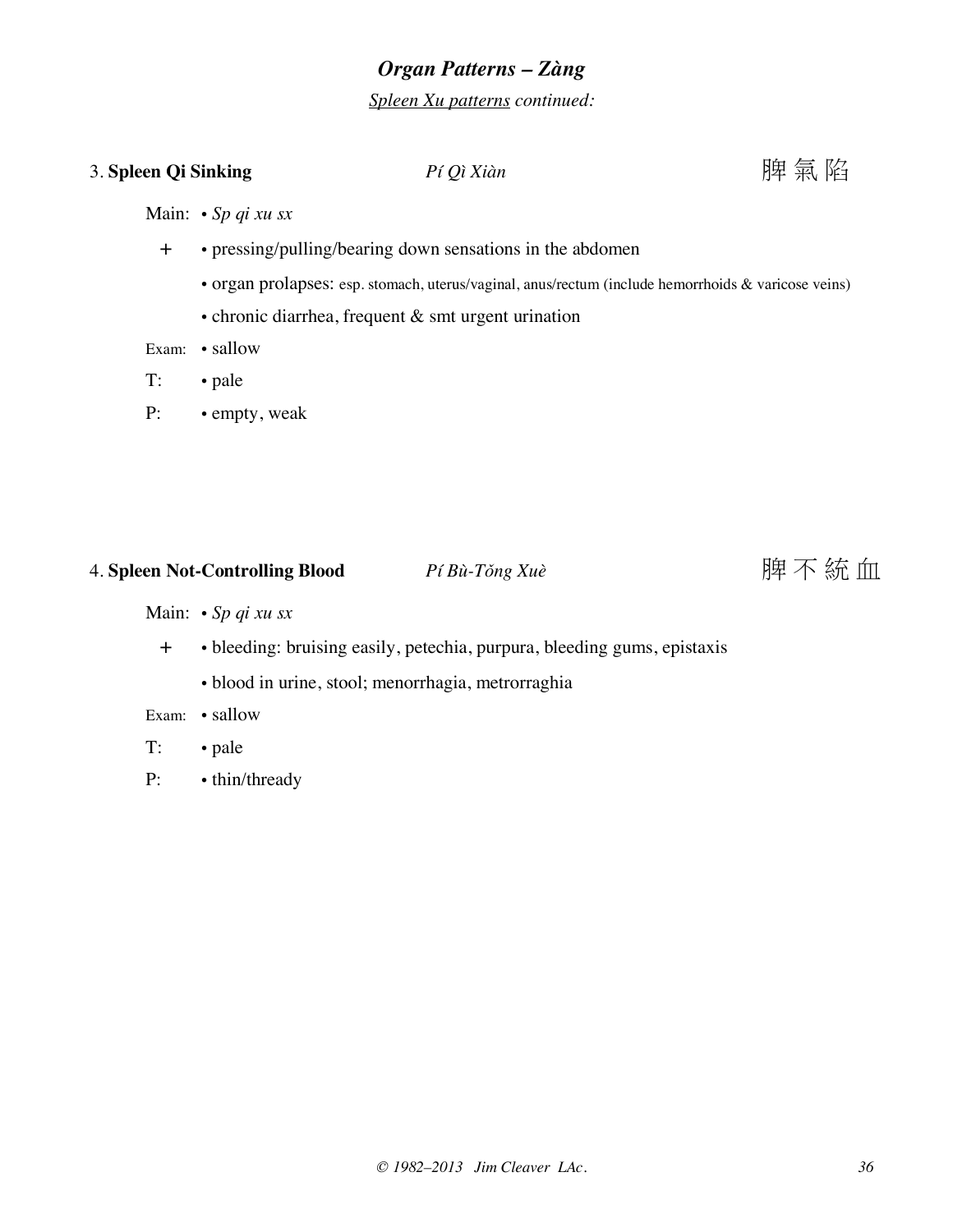*Spleen Xu patterns continued:*

## 3. Spleen Qi Sinking *Pí Qì Xiàn* **Prediximal and** *Pí Qì Xiàn* **Prediximal and** *Pí Qì Xiàn*

Main: • *Sp qi xu sx*

- + pressing/pulling/bearing down sensations in the abdomen
	- organ prolapses: esp. stomach, uterus/vaginal, anus/rectum (include hemorrhoids & varicose veins)
	- chronic diarrhea, frequent & smt urgent urination

Exam: • sallow

- T: pale
- P: empty, weak

## 4. **Spleen Not-Controlling Blood** *Pí Bù-Tǒng Xuè* 脾 不 統 血

Main: • *Sp qi xu sx*

- + bleeding: bruising easily, petechia, purpura, bleeding gums, epistaxis
	- blood in urine, stool; menorrhagia, metrorraghia

Exam: • sallow

- T: pale
- P: thin/thready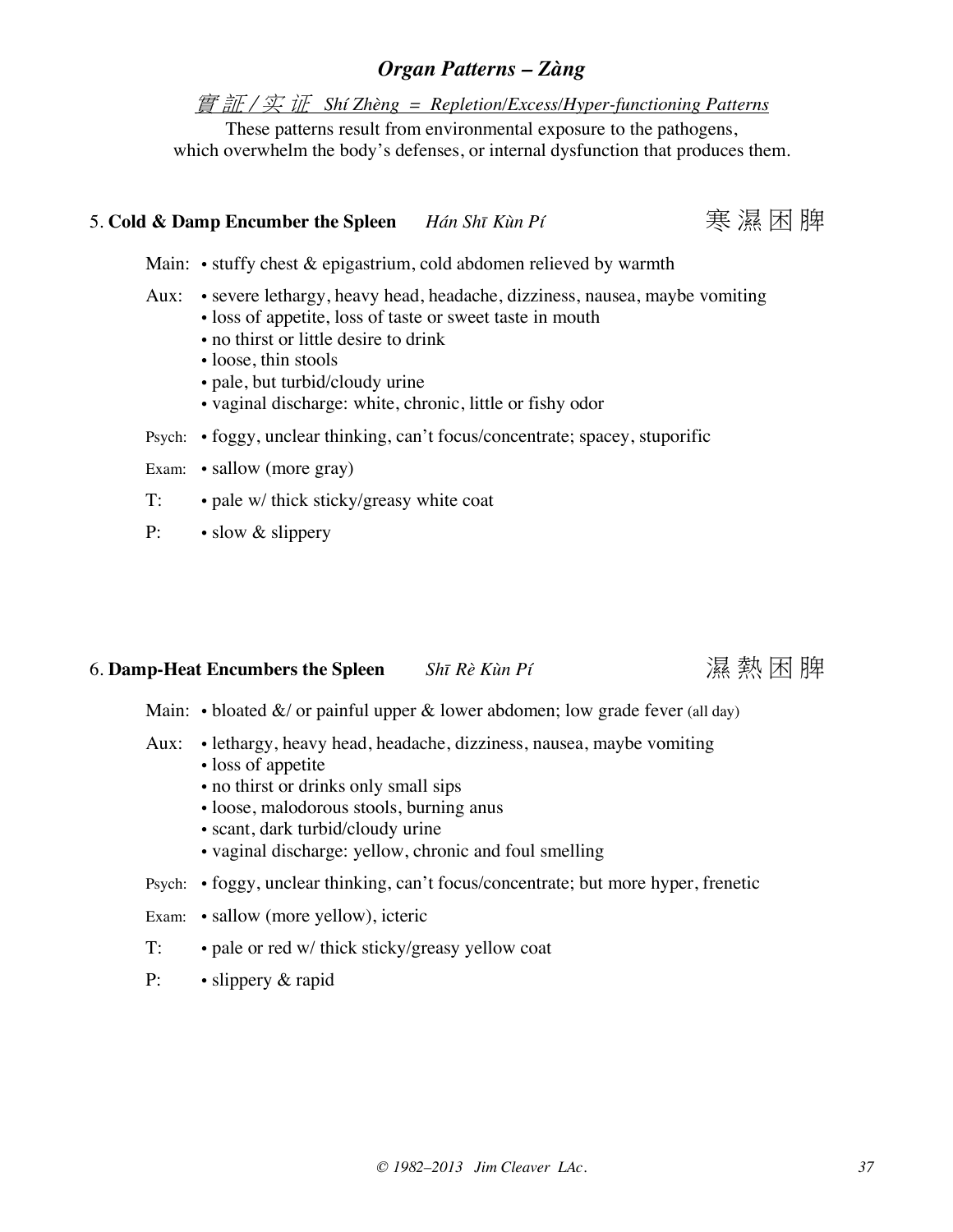實 証 / 实 证 *Shí Zhèng = Repletion/Excess/Hyper-functioning Patterns*

These patterns result from environmental exposure to the pathogens, which overwhelm the body's defenses, or internal dysfunction that produces them.

## 5. **Cold & Damp Encumber the Spleen** *Hán Shī Kùn Pí* 寒 濕 困 脾

Main: • stuffy chest & epigastrium, cold abdomen relieved by warmth

- Aux: severe lethargy, heavy head, headache, dizziness, nausea, maybe vomiting • loss of appetite, loss of taste or sweet taste in mouth
	- no thirst or little desire to drink
	- loose, thin stools
	- pale, but turbid/cloudy urine
	- vaginal discharge: white, chronic, little or fishy odor
- Psych: foggy, unclear thinking, can't focus/concentrate; spacey, stuporific
- Exam: sallow (more gray)
- T: pale w/ thick sticky/greasy white coat
- P: slow & slippery

### 6. Damp-Heat Encumbers the Spleen *Shī Rè Kùn Pí* **Netal Solution** ) ※ 熱 困 脾

Main: • bloated  $\&/$  or painful upper  $\&$  lower abdomen; low grade fever (all day)

- Aux: lethargy, heavy head, headache, dizziness, nausea, maybe vomiting
	- loss of appetite
	- no thirst or drinks only small sips
	- loose, malodorous stools, burning anus
	- scant, dark turbid/cloudy urine
	- vaginal discharge: yellow, chronic and foul smelling
- Psych: foggy, unclear thinking, can't focus/concentrate; but more hyper, frenetic
- Exam: sallow (more yellow), icteric
- T: pale or red w/ thick sticky/greasy yellow coat
- P: slippery & rapid

![](_page_36_Picture_28.jpeg)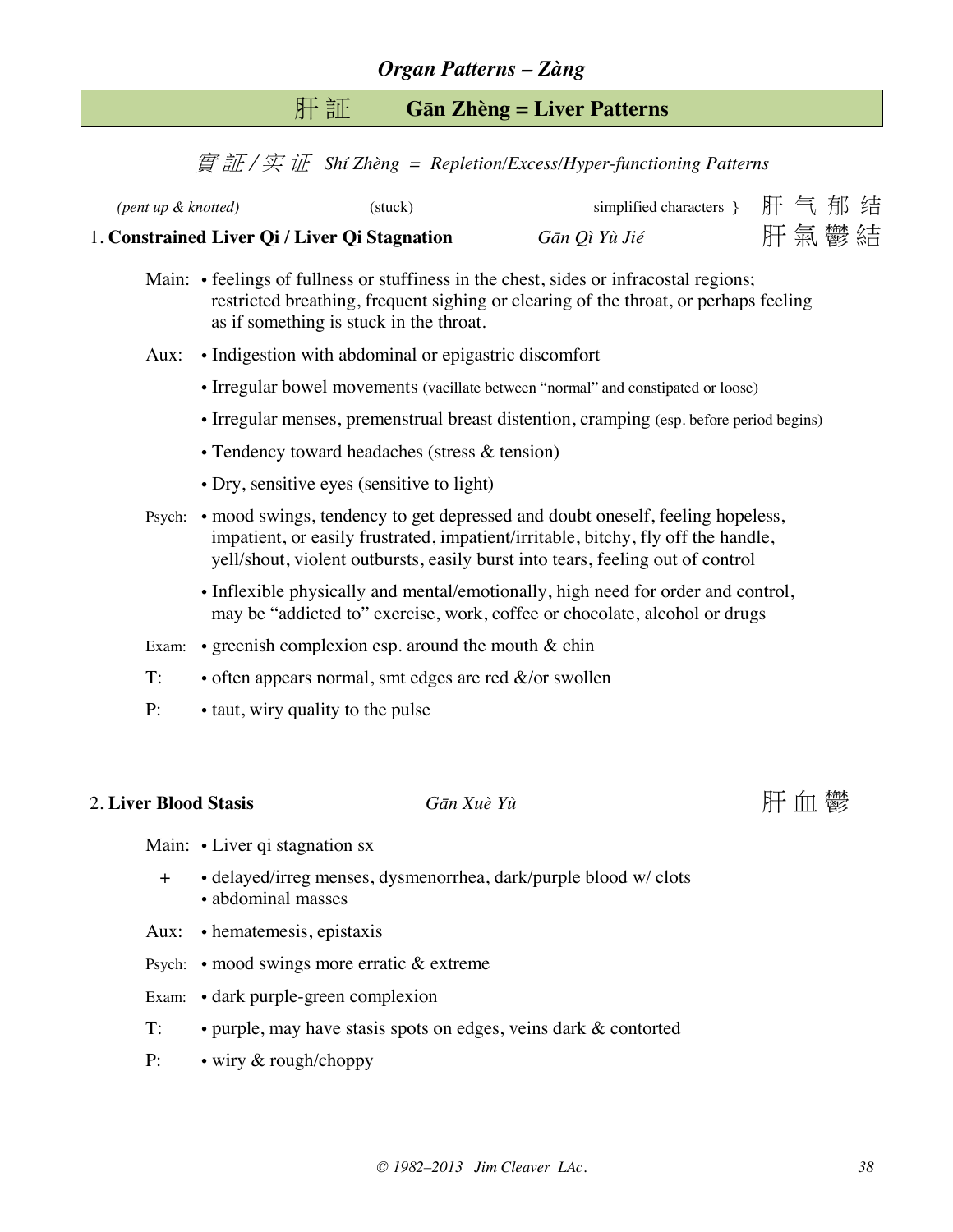## 肝 証 **Gān Zhèng = Liver Patterns**

#### 實 証 / 实 证 *Shí Zhèng = Repletion/Excess/Hyper-functioning Patterns*

| 1. Constrained Liver Qi / Liver Qi Stagnation |         | Gān Qì Yù Jié                | 肝氣鬱結 |  |  |
|-----------------------------------------------|---------|------------------------------|------|--|--|
| (pent up & knotted)                           | (stuck) | simplified characters } 肝气郁结 |      |  |  |

- Main: feelings of fullness or stuffiness in the chest, sides or infracostal regions; restricted breathing, frequent sighing or clearing of the throat, or perhaps feeling as if something is stuck in the throat.
- Aux: Indigestion with abdominal or epigastric discomfort
	- Irregular bowel movements (vacillate between "normal" and constipated or loose)
	- Irregular menses, premenstrual breast distention, cramping (esp. before period begins)
	- Tendency toward headaches (stress & tension)
	- Dry, sensitive eyes (sensitive to light)
- Psych: mood swings, tendency to get depressed and doubt oneself, feeling hopeless, impatient, or easily frustrated, impatient/irritable, bitchy, fly off the handle, yell/shout, violent outbursts, easily burst into tears, feeling out of control
	- Inflexible physically and mental/emotionally, high need for order and control, may be "addicted to" exercise, work, coffee or chocolate, alcohol or drugs
- Exam: greenish complexion esp. around the mouth  $&$  chin
- T:  $\bullet$  often appears normal, smt edges are red  $\&$ /or swollen
- P: taut, wiry quality to the pulse

### 2. Liver Blood Stasis *Gān Xuè Yù* Thing The Thing of The Thing The Town The Town The Town The Town The Town The Town The Town The Town The Town The Town The Town The Town The Town The Town The Town The Town The Town The

Main: • Liver qi stagnation sx

- + delayed/irreg menses, dysmenorrhea, dark/purple blood w/ clots • abdominal masses
- Aux: hematemesis, epistaxis
- Psych: mood swings more erratic & extreme
- Exam: dark purple-green complexion
- T: purple, may have stasis spots on edges, veins dark & contorted
- P: wiry & rough/choppy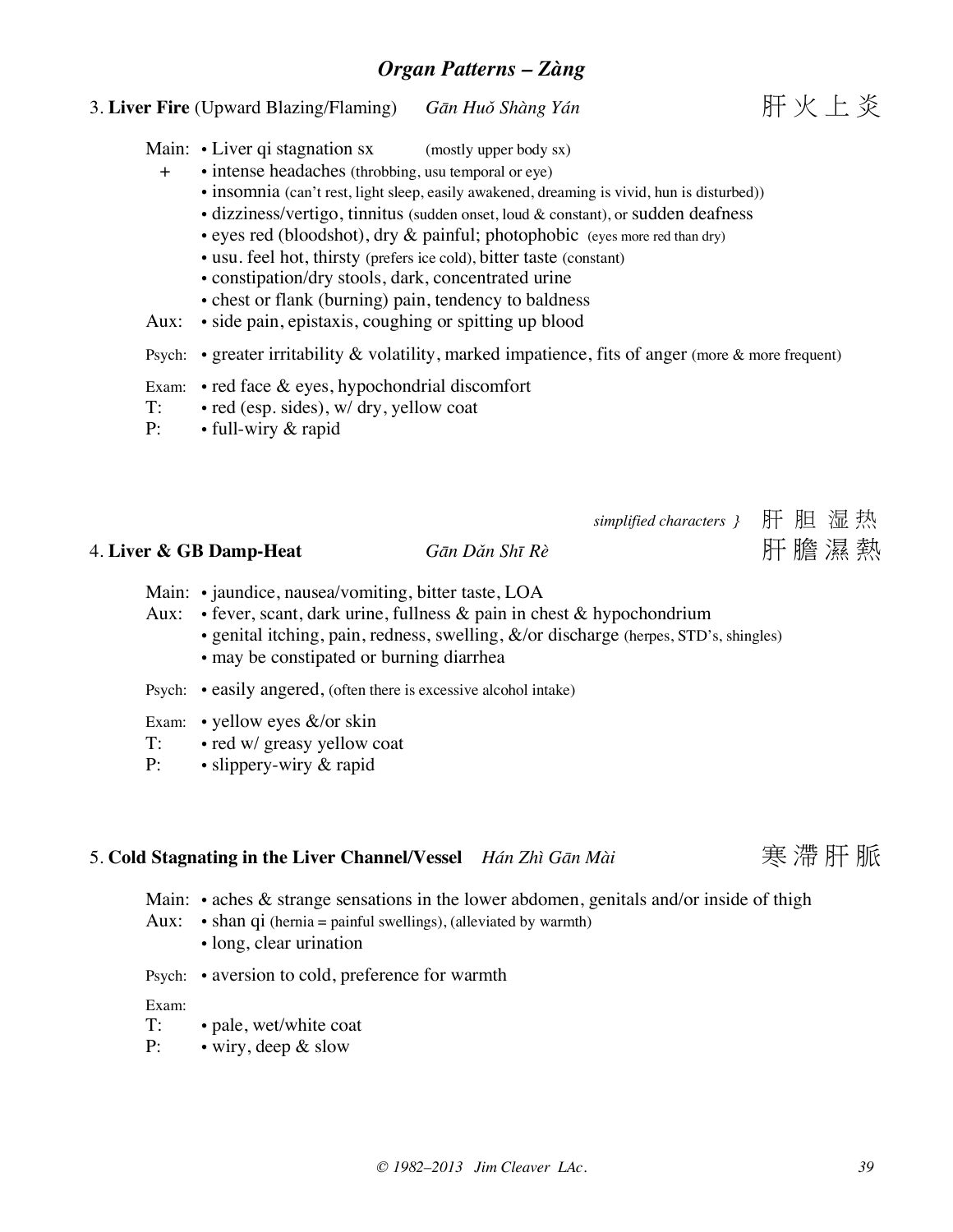## 3. **Liver Fire** (Upward Blazing/Flaming) *Gān Huǒ Shàng Yán* 肝 火 上 炎

- Main:  $\cdot$  Liver qi stagnation sx (mostly upper body sx)
	- + intense headaches (throbbing, usu temporal or eye)
		- insomnia (can't rest, light sleep, easily awakened, dreaming is vivid, hun is disturbed))
		- dizziness/vertigo, tinnitus (sudden onset, loud & constant), or sudden deafness
		- eyes red (bloodshot), dry  $\&$  painful; photophobic (eyes more red than dry)
		- usu. feel hot, thirsty (prefers ice cold), bitter taste (constant)
		- constipation/dry stools, dark, concentrated urine
		- chest or flank (burning) pain, tendency to baldness
- Aux: side pain, epistaxis, coughing or spitting up blood
- Psych: greater irritability & volatility, marked impatience, fits of anger (more & more frequent)
- Exam: red face & eyes, hypochondrial discomfort
- T: red (esp. sides), w/ dry, yellow coat
- P: full-wiry & rapid

## *simplified characters }* 肝 胆 湿 热

## 4. **Liver & GB Damp-Heat** *Gān Dǎn Shī Rè* 肝 膽 濕 熱

- Main: jaundice, nausea/vomiting, bitter taste, LOA
- Aux: fever, scant, dark urine, fullness & pain in chest & hypochondrium
	- genital itching, pain, redness, swelling,  $\&$ /or discharge (herpes, STD's, shingles)
		- may be constipated or burning diarrhea
- Psych: easily angered, (often there is excessive alcohol intake)
- Exam: yellow eyes &/or skin
- T: red w/ greasy yellow coat<br>P: slippery-wiry & rapid
- $\cdot$  slippery-wiry  $\&$  rapid

## 5. **Cold Stagnating in the Liver Channel/Vessel** *Hán Zhì Gān Mài* 寒 滯 肝 脈

Main:  $\cdot$  aches & strange sensations in the lower abdomen, genitals and/or inside of thigh

- Aux:  $\cdot$  shan qi (hernia = painful swellings), (alleviated by warmth)
	- long, clear urination
- Psych: aversion to cold, preference for warmth

Exam:

- T: pale, wet/white coat
- P: wiry, deep & slow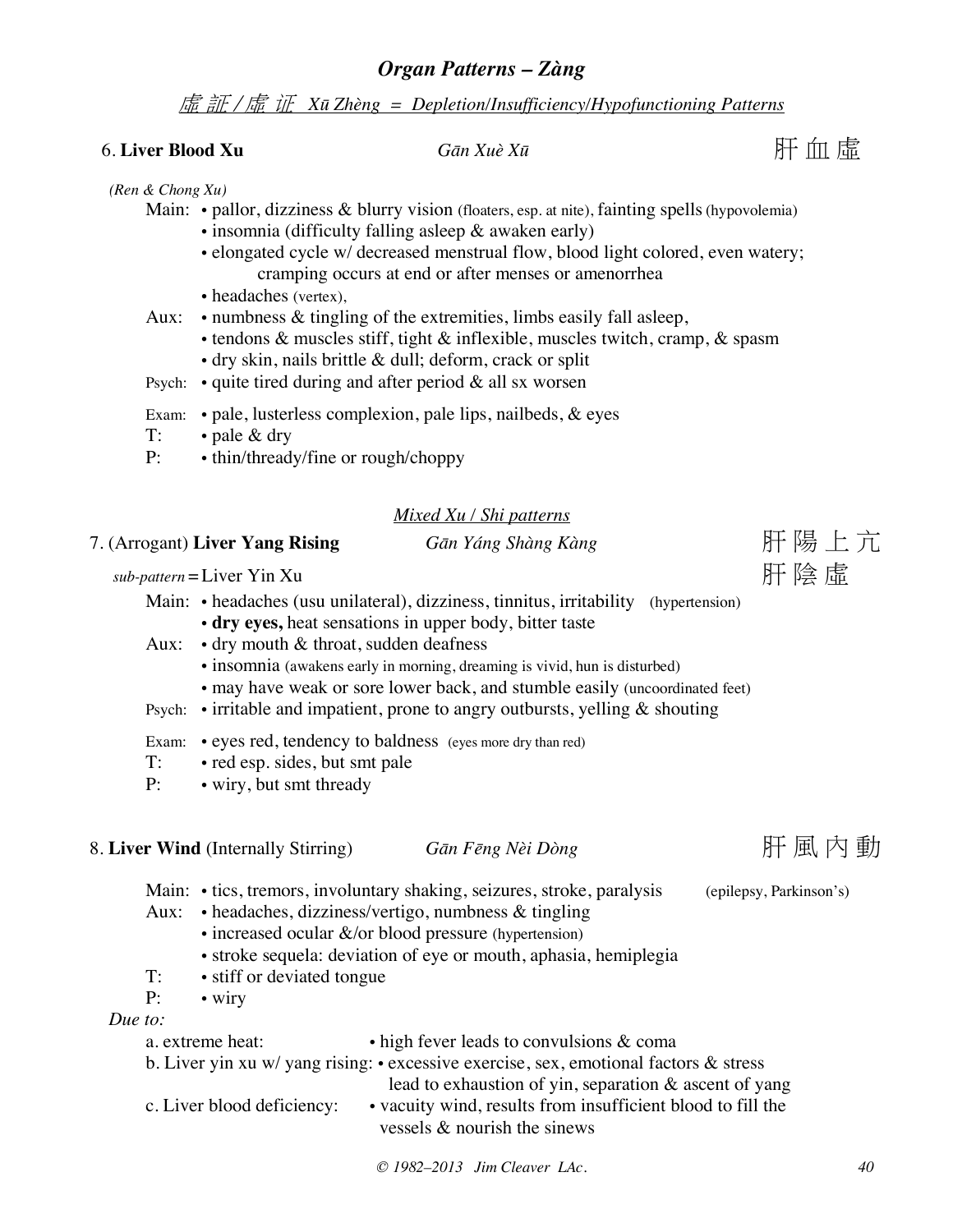虛 証 / 虛 证 *Xū Zhèng = Depletion/Insufficiency/Hypofunctioning Patterns*

## 6. **Liver Blood Xu** *Gān Xuè Xū* 肝 血 虛

#### *(Ren & Chong Xu)*

- Main: · pallor, dizziness & blurry vision (floaters, esp. at nite), fainting spells (hypovolemia)
	- insomnia (difficulty falling asleep & awaken early)
	- elongated cycle w/ decreased menstrual flow, blood light colored, even watery; cramping occurs at end or after menses or amenorrhea
	- headaches (vertex),
- Aux: numbness & tingling of the extremities, limbs easily fall asleep,
	- tendons & muscles stiff, tight & inflexible, muscles twitch, cramp, & spasm
	- dry skin, nails brittle & dull; deform, crack or split
- Psych:  $\bullet$  quite tired during and after period & all sx worsen
- Exam: pale, lusterless complexion, pale lips, nailbeds, & eyes
- T: pale & dry
- P: thin/thready/fine or rough/choppy

#### *Mixed Xu / Shi patterns*

## 7. (Arrogant) **Liver Yang Rising** *Gān Yáng Shàng Kàng* 肝 陽 上 亢

sub-pattern = Liver Yin Xu

Main: • headaches (usu unilateral), dizziness, tinnitus, irritability (hypertension)

- **dry eyes,** heat sensations in upper body, bitter taste
- Aux: dry mouth & throat, sudden deafness
	- insomnia (awakens early in morning, dreaming is vivid, hun is disturbed)
	- may have weak or sore lower back, and stumble easily (uncoordinated feet)
- Psych:  $\cdot$  irritable and impatient, prone to angry outbursts, yelling & shouting
- Exam: eyes red, tendency to baldness (eyes more dry than red)
- T: red esp. sides, but smt pale
- P: wiry, but smt thready

## 8. **Liver Wind** (Internally Stirring) Gān Fēng Nèi Dòng Treess Treess HF 風 内 動

- Main: tics, tremors, involuntary shaking, seizures, stroke, paralysis (epilepsy, Parkinson's)
- Aux: headaches, dizziness/vertigo, numbness & tingling
	- increased ocular &/or blood pressure (hypertension)
	- stroke sequela: deviation of eye or mouth, aphasia, hemiplegia
- T: stiff or deviated tongue
- P: wiry

#### *Due to:*

a. extreme heat: • high fever leads to convulsions & coma b. Liver yin xu w/ yang rising: • excessive exercise, sex, emotional factors & stress lead to exhaustion of yin, separation & ascent of yang c. Liver blood deficiency: • vacuity wind, results from insufficient blood to fill the vessels & nourish the sinews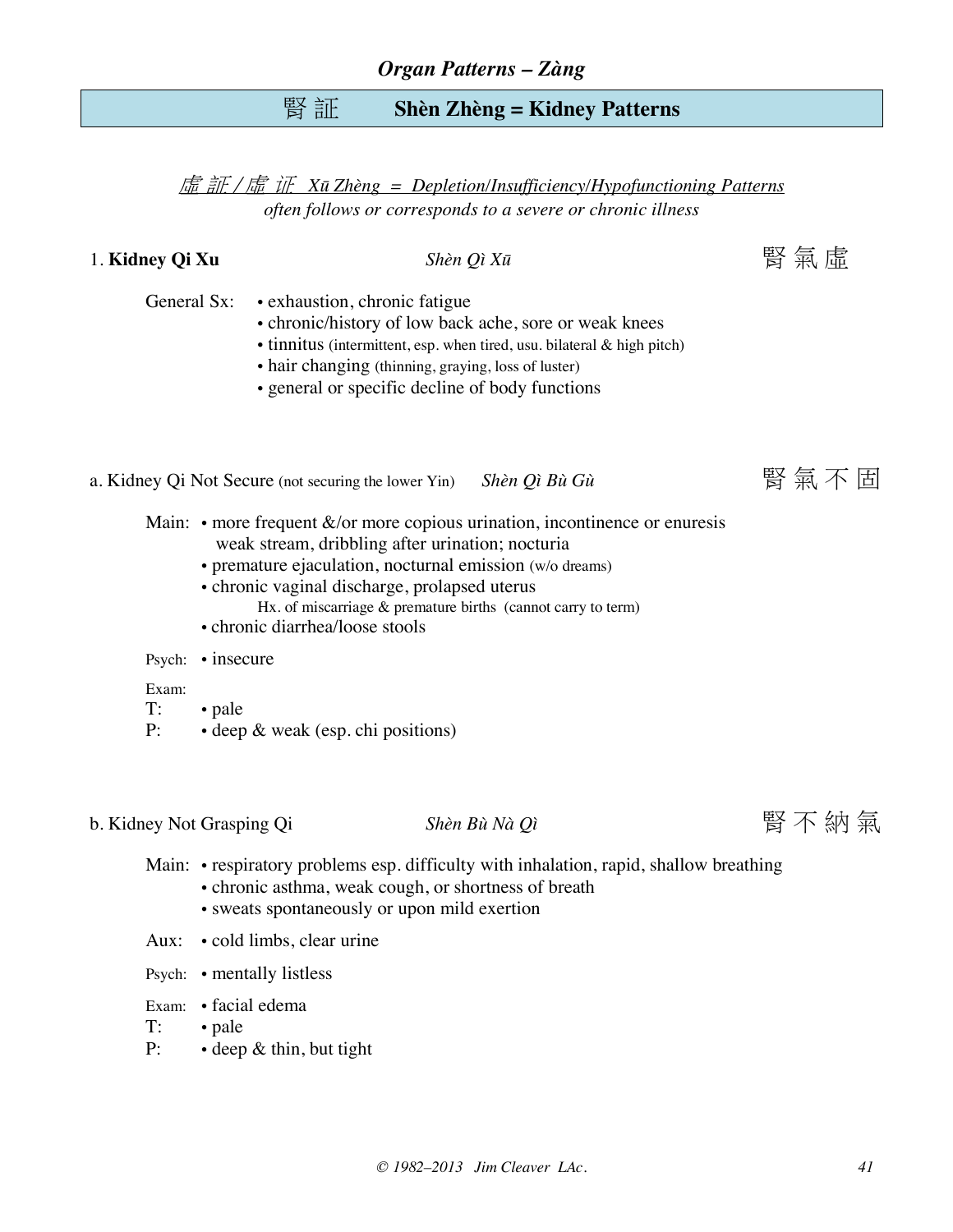## 腎 証 **Shèn Zhèng = Kidney Patterns**

虛 証 / 虛 证 *Xū Zhèng = Depletion/Insufficiency/Hypofunctioning Patterns often follows or corresponds to a severe or chronic illness*

1. **Kidney Qi Xu** *Shèn Qì Xū* 腎 氣 虛

- General Sx: exhaustion, chronic fatigue
	- chronic/history of low back ache, sore or weak knees
	- tinnitus (intermittent, esp. when tired, usu. bilateral & high pitch)
	- hair changing (thinning, graying, loss of luster)
	- general or specific decline of body functions

a. Kidney Qi Not Secure (not securing the lower Yin) *Shèn Qì Bù Gù* **Election Access** 氧 不 固

- Main:  $\cdot$  more frequent &/or more copious urination, incontinence or enuresis weak stream, dribbling after urination; nocturia
	- premature ejaculation, nocturnal emission (w/o dreams)
	- chronic vaginal discharge, prolapsed uterus
		- Hx. of miscarriage & premature births (cannot carry to term)
	- chronic diarrhea/loose stools
- Psych: insecure

#### Exam:

- T: pale
- P: deep & weak (esp. chi positions)

b. Kidney Not Grasping Qi *Shèn Bù Nà Qì* **Bì Kang King King King King** 不納氣

![](_page_40_Picture_23.jpeg)

Main: • respiratory problems esp. difficulty with inhalation, rapid, shallow breathing

- chronic asthma, weak cough, or shortness of breath
- sweats spontaneously or upon mild exertion
- Aux: cold limbs, clear urine
- Psych: mentally listless
- Exam: facial edema
- T: pale
- P: · deep & thin, but tight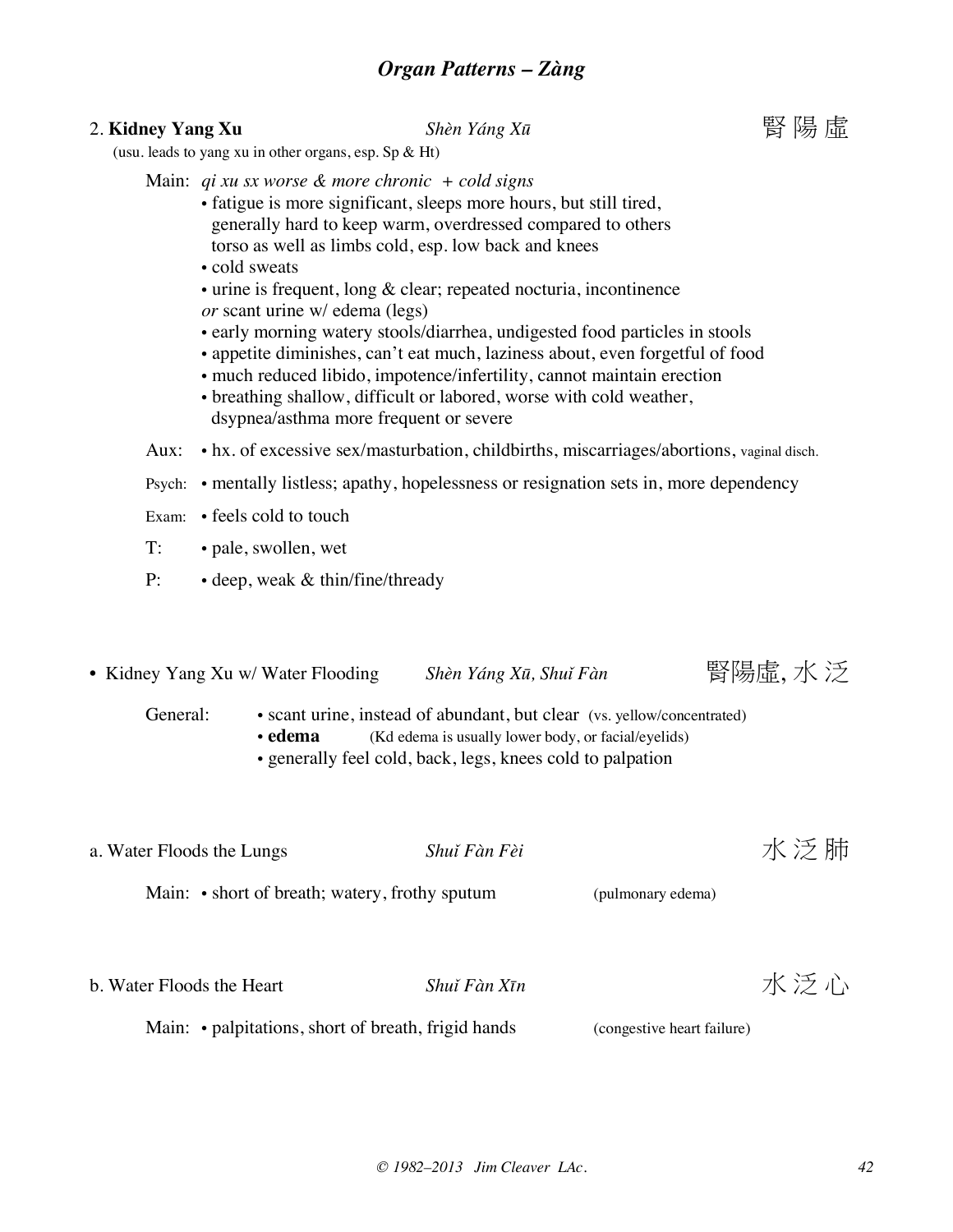## 2. **Kidney Yang Xu Shèn Yáng Xū bentaga Karata 图 陽** 陽 虛

(usu. leads to yang xu in other organs, esp. Sp & Ht)

- Main: *qi xu sx worse & more chronic + cold signs*
	- fatigue is more significant, sleeps more hours, but still tired, generally hard to keep warm, overdressed compared to others torso as well as limbs cold, esp. low back and knees
	- cold sweats
	- urine is frequent, long & clear; repeated nocturia, incontinence *or* scant urine w/ edema (legs)
	- early morning watery stools/diarrhea, undigested food particles in stools
	- appetite diminishes, can't eat much, laziness about, even forgetful of food
	- much reduced libido, impotence/infertility, cannot maintain erection
	- breathing shallow, difficult or labored, worse with cold weather, dsypnea/asthma more frequent or severe

Aux: • hx. of excessive sex/masturbation, childbirths, miscarriages/abortions, vaginal disch.

- Psych: mentally listless; apathy, hopelessness or resignation sets in, more dependency
- Exam: feels cold to touch
- T: pale, swollen, wet
- P: deep, weak & thin/fine/thready
- Kidney Yang Xu w/ Water Flooding *Shèn Yáng Xū*, Shuǐ Fàn **图陽**虚, 水 泛
	- General: scant urine, instead of abundant, but clear (vs. yellow/concentrated)
		- **edema** (Kd edema is usually lower body, or facial/eyelids)
		- generally feel cold, back, legs, knees cold to palpation
- a. Water Floods the Lungs *Shuǐ Fàn Fèi TK 泛* 肺

Main: • short of breath; watery, frothy sputum (pulmonary edema)

**b.** Water Floods the Heart *Shuǐ Fàn Xīn TK*  $\tilde{\mathcal{F}}$  *i*)

Main: • palpitations, short of breath, frigid hands (congestive heart failure)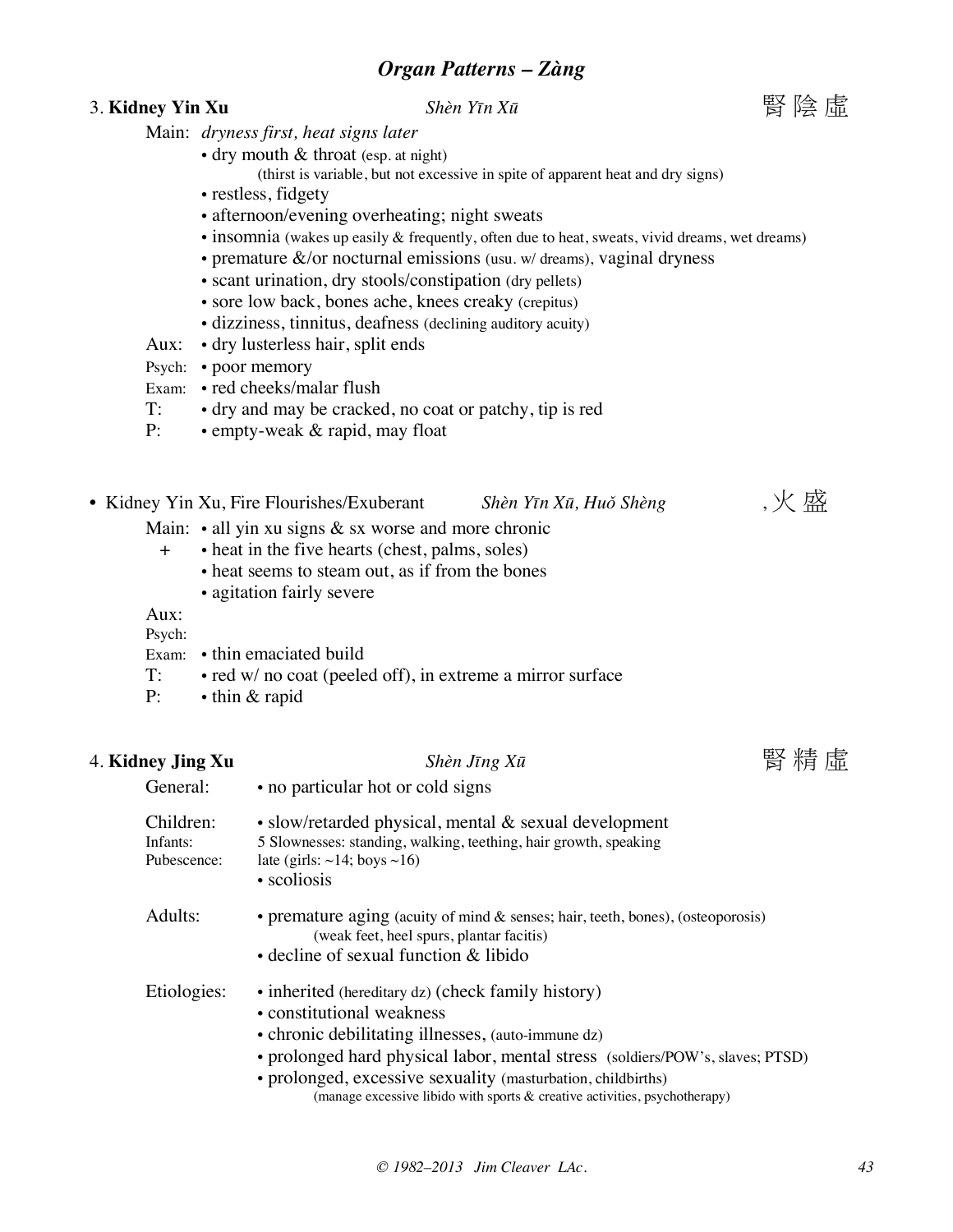### 3. **Kidney Yin Xu Shèn Yīn Xū books example in Shèn Yīn Xū books** 图 陰 虛

![](_page_42_Picture_3.jpeg)

- Main: *dryness first, heat signs later*
	- dry mouth & throat (esp. at night)
		- (thirst is variable, but not excessive in spite of apparent heat and dry signs)
	- restless, fidgety
	- afternoon/evening overheating; night sweats
	- insomnia (wakes up easily & frequently, often due to heat, sweats, vivid dreams, wet dreams)
	- premature  $\&$ /or nocturnal emissions (usu. w/ dreams), vaginal dryness
	- scant urination, dry stools/constipation (dry pellets)
	- sore low back, bones ache, knees creaky (crepitus)
	- dizziness, tinnitus, deafness (declining auditory acuity)
- Aux: dry lusterless hair, split ends
- Psych: poor memory
- Exam: red cheeks/malar flush
- T: dry and may be cracked, no coat or patchy, tip is red
- P: empty-weak & rapid, may float
- Kidney Yin Xu, Fire Flourishes/Exuberant *Shèn Yīn Xū, Huǒ Shèng* , 火 盛
	- Main:  $\cdot$  all yin xu signs & sx worse and more chronic
		- + heat in the five hearts (chest, palms, soles)
			- heat seems to steam out, as if from the bones
			- agitation fairly severe

General: • no particular hot or cold signs

### Aux:

- Psych: Exam: • thin emaciated build
- T: red w/ no coat (peeled off), in extreme a mirror surface
- P: thin & rapid

## 4. **Kidney Jing Xu** *Shèn Jīng Xū* 腎 精 虛

| Children:<br>Infants:<br>Pubescence: | • slow/retarded physical, mental $\&$ sexual development<br>5 Slownesses: standing, walking, teething, hair growth, speaking<br>late (girls: $\sim$ 14; boys $\sim$ 16)<br>• scoliosis                                                                                                                                                                                  |
|--------------------------------------|-------------------------------------------------------------------------------------------------------------------------------------------------------------------------------------------------------------------------------------------------------------------------------------------------------------------------------------------------------------------------|
| Adults:                              | • premature aging (acuity of mind $\&$ senses; hair, teeth, bones), (osteoporosis)<br>(weak feet, heel spurs, plantar facitis)<br>$\bullet$ decline of sexual function $\&$ libido                                                                                                                                                                                      |
| Etiologies:                          | • inherited (hereditary dz) (check family history)<br>• constitutional weakness<br>• chronic debilitating illnesses, (auto-immune dz)<br>• prolonged hard physical labor, mental stress (soldiers/POW's, slaves; PTSD)<br>• prolonged, excessive sexuality (masturbation, childbirths)<br>(manage excessive libido with sports $\&$ creative activities, psychotherapy) |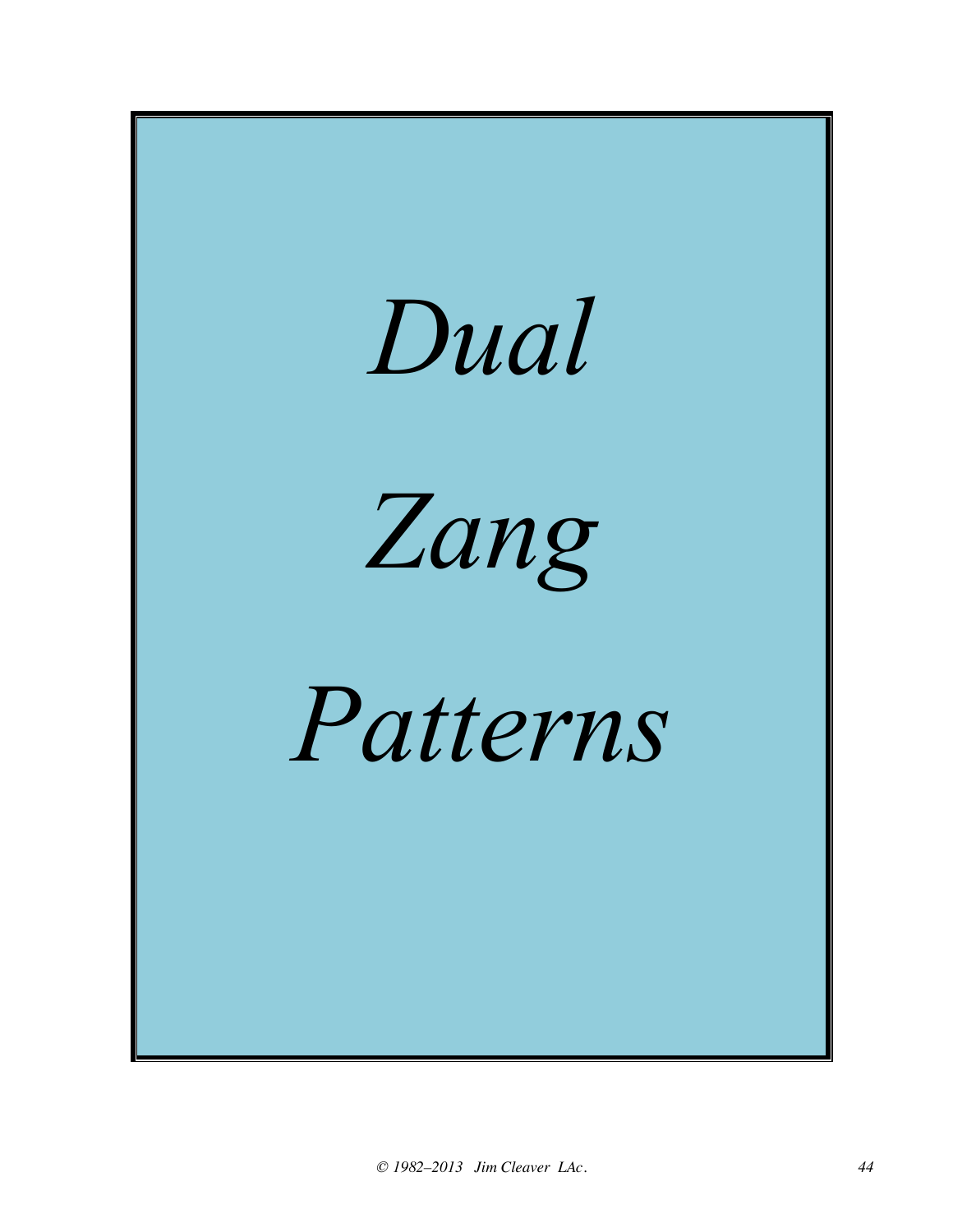![](_page_43_Picture_0.jpeg)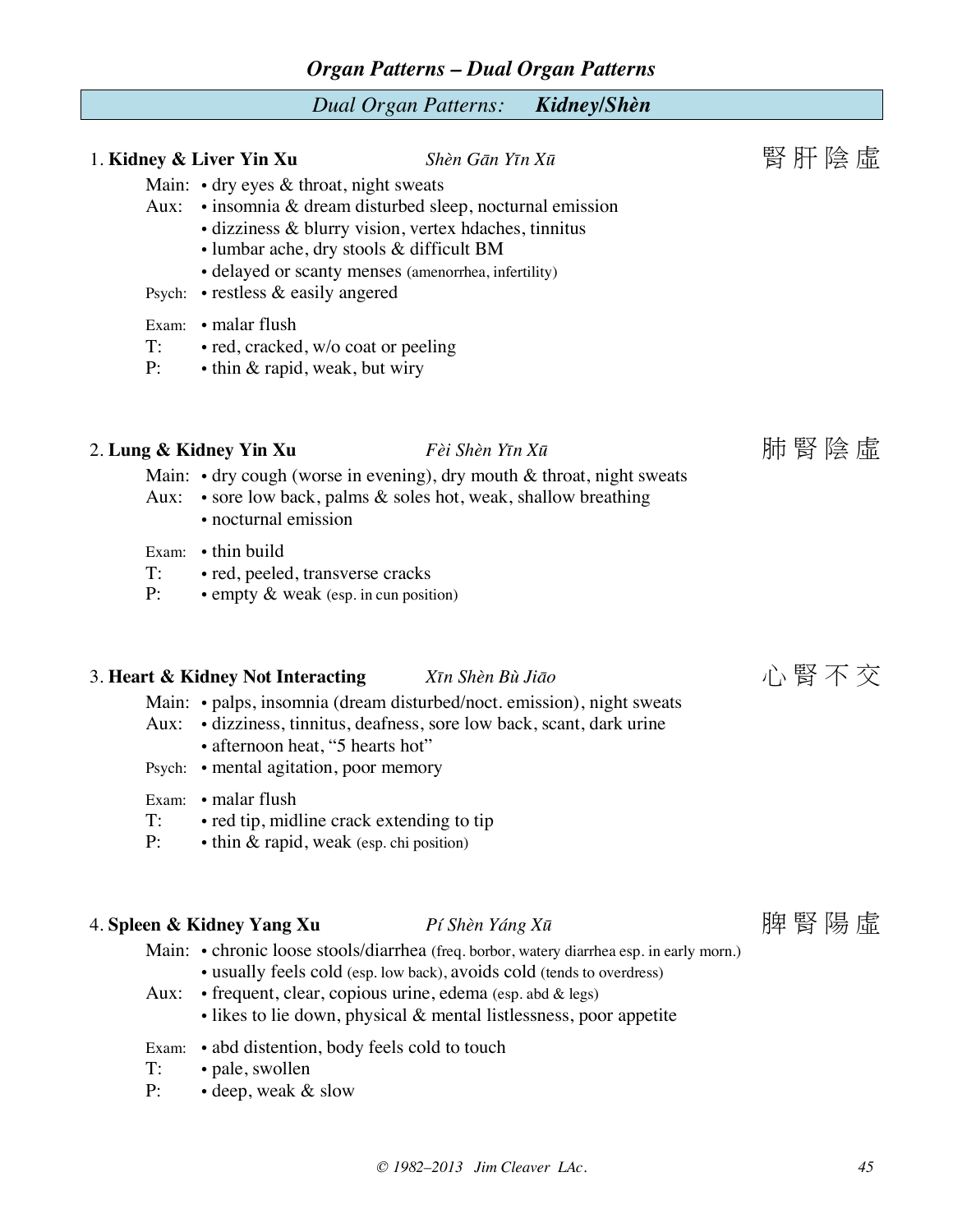### *Organ Patterns – Dual Organ Patterns*

#### *Dual Organ Patterns: Kidney/Shèn*

## 1. **Kidney & Liver Yin Xu Shèn Gān Yīn Xū beach come 图 肝** 陰 虛 Main:  $\cdot$  dry eyes & throat, night sweats Aux: • insomnia & dream disturbed sleep, nocturnal emission • dizziness & blurry vision, vertex hdaches, tinnitus • lumbar ache, dry stools & difficult BM • delayed or scanty menses (amenorrhea, infertility) Psych: • restless & easily angered Exam: • malar flush T: • red, cracked, w/o coat or peeling P: • thin & rapid, weak, but wiry

## 2. Lung & Kidney Yin Xu *Fèi Shèn Yīn Xū* hong than the high ghian than the high ghian Fei Shèn Yīn Xū

#### Main:  $\cdot$  dry cough (worse in evening), dry mouth & throat, night sweats

- Aux: sore low back, palms & soles hot, weak, shallow breathing
	- nocturnal emission
- Exam: thin build
- T: red, peeled, transverse cracks
- P: empty & weak (esp. in cun position)

## 3. **Heart & Kidney Not Interacting** *Xīn Shèn Bù Jiāo* 心 腎 不 交

- Main: palps, insomnia (dream disturbed/noct. emission), night sweats
- Aux: dizziness, tinnitus, deafness, sore low back, scant, dark urine
	- afternoon heat, "5 hearts hot"
- Psych: mental agitation, poor memory
- Exam: malar flush
- T: red tip, midline crack extending to tip
- P: thin & rapid, weak (esp. chi position)

## 4. Spleen & Kidney Yang Xu *Pí Shèn Yáng Xū* hong man shine 图 陽 陽 虛

- Main: chronic loose stools/diarrhea (freq. borbor, watery diarrhea esp. in early morn.) • usually feels cold (esp. low back), avoids cold (tends to overdress)
- Aux: frequent, clear, copious urine, edema (esp. abd & legs)
	- likes to lie down, physical & mental listlessness, poor appetite
- Exam: abd distention, body feels cold to touch
- T: pale, swollen
- P: deep, weak & slow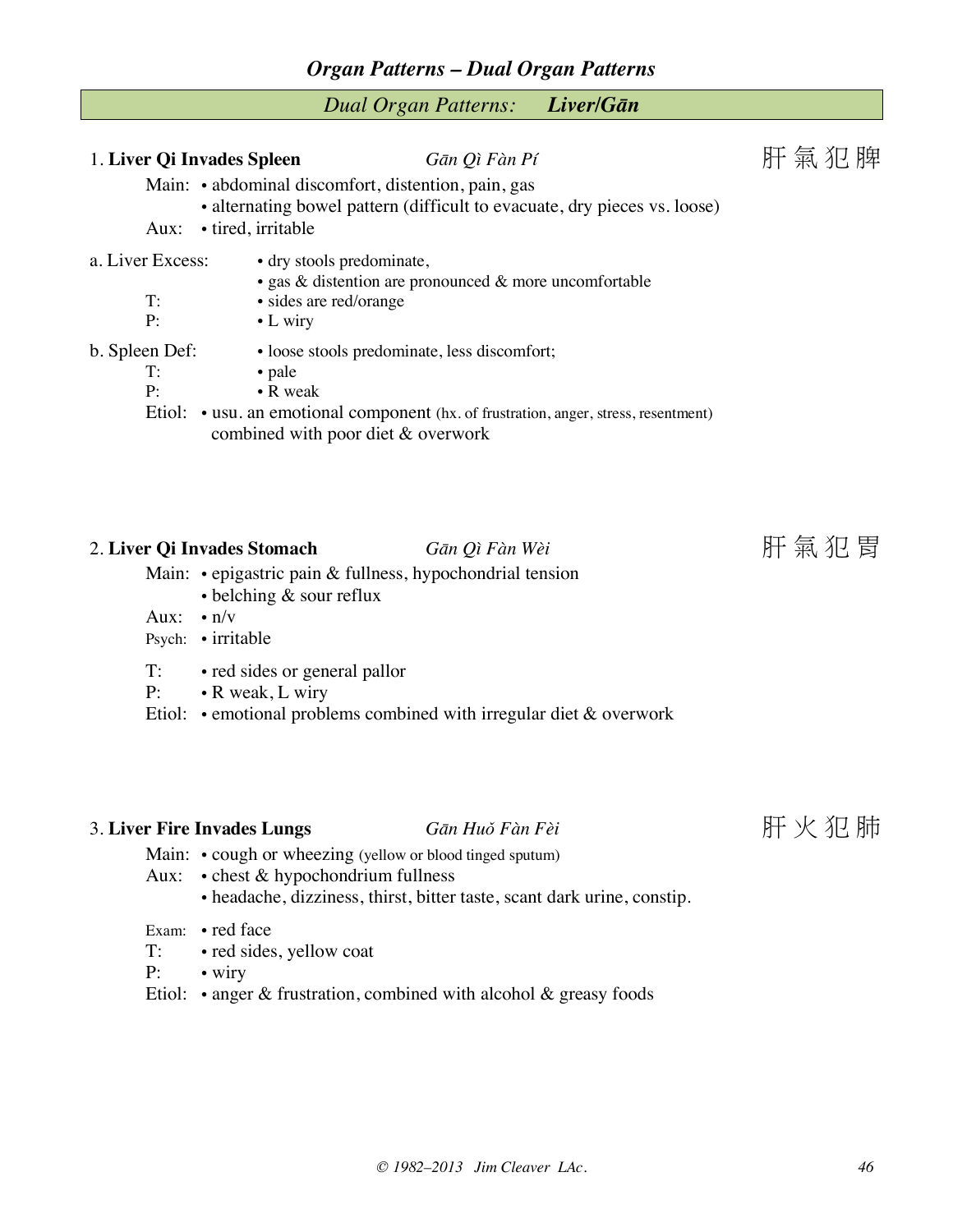### *Organ Patterns – Dual Organ Patterns*

|  |  | <b>Dual Organ Patterns:</b> | Liver/Gān |
|--|--|-----------------------------|-----------|
|--|--|-----------------------------|-----------|

| 1. Liver Qi Invades Spleen<br>Aux: | • tired, irritable                                                      | Gān Qì Fàn Pí<br>Main: • abdominal discomfort, distention, pain, gas<br>• alternating bowel pattern (difficult to evacuate, dry pieces vs. loose)                          | 肝氣犯脾    |
|------------------------------------|-------------------------------------------------------------------------|----------------------------------------------------------------------------------------------------------------------------------------------------------------------------|---------|
| a. Liver Excess:<br>$T$ :<br>P:    | • dry stools predominate,<br>· sides are red/orange<br>$\bullet$ L wiry | • gas $\&$ distention are pronounced $\&$ more uncomfortable                                                                                                               |         |
| b. Spleen Def:<br>T:<br>P:         | • pale<br>$\bullet$ R weak                                              | • loose stools predominate, less discomfort;<br>Etiol: • usu. an emotional component (hx. of frustration, anger, stress, resentment)<br>combined with poor diet & overwork |         |
| 2. Liver Qi Invades Stomach        |                                                                         | Gān Qì Fàn Wèi<br>Main: $\cdot$ epigastric pain & fullness, hypochondrial tension                                                                                          | 肝 氣 犯 胃 |

- belching & sour reflux
- Aux: n/v
- Psych: irritable
- T: red sides or general pallor
- P: R weak, L wiry
- Etiol: emotional problems combined with irregular diet & overwork

## 3. **Liver Fire Invades Lungs** *Gān Huǒ Fàn Fèi* 肝 火 犯 肺

- Main: cough or wheezing (yellow or blood tinged sputum)
- Aux: chest & hypochondrium fullness
	- headache, dizziness, thirst, bitter taste, scant dark urine, constip.
- Exam: red face
- T: red sides, yellow coat
- P: wiry
- Etiol: anger & frustration, combined with alcohol & greasy foods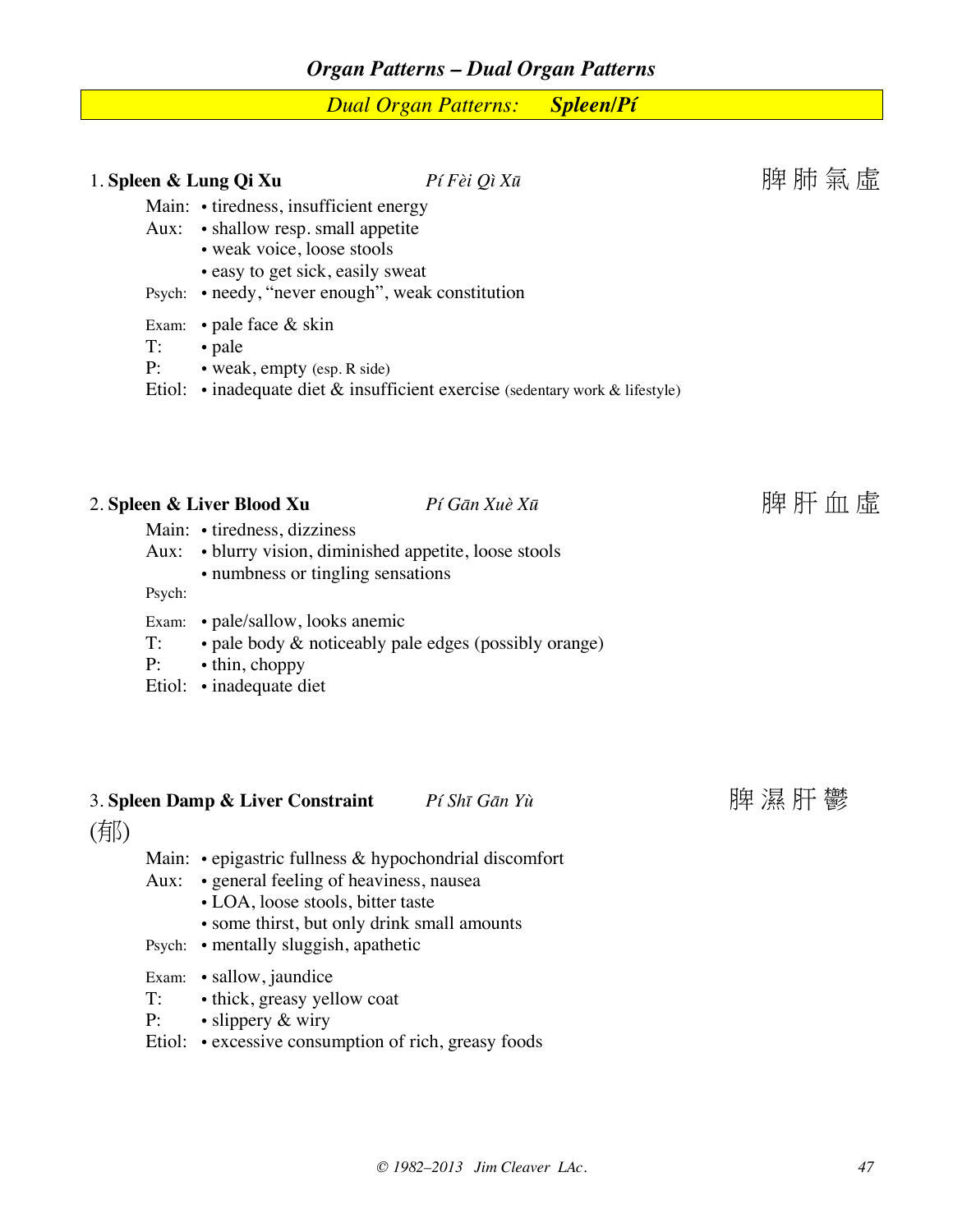*Dual Organ Patterns: Spleen/Pí*

|     |                    | 1. Spleen & Lung Qi Xu                                                                                                                                                                                                        | Pí Fèi Qì Xū                                                                              | 脾肺氣虛 |
|-----|--------------------|-------------------------------------------------------------------------------------------------------------------------------------------------------------------------------------------------------------------------------|-------------------------------------------------------------------------------------------|------|
|     |                    | Main: • tiredness, insufficient energy<br>Aux: • shallow resp. small appetite<br>• weak voice, loose stools<br>• easy to get sick, easily sweat<br>Psych: • needy, "never enough", weak constitution                          |                                                                                           |      |
|     | T:<br>P:           | Exam: $\bullet$ pale face & skin<br>• pale<br>• weak, empty (esp. R side)                                                                                                                                                     | Etiol: $\cdot$ inadequate diet $\&$ insufficient exercise (sedentary work $\&$ lifestyle) |      |
|     | Aux:               | 2. Spleen & Liver Blood Xu<br>Main: • tiredness, dizziness<br>· blurry vision, diminished appetite, loose stools<br>• numbness or tingling sensations                                                                         | Pí Gān Xuè Xū                                                                             | 脾肝血虛 |
|     | Psych:<br>T:<br>P: | Exam: • pale/sallow, looks anemic<br>• pale body & noticeably pale edges (possibly orange)<br>• thin, choppy<br>Etiol: • inadequate diet                                                                                      |                                                                                           |      |
| (郁) |                    | 3. Spleen Damp & Liver Constraint                                                                                                                                                                                             | Pí Shī Gān Yù                                                                             | 脾濕肝鬱 |
|     | Aux:               | Main: • epigastric fullness & hypochondrial discomfort<br>• general feeling of heaviness, nausea<br>• LOA, loose stools, bitter taste<br>• some thirst, but only drink small amounts<br>Psych: • mentally sluggish, apathetic |                                                                                           |      |

Exam: • sallow, jaundice

- T: thick, greasy yellow coat<br>P: slippery & wiry
- slippery & wiry
- Etiol: excessive consumption of rich, greasy foods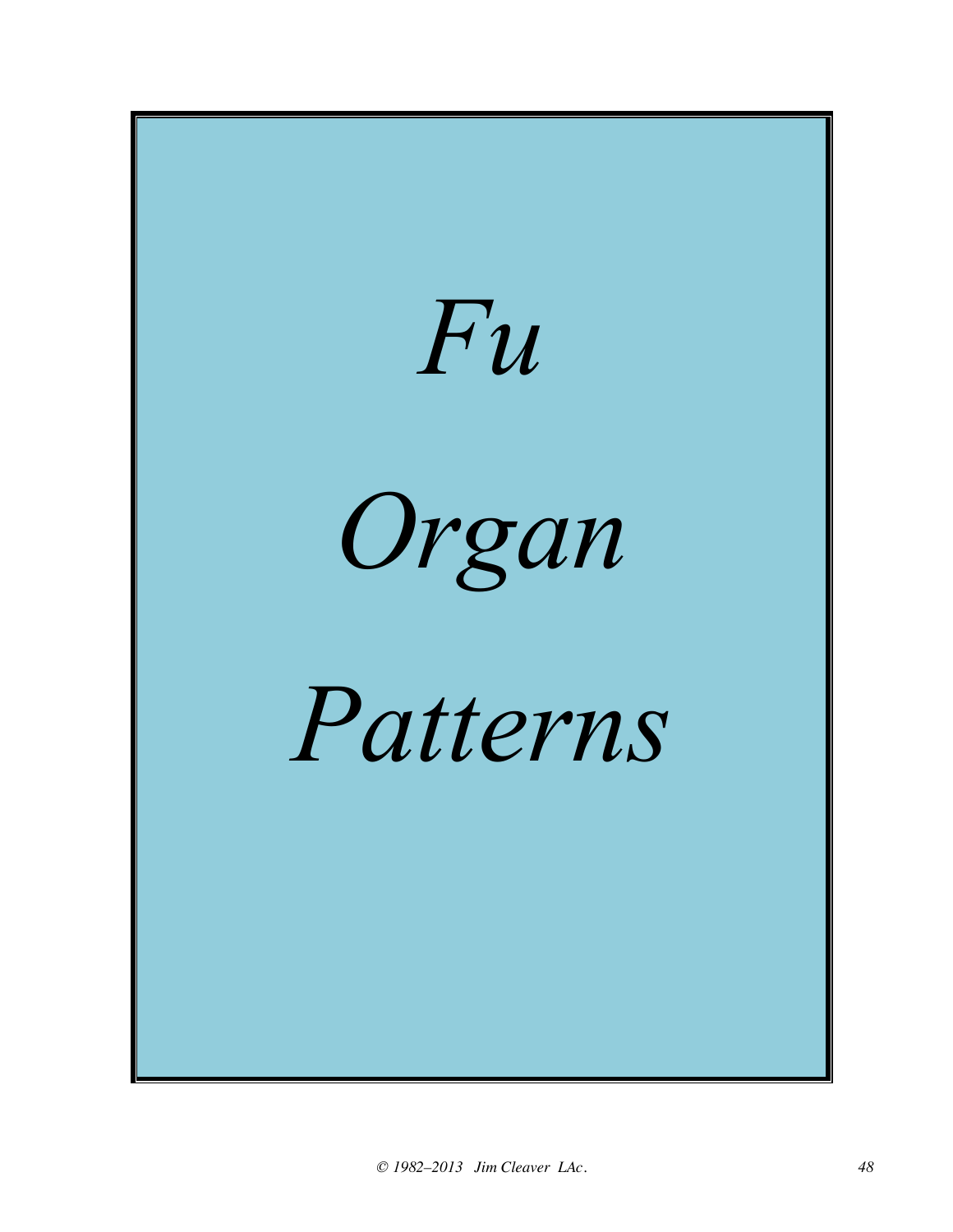![](_page_47_Picture_0.jpeg)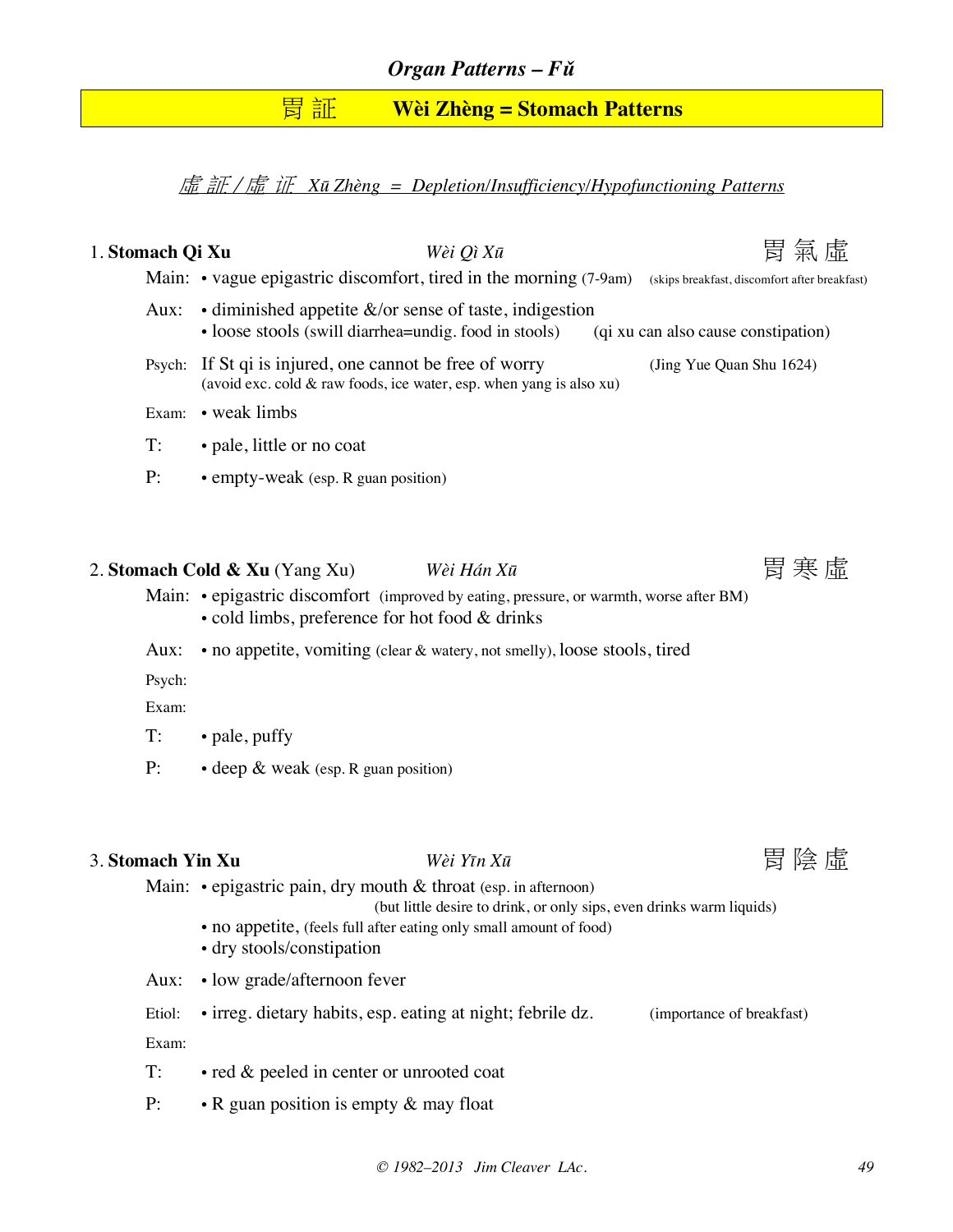## 胃 証 **Wèi Zhèng = Stomach Patterns**

虛 証 / 虛 证 *Xū Zhèng = Depletion/Insufficiency/Hypofunctioning Patterns*

| 1. Stomach Qi Xu  |                                | Wèi Qì $X\bar{u}$                                                                                                                                                                                                   | 胃 氣 虛                                         |  |
|-------------------|--------------------------------|---------------------------------------------------------------------------------------------------------------------------------------------------------------------------------------------------------------------|-----------------------------------------------|--|
|                   |                                | Main: • vague epigastric discomfort, tired in the morning (7-9am)                                                                                                                                                   | (skips breakfast, discomfort after breakfast) |  |
| Aux:              |                                | • diminished appetite $\&$ /or sense of taste, indigestion<br>• loose stools (swill diarrhea=undig. food in stools)                                                                                                 | (qi xu can also cause constipation)           |  |
|                   |                                | Psych: If St qi is injured, one cannot be free of worry<br>(avoid exc. cold $\&$ raw foods, ice water, esp. when yang is also xu)                                                                                   | (Jing Yue Quan Shu 1624)                      |  |
|                   | Exam: • weak limbs             |                                                                                                                                                                                                                     |                                               |  |
| T:                | · pale, little or no coat      |                                                                                                                                                                                                                     |                                               |  |
| P:                |                                | • empty-weak (esp. R guan position)                                                                                                                                                                                 |                                               |  |
|                   |                                |                                                                                                                                                                                                                     |                                               |  |
|                   | 2. Stomach Cold & Xu (Yang Xu) | Wèi Hán Xū                                                                                                                                                                                                          | 胃 寒 虛                                         |  |
|                   |                                | Main: • epigastric discomfort (improved by eating, pressure, or warmth, worse after BM)<br>• cold limbs, preference for hot food & drinks                                                                           |                                               |  |
| Aux:              |                                | • no appetite, vomiting (clear & watery, not smelly), loose stools, tired                                                                                                                                           |                                               |  |
| Psych:            |                                |                                                                                                                                                                                                                     |                                               |  |
| Exam:             |                                |                                                                                                                                                                                                                     |                                               |  |
| T:                | • pale, puffy                  |                                                                                                                                                                                                                     |                                               |  |
| P:                |                                | • deep & weak (esp. R guan position)                                                                                                                                                                                |                                               |  |
|                   |                                |                                                                                                                                                                                                                     |                                               |  |
| 3. Stomach Yin Xu |                                | Wèi Yīn Xū                                                                                                                                                                                                          | 胃 陰 虛                                         |  |
|                   | • dry stools/constipation      | Main: $\cdot$ epigastric pain, dry mouth & throat (esp. in afternoon)<br>(but little desire to drink, or only sips, even drinks warm liquids)<br>• no appetite, (feels full after eating only small amount of food) |                                               |  |
| Aux:              | • low grade/afternoon fever    |                                                                                                                                                                                                                     |                                               |  |
| Etiol:            |                                | · irreg. dietary habits, esp. eating at night; febrile dz.                                                                                                                                                          | (importance of breakfast)                     |  |

T: • red & peeled in center or unrooted coat

Exam:

P: • R guan position is empty & may float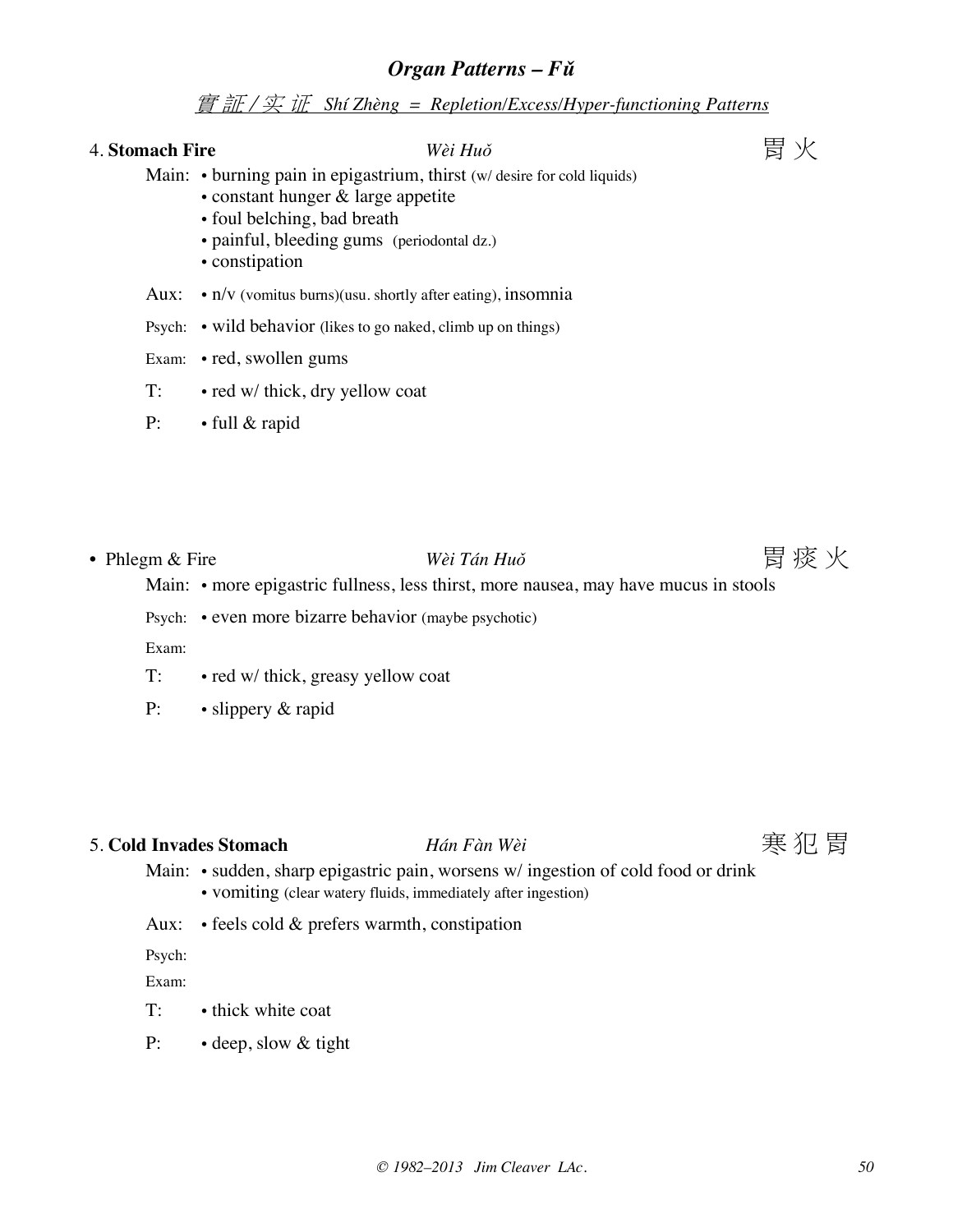### 實 証 / 实 证 *Shí Zhèng = Repletion/Excess/Hyper-functioning Patterns*

## 4. **Stomach Fire** *Wèi Huǒ* 胃 火

- Main: burning pain in epigastrium, thirst (w/ desire for cold liquids)
	- constant hunger & large appetite
	- foul belching, bad breath
	- painful, bleeding gums (periodontal dz.)
	- constipation
- Aux: n/v (vomitus burns)(usu. shortly after eating), insomnia
- Psych: wild behavior (likes to go naked, climb up on things)
- Exam: red, swollen gums
- T: red w/ thick, dry yellow coat
- P: full & rapid
- Phlegm & Fire *Wèi Tán Huǒ* **胃痰火**

![](_page_49_Picture_17.jpeg)

- Main: more epigastric fullness, less thirst, more nausea, may have mucus in stools
- Psych: even more bizarre behavior (maybe psychotic)

Exam:

- T: red w/ thick, greasy yellow coat
- P: slippery & rapid

## 5. Cold Invades Stomach *Hán Fàn Wèi* **entrants comment control control control control control control control control control control control control control control control control control control control control con**

- Main: sudden, sharp epigastric pain, worsens w/ ingestion of cold food or drink • vomiting (clear watery fluids, immediately after ingestion)
- Aux: feels cold & prefers warmth, constipation

Psych:

Exam:

- T: thick white coat
- P: · deep, slow & tight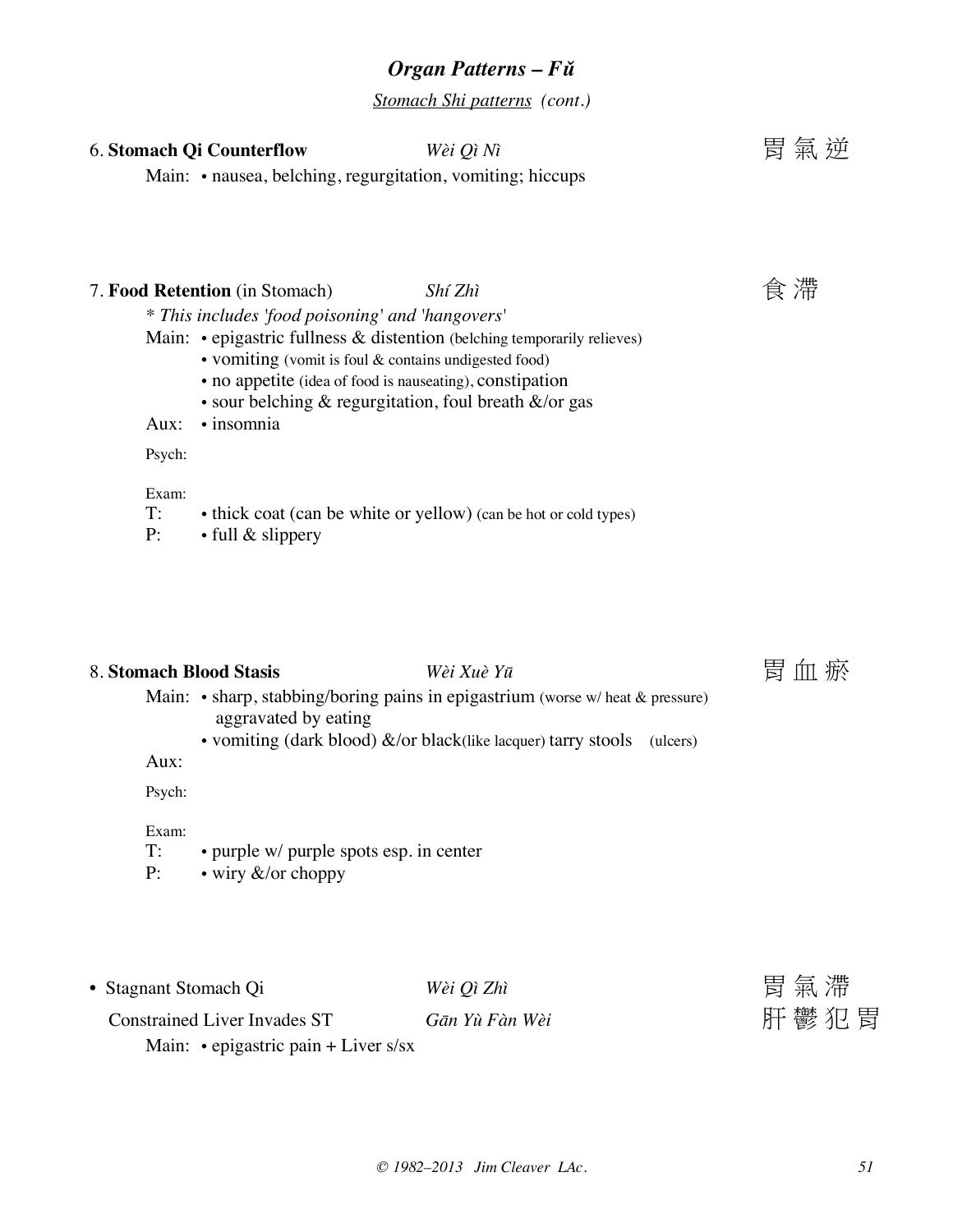*Stomach Shi patterns (cont.)*

## 6. Stomach Qi Counterflow *Wèi Qì Nì* **Election in the Counterflow** *Wèi Qì Nì*

Main: • nausea, belching, regurgitation, vomiting; hiccups

## 7. **Food Retention** (in Stomach) *Shí Zhì Shí Zhì* **食**滯

*\* This includes 'food poisoning' and 'hangovers'*

- Main: epigastric fullness & distention (belching temporarily relieves)
	- vomiting (vomit is foul & contains undigested food)
	- no appetite (idea of food is nauseating), constipation
	- sour belching & regurgitation, foul breath &/or gas
- Aux: insomnia

Psych:

Exam:

- T: thick coat (can be white or yellow) (can be hot or cold types)
- P: full & slippery

### 8. Stomach Blood Stasis *Wèi Xuè Yū* **Property 国血瘀**

- Main: sharp, stabbing/boring pains in epigastrium (worse w/ heat & pressure) aggravated by eating
	- vomiting (dark blood) &/or black(like lacquer) tarry stools (ulcers)

Aux:

Psych:

#### Exam:

- T: purple w/ purple spots esp. in center
- P: wiry &/or choppy

| • Stagnant Stomach Qi                      | Wèi Qì Zhì     | 胃氣滯  |
|--------------------------------------------|----------------|------|
| <b>Constrained Liver Invades ST</b>        | Gān Yù Fàn Wèi | 肝鬱犯胃 |
| Main: $\cdot$ epigastric pain + Liver s/sx |                |      |

![](_page_50_Picture_27.jpeg)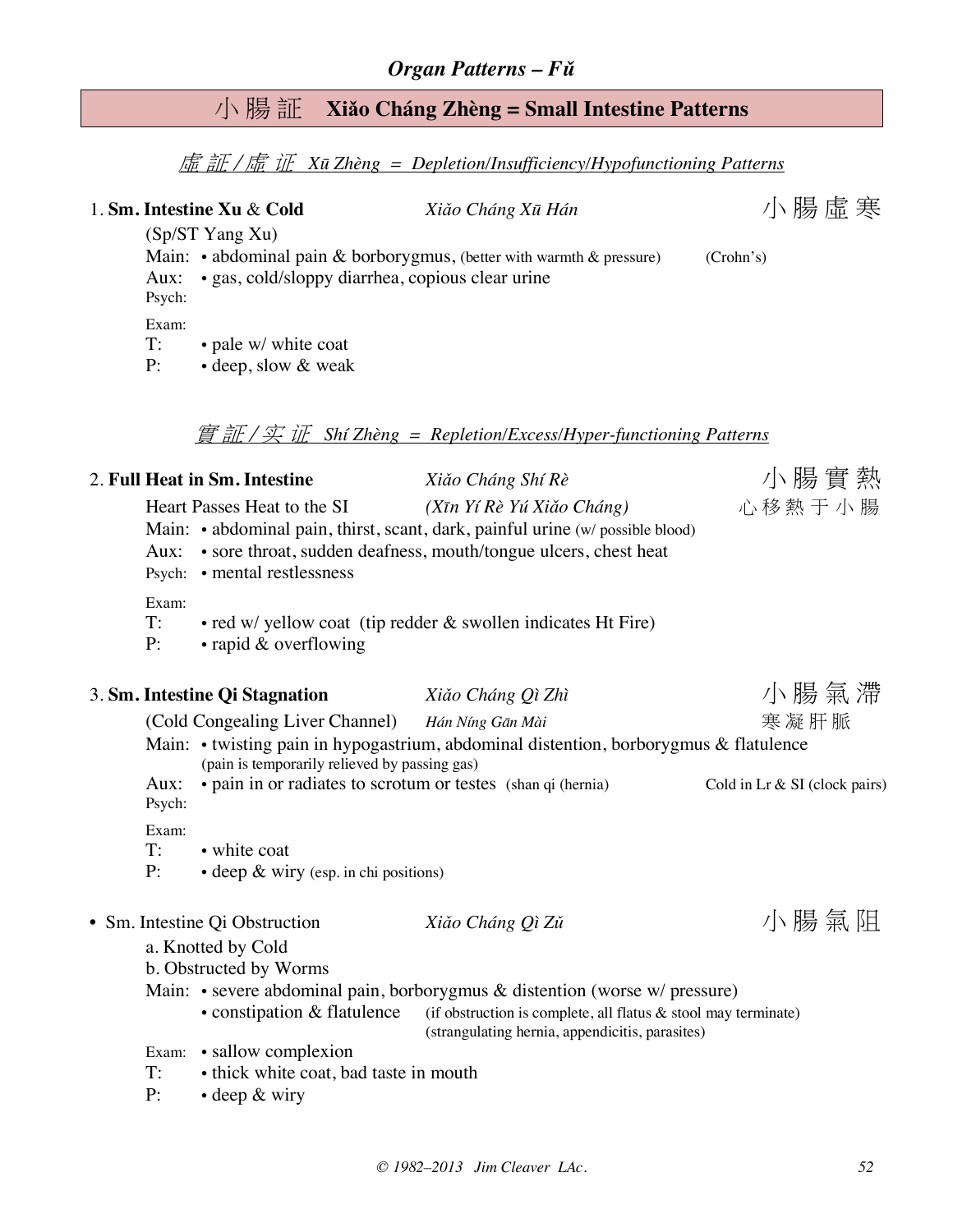## 小 腸 証 **Xiǎo Cháng Zhèng = Small Intestine Patterns**

虛 証 / 虛 证 *Xū Zhèng = Depletion/Insufficiency/Hypofunctioning Patterns*

|                   | 1. Sm. Intestine Xu & Cold                                                                        | Xiǎo Cháng Xū Hán                                                                                                                                                                                                                                                                                                   | 小腸虛寒                            |  |  |  |
|-------------------|---------------------------------------------------------------------------------------------------|---------------------------------------------------------------------------------------------------------------------------------------------------------------------------------------------------------------------------------------------------------------------------------------------------------------------|---------------------------------|--|--|--|
| Aux:<br>Psych:    | (Sp/ST Yang Xu)<br>· gas, cold/sloppy diarrhea, copious clear urine                               | Main: $\cdot$ abdominal pain & borborygmus, (better with warmth & pressure)                                                                                                                                                                                                                                         | (Crohn's)                       |  |  |  |
| Exam:<br>T:<br>P: | • pale w/ white coat<br>• deep, slow & weak                                                       |                                                                                                                                                                                                                                                                                                                     |                                 |  |  |  |
|                   |                                                                                                   | $\frac{f}{f}$ $\frac{f}{f}$ $\frac{f}{f}$ $\frac{f}{f}$ $\frac{f}{f}$ $\frac{f}{f}$ $\frac{f}{f}$ $\frac{f}{f}$ $\frac{f}{f}$ $\frac{f}{f}$ $\frac{f}{f}$ $\frac{f}{f}$ $\frac{f}{f}$ $\frac{f}{f}$ $\frac{f}{f}$ $\frac{f}{f}$ $\frac{f}{f}$ $\frac{f}{f}$ $\frac{f}{f}$ $\frac{f}{f}$ $\frac{f}{f}$ $\frac{f}{f}$ |                                 |  |  |  |
|                   | 2. Full Heat in Sm. Intestine                                                                     | Xiǎo Cháng Shí Rè                                                                                                                                                                                                                                                                                                   | 小腸實熱                            |  |  |  |
| Aux:              | Heart Passes Heat to the SI<br>Psych: • mental restlessness                                       | (Xīn Yí Rè Yú Xiǎo Cháng)<br>Main: • abdominal pain, thirst, scant, dark, painful urine (w/ possible blood)<br>• sore throat, sudden deafness, mouth/tongue ulcers, chest heat                                                                                                                                      | 心移熱于小腸                          |  |  |  |
| Exam:<br>T:<br>P: | • red w/ yellow coat (tip redder & swollen indicates Ht Fire)<br>$\cdot$ rapid & overflowing      |                                                                                                                                                                                                                                                                                                                     |                                 |  |  |  |
|                   | 3. Sm. Intestine Qi Stagnation                                                                    | Xiǎo Cháng Qì Zhì                                                                                                                                                                                                                                                                                                   | 小腸氣滯                            |  |  |  |
|                   | (Cold Congealing Liver Channel) Hán Níng Gān Mài<br>(pain is temporarily relieved by passing gas) | Main: • twisting pain in hypogastrium, abdominal distention, borborygmus & flatulence                                                                                                                                                                                                                               | 寒凝肝脈                            |  |  |  |
| Aux:<br>Psych:    | • pain in or radiates to scrotum or testes (shan qi (hernia)                                      |                                                                                                                                                                                                                                                                                                                     | Cold in Lr $&$ SI (clock pairs) |  |  |  |
| Exam:<br>T:<br>P: | • white coat<br>• deep & wiry (esp. in chi positions)                                             |                                                                                                                                                                                                                                                                                                                     |                                 |  |  |  |
|                   | • Sm. Intestine Qi Obstruction<br>a. Knotted by Cold                                              | Xiǎo Cháng Qì Zǔ                                                                                                                                                                                                                                                                                                    | 小腸氣阻                            |  |  |  |
|                   | b. Obstructed by Worms                                                                            |                                                                                                                                                                                                                                                                                                                     |                                 |  |  |  |
|                   | • constipation & flatulence                                                                       | Main: • severe abdominal pain, borborygmus & distention (worse w/ pressure)<br>(if obstruction is complete, all flatus & stool may terminate)<br>(strangulating hernia, appendicitis, parasites)                                                                                                                    |                                 |  |  |  |
|                   | Exam: • sallow complexion                                                                         |                                                                                                                                                                                                                                                                                                                     |                                 |  |  |  |
| T:                | • thick white coat, bad taste in mouth                                                            |                                                                                                                                                                                                                                                                                                                     |                                 |  |  |  |
| P:                | $\cdot$ deep $\&$ wiry                                                                            |                                                                                                                                                                                                                                                                                                                     |                                 |  |  |  |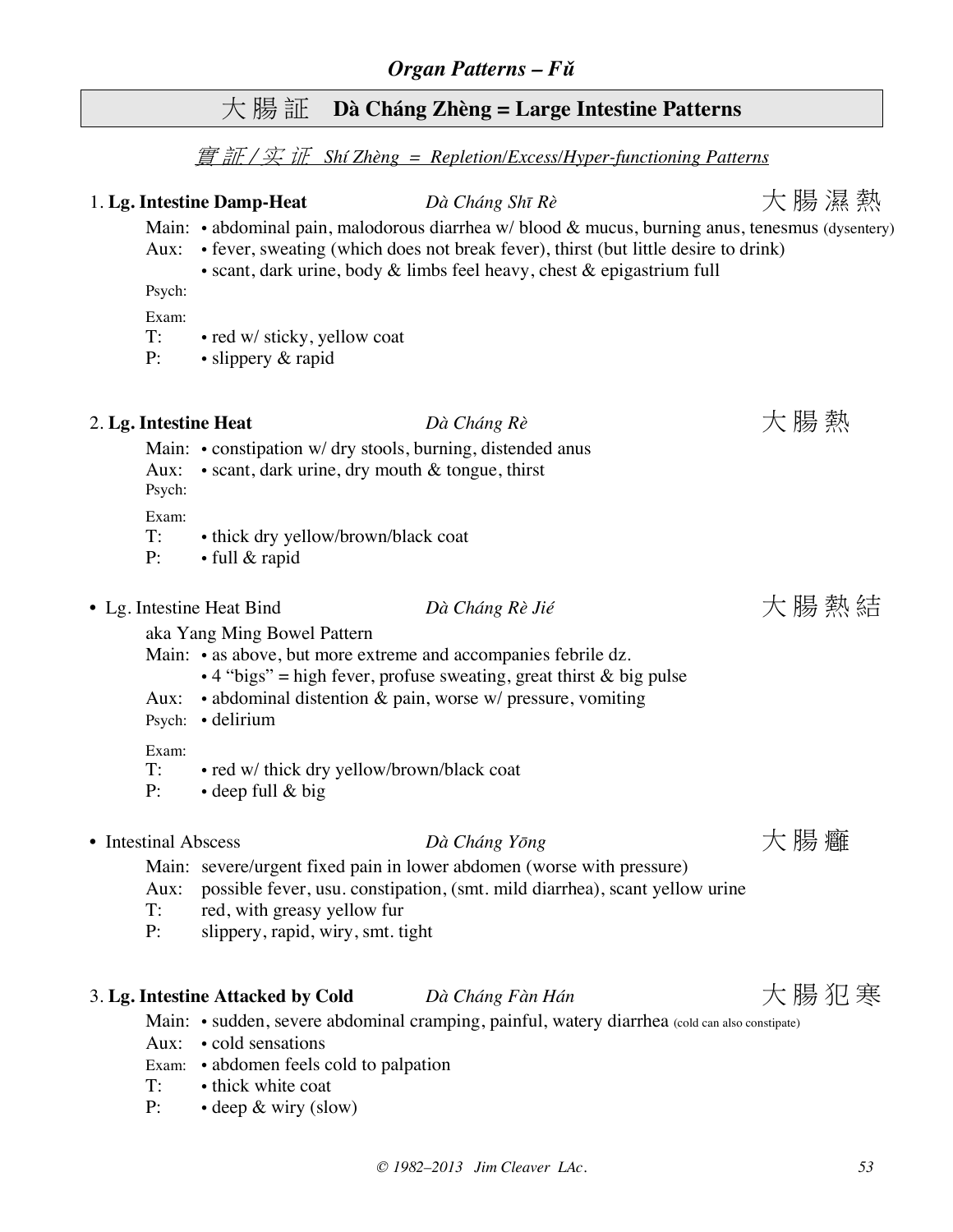## 大 腸 証 **Dà Cháng Zhèng = Large Intestine Patterns**

#### 實 証 / 实 证 *Shí Zhèng = Repletion/Excess/Hyper-functioning Patterns*

1. **Lg. Intestine Damp-Heat** *Dà Cháng Shī Rè* 大 腸 濕 熱

Main: • abdominal pain, malodorous diarrhea w/ blood  $\&$  mucus, burning anus, tenesmus (dysentery)

## Aux: • fever, sweating (which does not break fever), thirst (but little desire to drink) • scant, dark urine, body & limbs feel heavy, chest & epigastrium full Psych: Exam: T: • red w/ sticky, yellow coat P: • slippery & rapid 2. Lg. Intestine Heat *Dà Cháng Rè* **heat** *The Dà Cháng Rè* 大腸熱 Main: • constipation w/ dry stools, burning, distended anus Aux: • scant, dark urine, dry mouth & tongue, thirst Psych: Exam: T: • thick dry yellow/brown/black coat P: • full & rapid • Lg. Intestine Heat Bind *Dà Cháng Rè Jié* 大 腸 熱 結 aka Yang Ming Bowel Pattern Main: • as above, but more extreme and accompanies febrile dz.  $\cdot$  4 "bigs" = high fever, profuse sweating, great thirst & big pulse Aux: • abdominal distention & pain, worse w/ pressure, vomiting Psych: • delirium Exam: T: • red w/ thick dry yellow/brown/black coat P: • deep full & big • Intestinal Abscess *Dà Cháng Yōng* The Strain Testing The Strain Testing The Strain Testing The Strain Testing Testing Testing Testing Testing Testing Testing Testing Testing Testing Testing Testing Testing Testing Test Main: severe/urgent fixed pain in lower abdomen (worse with pressure) Aux: possible fever, usu. constipation, (smt. mild diarrhea), scant yellow urine T: red, with greasy yellow fur

P: slippery, rapid, wiry, smt. tight

## 3. Lg. Intestine Attacked by Cold *Dà Cháng Fàn Hán* **han** 大腸犯寒

Main: • sudden, severe abdominal cramping, painful, watery diarrhea (cold can also constipate)

- Aux: cold sensations
- Exam: abdomen feels cold to palpation
- T: thick white coat
- P: · deep & wiry (slow)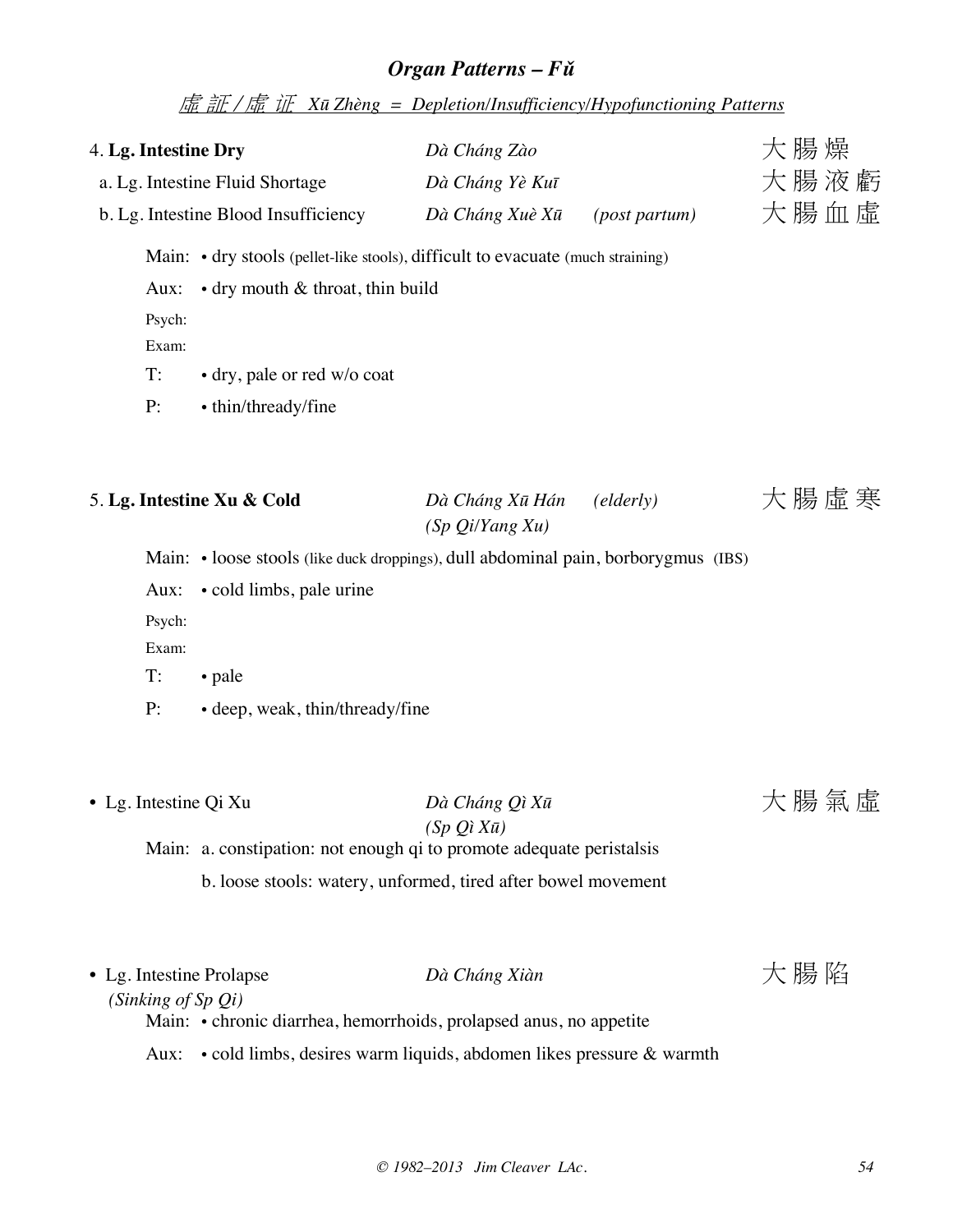虛 証 / 虛 证 *Xū Zhèng = Depletion/Insufficiency/Hypofunctioning Patterns*

| 4. Lg. Intestine Dry                | a. Lg. Intestine Fluid Shortage<br>b. Lg. Intestine Blood Insufficiency                                                                                                   | Dà Cháng Zào<br>Dà Cháng Yè Kuī<br>Dà Cháng Xuè Xū | 大腸燥<br>大腸液虧<br>大腸血虛 |      |
|-------------------------------------|---------------------------------------------------------------------------------------------------------------------------------------------------------------------------|----------------------------------------------------|---------------------|------|
| Aux:<br>Psych:<br>Exam:<br>T:<br>P: | Main: • dry stools (pellet-like stools), difficult to evacuate (much straining)<br>• dry mouth & throat, thin build<br>• dry, pale or red w/o coat<br>• thin/thready/fine |                                                    |                     |      |
| Aux:<br>Psych:<br>Exam:<br>T:       | 5. Lg. Intestine Xu & Cold<br>Main: • loose stools (like duck droppings), dull abdominal pain, borborygmus (IBS)<br>• cold limbs, pale urine<br>• pale                    | Dà Cháng Xū Hán<br>(Sp Qi/Yang Xu)                 | $\text{(elderly)}$  | 大腸虛寒 |
| P:<br>• Lg. Intestine Qi Xu         | • deep, weak, thin/thready/fine<br>Main: a. constipation: not enough qi to promote adequate peristalsis<br>b. loose stools: watery, unformed, tired after bowel movement  | Dà Cháng Qì Xū<br>$(Sp Qi X\bar{u})$               |                     | 大腸氣虛 |

| • Lg. Intestine Prolapse   | Dà Cháng Xiàn                                                      | 大腸陷 |
|----------------------------|--------------------------------------------------------------------|-----|
| $(Sinking \ of \ Sp \ Qi)$ |                                                                    |     |
|                            | Main: • chronic diarrhea, hemorrhoids, prolapsed anus, no appetite |     |

Aux: • cold limbs, desires warm liquids, abdomen likes pressure & warmth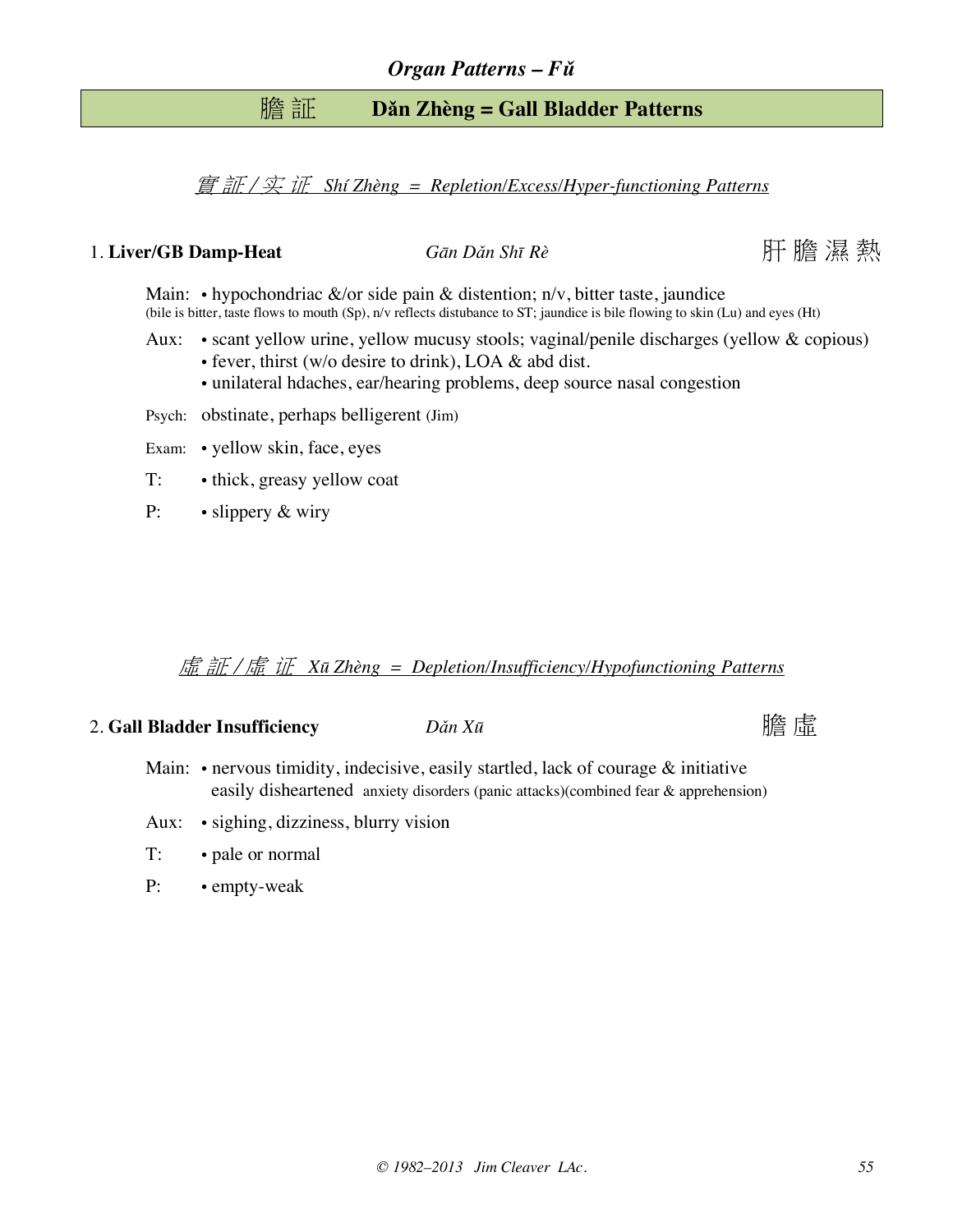## 膽 証 **Dǎn Zhèng = Gall Bladder Patterns**

實 証 / 实 证 *Shí Zhèng = Repletion/Excess/Hyper-functioning Patterns*

### 1. **Liver/GB Damp-Heat** *Gān Dǎn Shī Rè* 肝 膽 濕 熱

Main: • hypochondriac  $\&$ /or side pain  $\&$  distention; n/v, bitter taste, jaundice (bile is bitter, taste flows to mouth (Sp), n/v reflects distubance to ST; jaundice is bile flowing to skin (Lu) and eyes (Ht)

- Aux: scant yellow urine, yellow mucusy stools; vaginal/penile discharges (yellow & copious)
	- fever, thirst (w/o desire to drink), LOA & abd dist.
	- unilateral hdaches, ear/hearing problems, deep source nasal congestion

Psych: obstinate, perhaps belligerent (Jim)

- Exam: yellow skin, face, eyes
- T: thick, greasy yellow coat
- P: slippery & wiry

#### 虛 証 / 虛 证 *Xū Zhèng = Depletion/Insufficiency/Hypofunctioning Patterns*

### 2. Gall Bladder Insufficiency  $D\check{a}n X\bar{a}$  and  $\hat{a}n X\bar{a}$  and  $\hat{a}n X\bar{a}$  and  $\hat{a}n X\bar{a}$

- Main:  $\cdot$  nervous timidity, indecisive, easily startled, lack of courage  $\&$  initiative easily disheartened anxiety disorders (panic attacks)(combined fear & apprehension)
- Aux: sighing, dizziness, blurry vision
- T: pale or normal
- P: empty-weak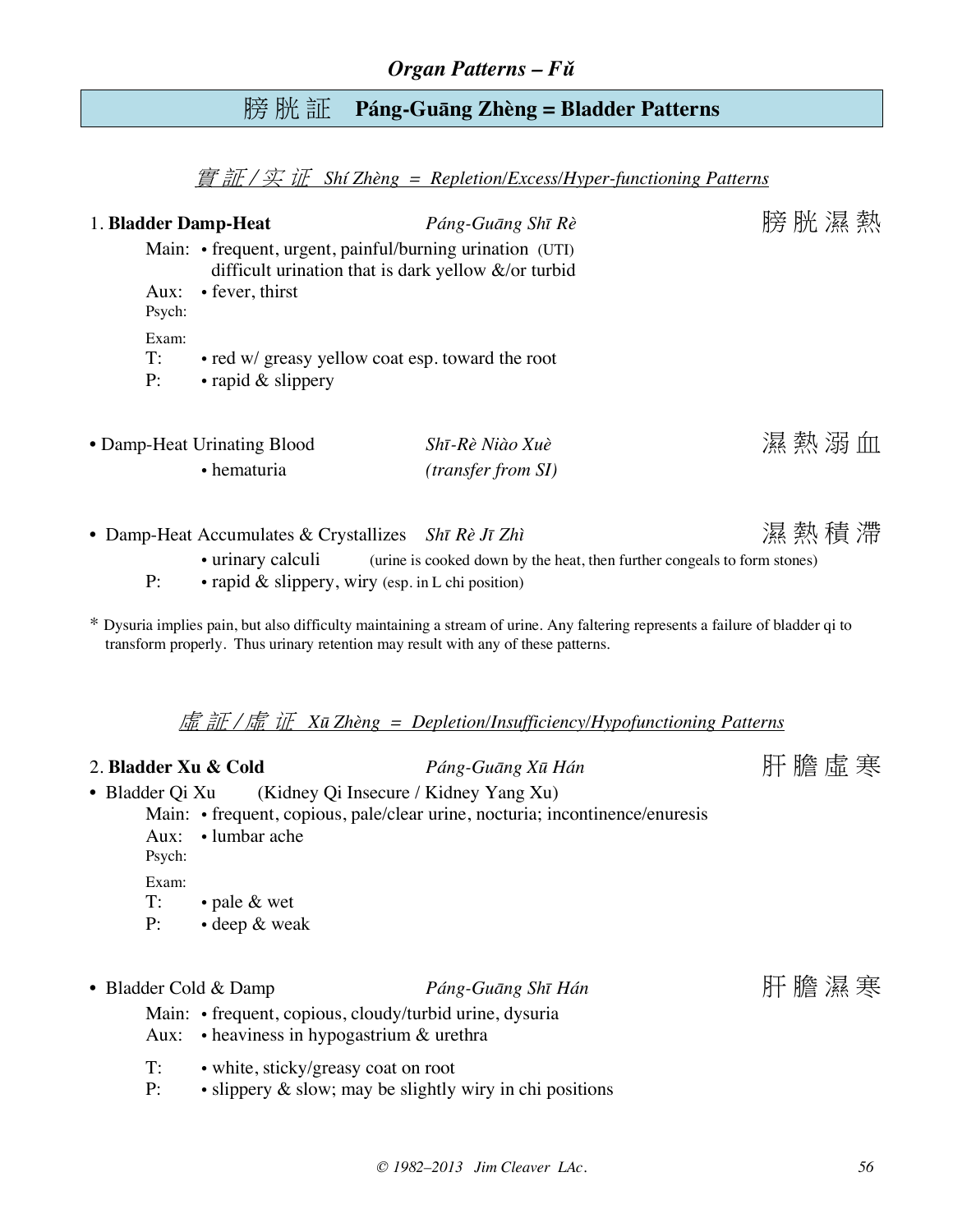## 膀 胱 証 **Páng-Guāng Zhèng = Bladder Patterns**

實 証 / 实 证 *Shí Zhèng = Repletion/Excess/Hyper-functioning Patterns*

| 1. Bladder Damp-Heat<br>Aux:<br>Psych:                                         | Main: • frequent, urgent, painful/burning urination (UTI)<br>difficult urination that is dark yellow $\&$ /or turbid<br>• fever, thirst                                                                        | Páng-Guāng Shī Rè                                                                                                                                                                                  |  | 膀胱濕熱 |
|--------------------------------------------------------------------------------|----------------------------------------------------------------------------------------------------------------------------------------------------------------------------------------------------------------|----------------------------------------------------------------------------------------------------------------------------------------------------------------------------------------------------|--|------|
| Exam:<br>T:<br>P:                                                              | • red w/ greasy yellow coat esp. toward the root<br>• rapid & slippery                                                                                                                                         |                                                                                                                                                                                                    |  |      |
|                                                                                | • Damp-Heat Urinating Blood<br>• hematuria                                                                                                                                                                     | Shī-Rè Niào Xuè<br>(transfer from SI)                                                                                                                                                              |  | 濕熱溺血 |
| P:                                                                             | • Damp-Heat Accumulates & Crystallizes Shī Rè Jī Zhì<br>• rapid $\&$ slippery, wiry (esp. in L chi position)                                                                                                   | • urinary calculi (urine is cooked down by the heat, then further congeals to form stones)                                                                                                         |  | 濕熱積滯 |
|                                                                                | transform properly. Thus urinary retention may result with any of these patterns.                                                                                                                              | * Dysuria implies pain, but also difficulty maintaining a stream of urine. Any faltering represents a failure of bladder qi to<br>虚証/虚证 XūZhèng = Depletion/Insufficiency/Hypofunctioning Patterns |  |      |
| 2. Bladder Xu & Cold<br>• Bladder Qi Xu<br>Aux:<br>Psych:<br>Exam:<br>T:<br>P: | (Kidney Qi Insecure / Kidney Yang Xu)<br>• lumbar ache<br>• pale & wet<br>• deep & weak                                                                                                                        | Páng-Guāng Xū Hán<br>Main: • frequent, copious, pale/clear urine, nocturia; incontinence/enuresis                                                                                                  |  | 肝膽虛寒 |
| • Bladder Cold & Damp<br>Aux:<br>T:<br>P:                                      | Main: • frequent, copious, cloudy/turbid urine, dysuria<br>$\bullet$ heaviness in hypogastrium $\&$ urethra<br>• white, sticky/greasy coat on root<br>• slippery & slow; may be slightly wiry in chi positions | Páng-Guāng Shī Hán                                                                                                                                                                                 |  | 肝膽濕寒 |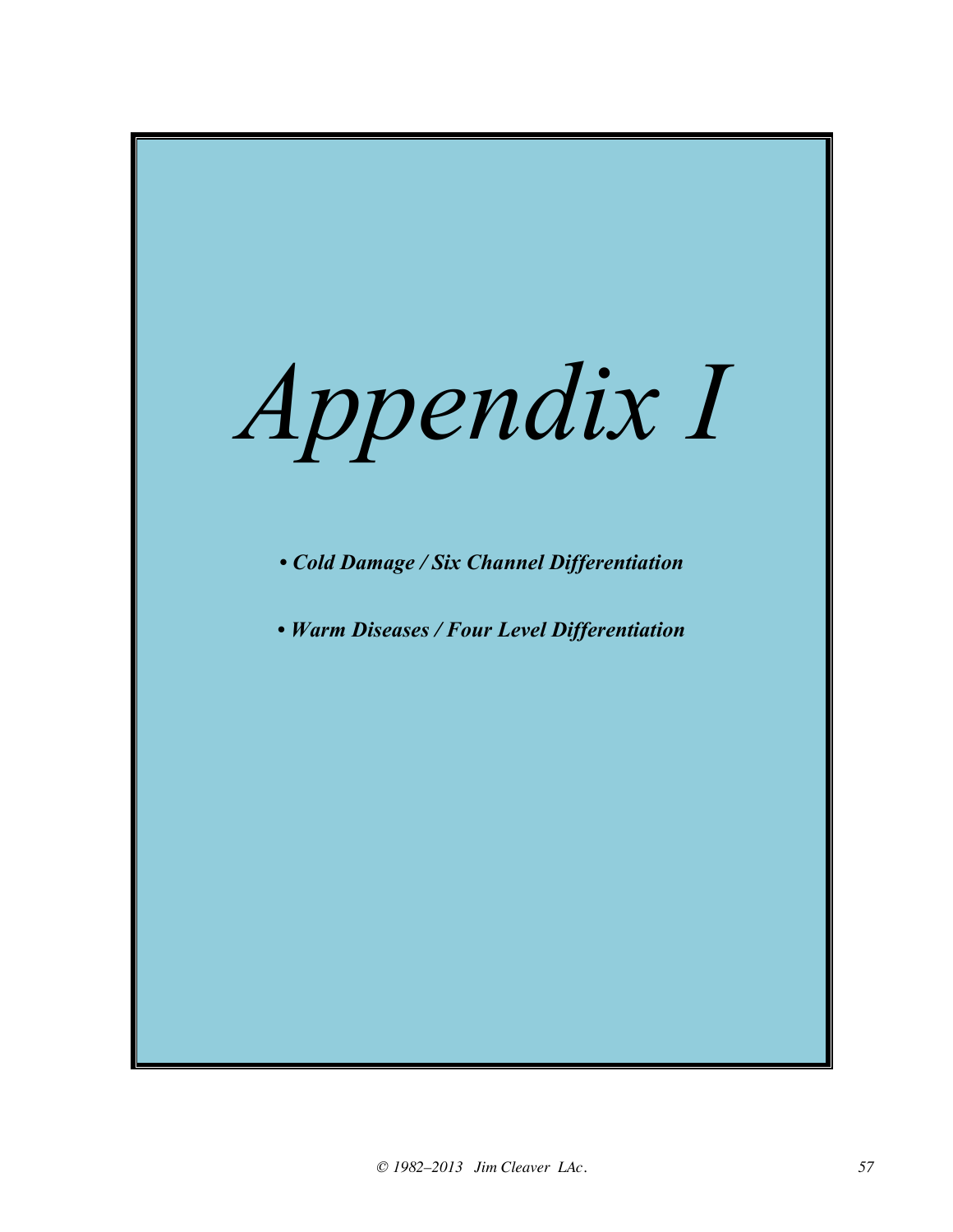![](_page_56_Picture_0.jpeg)

*• Cold Damage / Six Channel Differentiation*

*• Warm Diseases / Four Level Differentiation*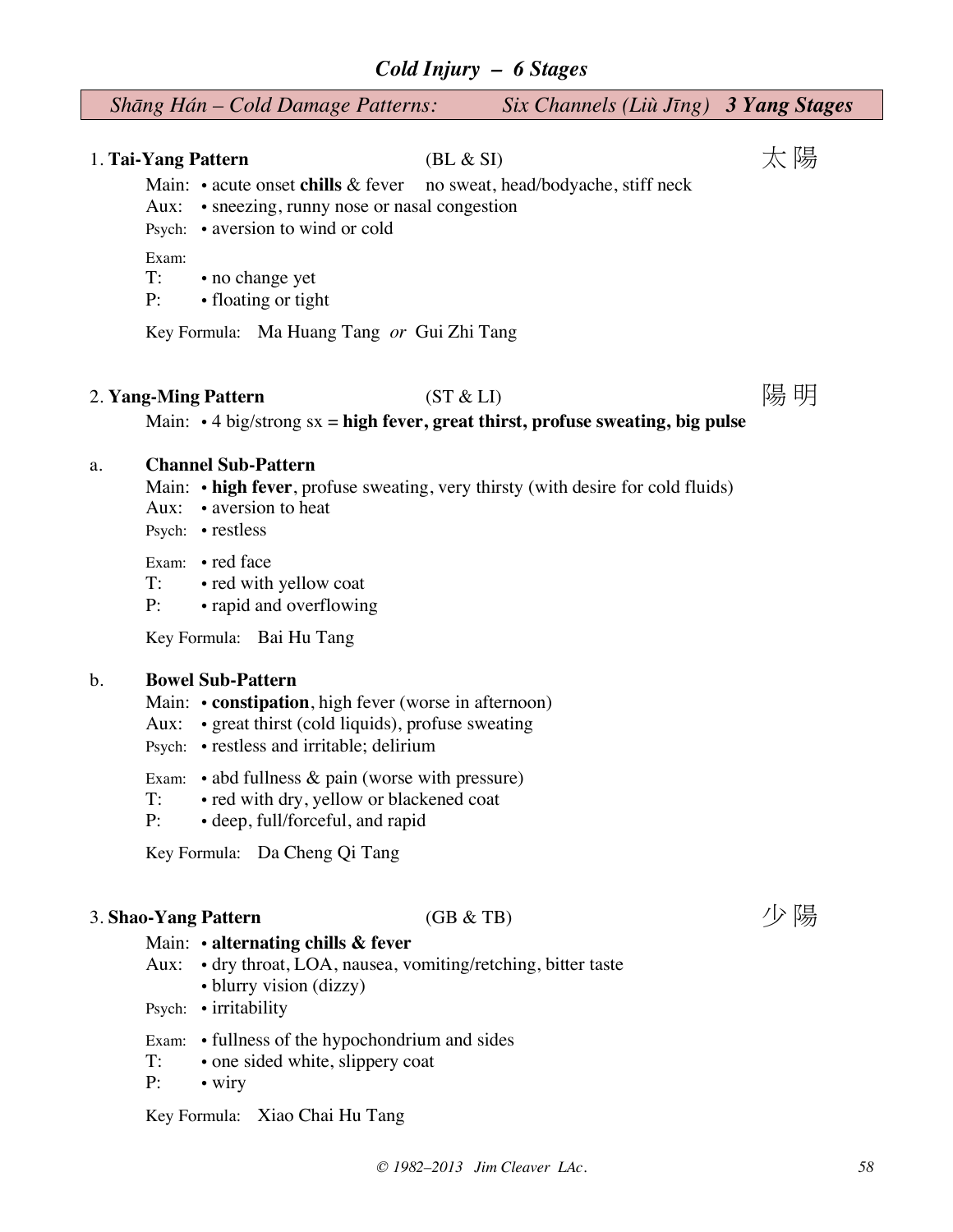### *Cold Injury – 6 Stages*

| $Six Channels (Lii Jing)$ 3 Yang Stages<br>Shāng Hán – Cold Damage Patterns: |           |
|------------------------------------------------------------------------------|-----------|
|                                                                              | 太陽        |
|                                                                              | (BL & SI) |

Main: • acute onset **chills** & fever no sweat, head/bodyache, stiff neck

- Aux: sneezing, runny nose or nasal congestion
- Psych: aversion to wind or cold

Exam:

- T: no change yet
- P: floating or tight

Key Formula: Ma Huang Tang *or* Gui Zhi Tang

### 2. **Yang-Ming Pattern** (ST & LI) 图 明明

Main: • 4 big/strong sx = **high fever, great thirst, profuse sweating, big pulse**

#### a. **Channel Sub-Pattern**

- Main: **high fever**, profuse sweating, very thirsty (with desire for cold fluids)
- Aux: aversion to heat
- Psych: restless

Exam: • red face<br>T: • red with

- red with yellow coat
- P: rapid and overflowing

Key Formula: Bai Hu Tang

#### b. **Bowel Sub-Pattern**

- Main:  **constipation**, high fever (worse in afternoon)
- Aux: great thirst (cold liquids), profuse sweating
- Psych: restless and irritable; delirium
- Exam: abd fullness & pain (worse with pressure)
- T: red with dry, yellow or blackened coat
- P: deep, full/forceful, and rapid

Key Formula: Da Cheng Qi Tang

### 3. **Shao-Yang Pattern** (GB & TB) 3. **Shao-Yang Pattern**

#### Main: • **alternating chills & fever**

- Aux: dry throat, LOA, nausea, vomiting/retching, bitter taste
	- blurry vision (dizzy)
- Psych: irritability
- Exam: fullness of the hypochondrium and sides
- T: one sided white, slippery coat
- P: wiry

Key Formula: Xiao Chai Hu Tang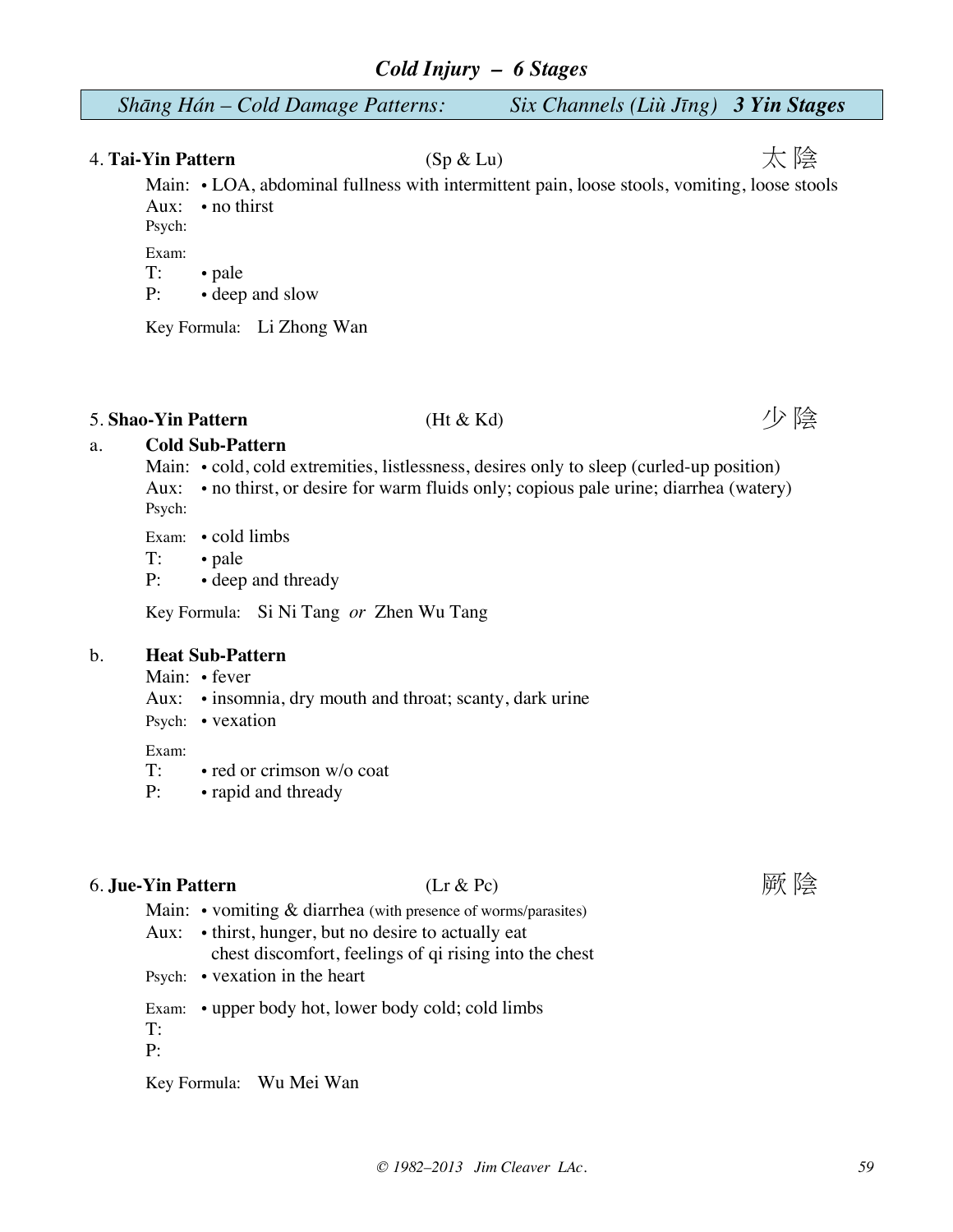| Shāng Hán – Cold Damage Patterns: | Six Channels (Liù Jīng) 3 Yin Stages |  |
|-----------------------------------|--------------------------------------|--|
|-----------------------------------|--------------------------------------|--|

## 4. **Tai-Yin Pattern** (Sp & Lu) (Sp & Lu) 太 陰

Main: • LOA, abdominal fullness with intermittent pain, loose stools, vomiting, loose stools Aux: • no thirst Psych:

Exam:

T: • pale

P: • deep and slow

Key Formula: Li Zhong Wan

## 5. **Shao-Yin Pattern** (Ht & Kd) (Ht & Kd) (Denoted a set of  $\mathbb{R}^2$ )

## a. **Cold Sub-Pattern**

- Main: cold, cold extremities, listlessness, desires only to sleep (curled-up position) Aux: • no thirst, or desire for warm fluids only; copious pale urine; diarrhea (watery) Psych:
- Exam: cold limbs

T: • pale

P: • deep and thready

Key Formula: Si Ni Tang *or* Zhen Wu Tang

#### b. **Heat Sub-Pattern**

- Main: fever
- Aux: insomnia, dry mouth and throat; scanty, dark urine
- Psych: vexation

Exam:

T: • red or crimson w/o coat

P: • rapid and thready

### **6. Jue-Yin Pattern** (Lr & Pc) (Lr & Pc) 原陰

Main:  $\cdot$  vomiting  $\&$  diarrhea (with presence of worms/parasites)

- Aux: thirst, hunger, but no desire to actually eat chest discomfort, feelings of qi rising into the chest
- Psych: vexation in the heart

Exam: • upper body hot, lower body cold; cold limbs

T: P:

Key Formula: Wu Mei Wan

![](_page_58_Picture_33.jpeg)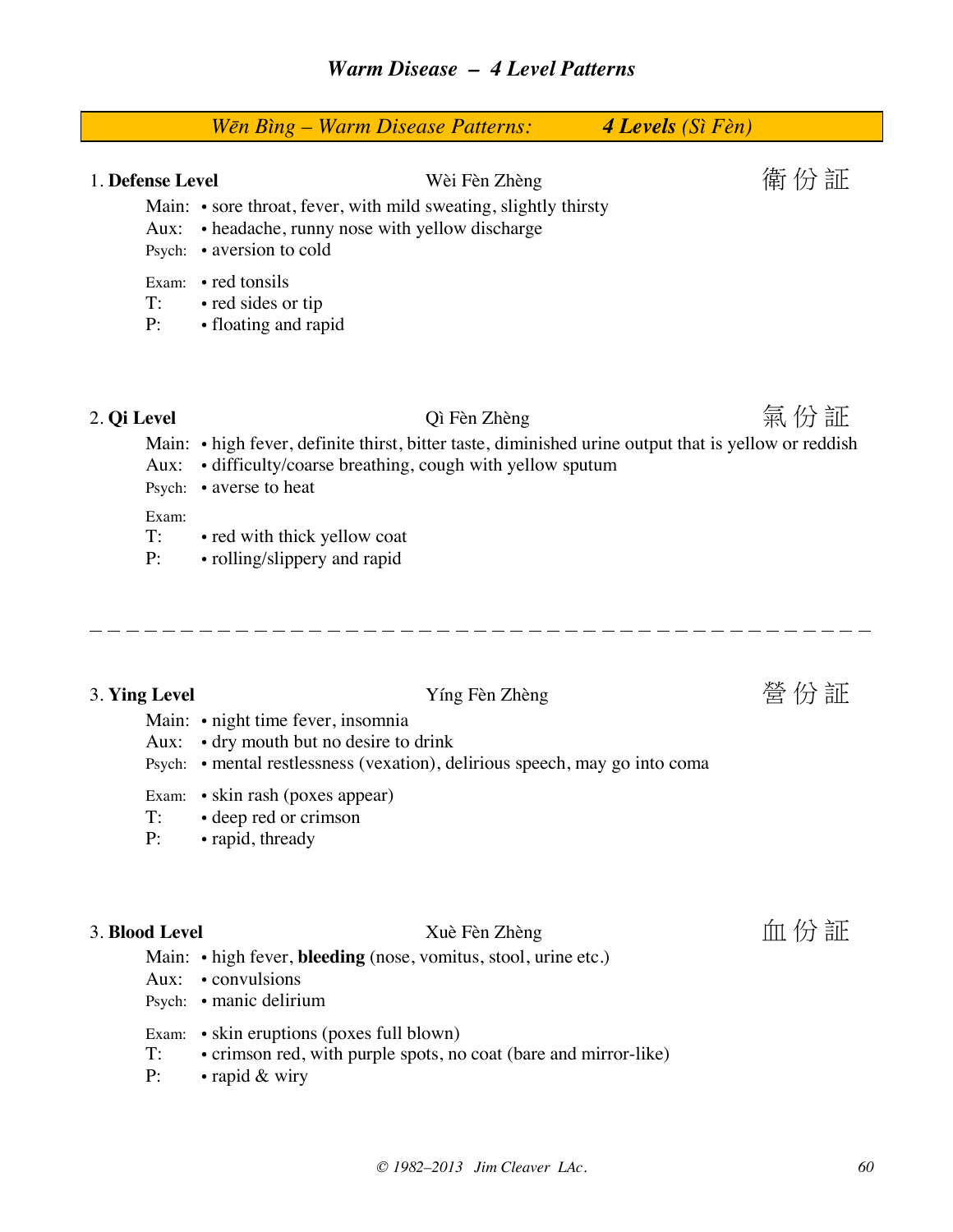|                                                    |                                                                                                                     | Wēn Bìng – Warm Disease Patterns:                                                                                                                                                                 | 4 Levels (Sì Fèn)                                                                                             |
|----------------------------------------------------|---------------------------------------------------------------------------------------------------------------------|---------------------------------------------------------------------------------------------------------------------------------------------------------------------------------------------------|---------------------------------------------------------------------------------------------------------------|
| 1. Defense Level<br>Aux:<br>T:<br>P:               | Psych: • aversion to cold<br>Exam: • red tonsils<br>· red sides or tip<br>• floating and rapid                      | Wèi Fèn Zhèng<br>Main: • sore throat, fever, with mild sweating, slightly thirsty<br>• headache, runny nose with yellow discharge                                                                 | 衛 份 証                                                                                                         |
| 2. Qi Level<br>Aux:<br>Psych:<br>Exam:<br>T:<br>P: | • averse to heat<br>• red with thick yellow coat<br>• rolling/slippery and rapid                                    | Qì Fèn Zhèng<br>• difficulty/coarse breathing, cough with yellow sputum                                                                                                                           | 氣 份 証<br>Main: • high fever, definite thirst, bitter taste, diminished urine output that is yellow or reddish |
| 3. Ying Level<br>Aux:<br>T:<br>P:                  | Main: • night time fever, insomnia<br>Exam: • skin rash (poxes appear)<br>• deep red or crimson<br>• rapid, thready | Yíng Fèn Zhèng<br>• dry mouth but no desire to drink<br>Psych: • mental restlessness (vexation), delirious speech, may go into coma                                                               | 營 份 証                                                                                                         |
| 3. Blood Level<br>Aux:<br>T:                       | • convulsions<br>Psych: • manic delirium                                                                            | Xuè Fèn Zhèng<br>Main: • high fever, bleeding (nose, vomitus, stool, urine etc.)<br>Exam: • skin eruptions (poxes full blown)<br>• crimson red, with purple spots, no coat (bare and mirror-like) | 血份証                                                                                                           |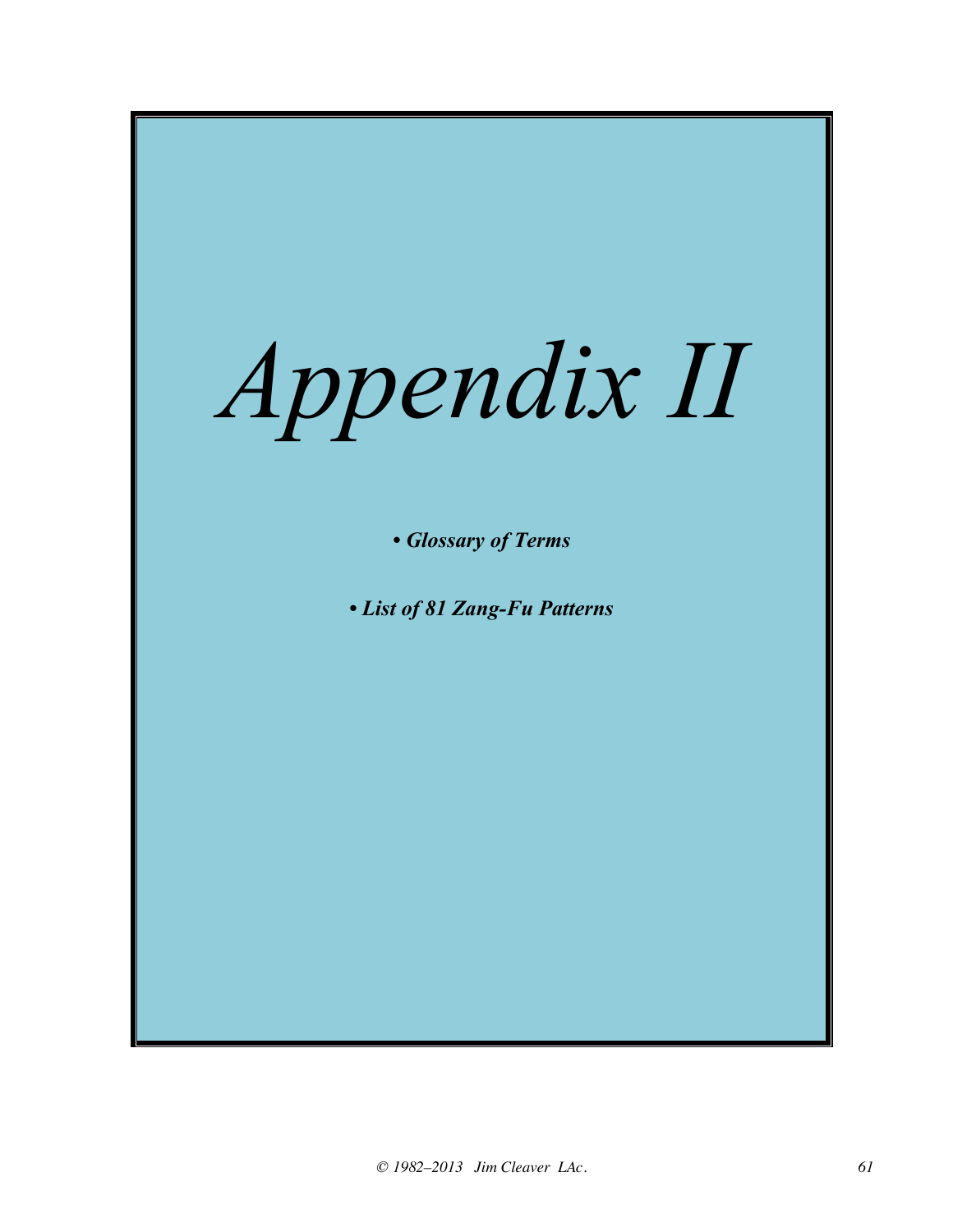![](_page_60_Picture_0.jpeg)

*• Glossary of Terms*

*• List of 81 Zang-Fu Patterns*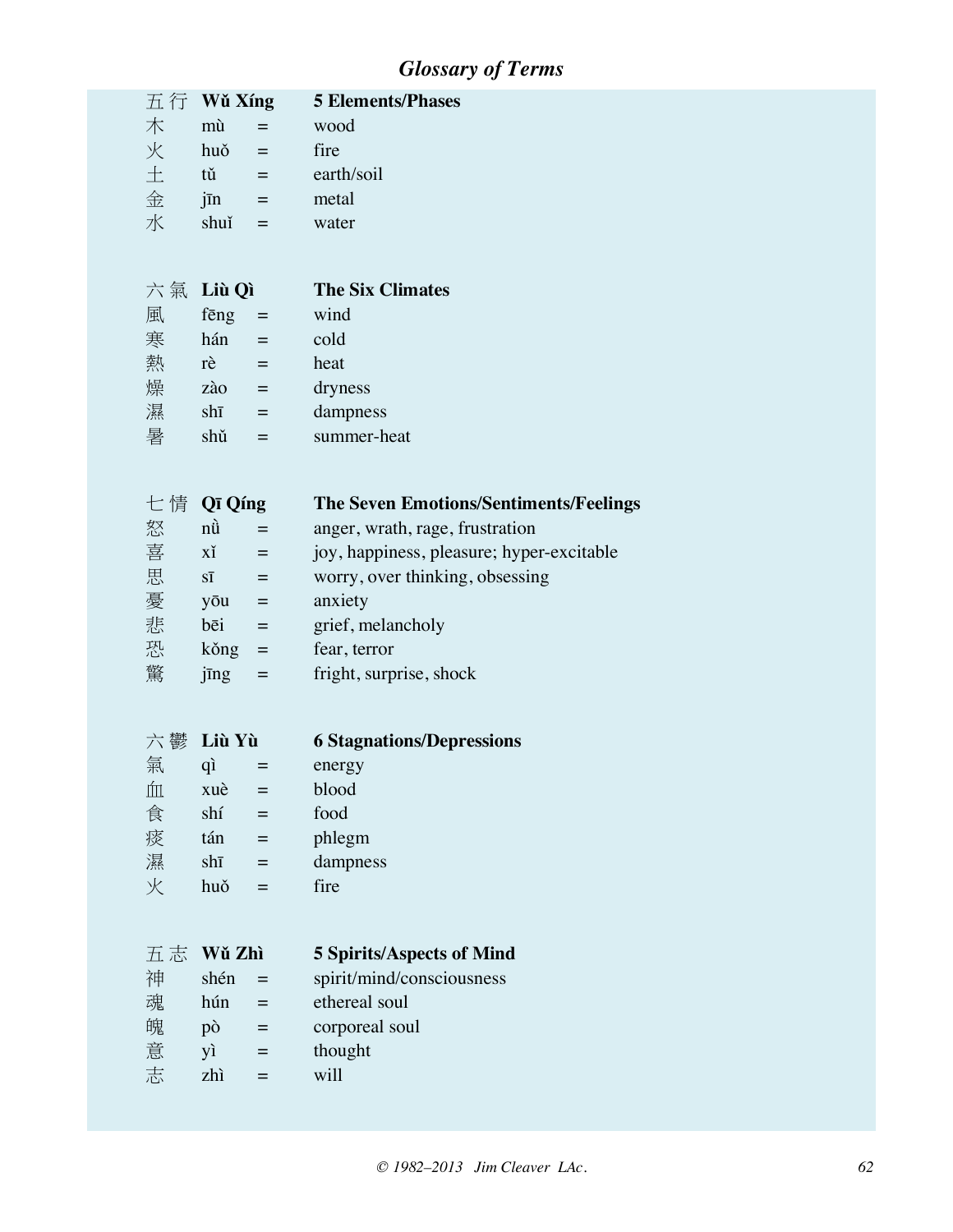## *Glossary of Terms*

| 五行 | Wǔ Xíng        |                                   | <b>5 Elements/Phases</b>                      |
|----|----------------|-----------------------------------|-----------------------------------------------|
| 木  | mù             | $=$                               | wood                                          |
| 火  | huǒ            | $\equiv$                          | fire                                          |
| 土  | tŭ l           | $=$ 1000 $\pm$                    | earth/soil                                    |
| 金  | $j\bar{m}$ =   |                                   | metal                                         |
| 水  | shuĭ           | $\equiv$                          | water                                         |
|    |                |                                   |                                               |
|    |                |                                   |                                               |
| 六氣 | Liù Qì         |                                   | <b>The Six Climates</b>                       |
| 風  | fēng           | $\blacksquare$                    | wind                                          |
| 寒  | hán            | $=$ .                             | cold                                          |
| 熱  | $r\grave{e}$ = |                                   | heat                                          |
| 燥  | $z\lambda o$ = |                                   | dryness                                       |
| 濕  | $sh\bar{1}$    | $\equiv$                          | dampness                                      |
| 暑  | shŭ            | $\qquad \qquad =$                 | summer-heat                                   |
|    |                |                                   |                                               |
|    | 七 情 Qī Qíng    |                                   | <b>The Seven Emotions/Sentiments/Feelings</b> |
| 怒  | $n\ddot{u}$    | $\equiv$                          | anger, wrath, rage, frustration               |
| 喜  | xĭ             |                                   | joy, happiness, pleasure; hyper-excitable     |
| 思  | $S\bar{1}$     | $\equiv$<br>$\equiv$              | worry, over thinking, obsessing               |
|    |                |                                   | anxiety                                       |
| 憂  | yōu            | $\equiv$                          |                                               |
| 悲  | bēi            | $\equiv$                          | grief, melancholy                             |
| 恐  | kŏng           | $\equiv$                          | fear, terror                                  |
| 驚  | jīng           | $\qquad \qquad =\qquad$           | fright, surprise, shock                       |
|    |                |                                   |                                               |
|    | 六鬱 Liù Yù      |                                   | <b>6 Stagnations/Depressions</b>              |
| 氣  | qì             | $\hspace{1.6cm} = \hspace{1.6cm}$ | energy                                        |
|    |                | $\hat{m}$ xuè = blood             |                                               |
| 食  | shí            | $=$                               | food                                          |
| 痰  | tán            | $\hspace{1.6cm} = \hspace{1.6cm}$ | phlegm                                        |
| 濕  | $sh\bar{1}$    | $=$                               | dampness                                      |
| 火  | huǒ            | $=$                               | fire                                          |
|    |                |                                   |                                               |
|    |                |                                   |                                               |
| 五志 | Wǔ Zhì         |                                   | <b>5 Spirits/Aspects of Mind</b>              |
| 神  | shén           | $\quad =$                         | spirit/mind/consciousness                     |
| 魂  | hún            | $=$                               | ethereal soul                                 |
| 魄  | pò             | $\hspace{1.6cm} = \hspace{1.6cm}$ | corporeal soul                                |
| 意  | yì             | $\equiv$                          | thought                                       |
| 志  | zhì            | $=$                               | will                                          |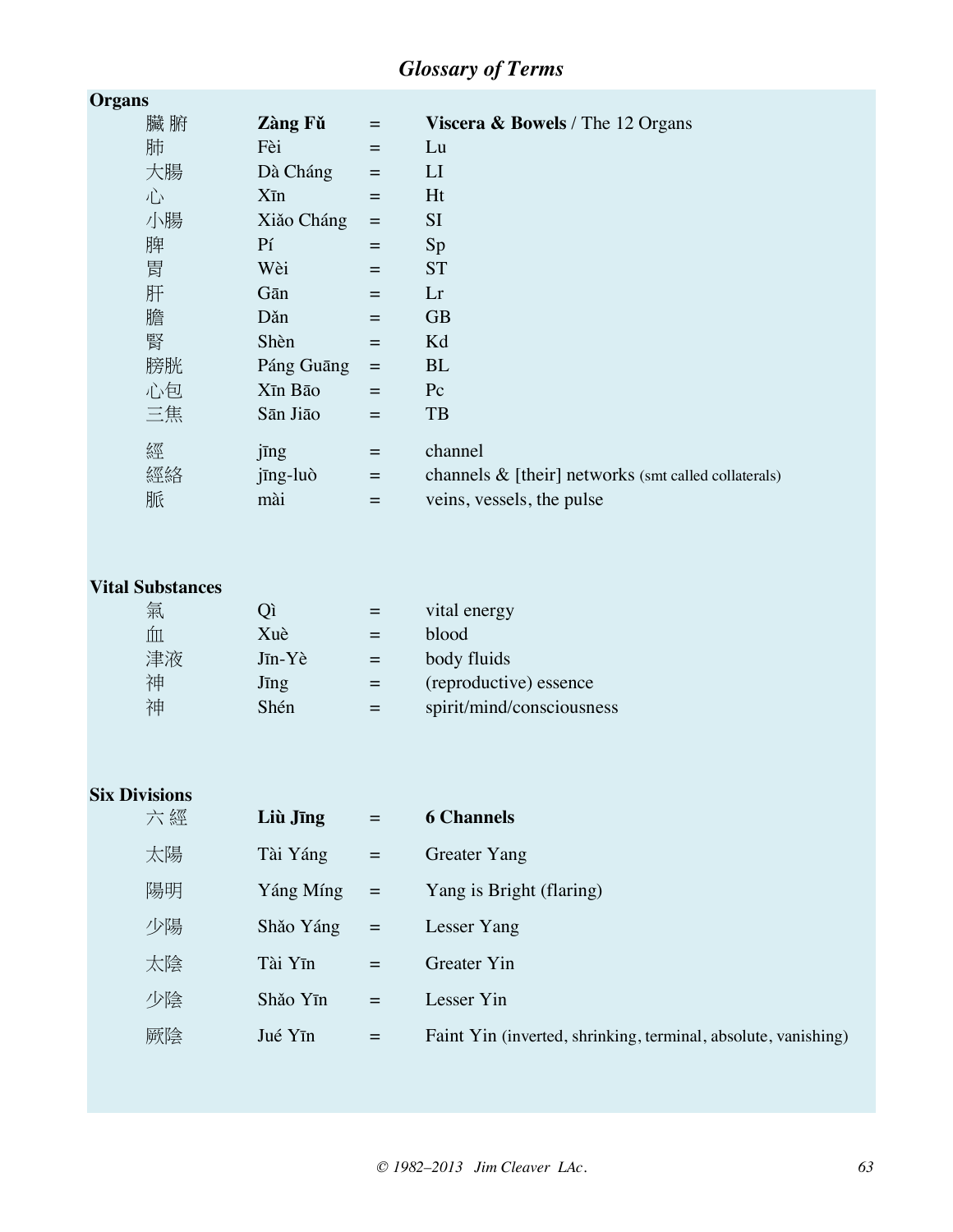## *Glossary of Terms*

| Organs |                   |                   |                                                         |
|--------|-------------------|-------------------|---------------------------------------------------------|
| 臟腑     | Zàng Fǔ           | $\qquad \qquad =$ | <b>Viscera &amp; Bowels</b> / The 12 Organs             |
| 肺      | Fèi               | $=$               | Lu                                                      |
| 大腸     | Dà Cháng          | $\qquad \qquad =$ | LI                                                      |
| 心      | $X\bar{\text{m}}$ | $=$               | Ht                                                      |
| 小腸     | Xiǎo Cháng        | $\quad \  \  =$   | <b>SI</b>                                               |
| 脾      | P <sub>1</sub>    | $=$               | Sp                                                      |
| 胃      | Wèi               | $=$               | <b>ST</b>                                               |
| 肝      | Gān               | $=$               | Lr                                                      |
| 膽      | Dăn               | $=$               | <b>GB</b>                                               |
| 腎      | Shèn              | $=$               | Kd                                                      |
| 膀胱     | Páng Guāng        | $\equiv$          | <b>BL</b>                                               |
| 心包     | Xīn Bāo           | $=$               | $P_{c}$                                                 |
| 三焦     | Sān Jiāo          | $=$               | <b>TB</b>                                               |
| 經      | jīng              | $=$               | channel                                                 |
| 經絡     | jīng-luò          | $=$               | channels $\&$ [their] networks (smt called collaterals) |
| 脈      | mài               | $=$               | veins, vessels, the pulse                               |

### **Vital Substances**

| 氣  |                       |     | vital energy              |
|----|-----------------------|-----|---------------------------|
|    | Xuè                   |     | blood                     |
| 津液 | $J\bar{\text{m}}$ -Yè | $=$ | body fluids               |
| 神  | Jīng                  | $=$ | (reproductive) essence    |
| 袖  | Shén                  | $=$ | spirit/mind/consciousness |

### **Six Divisions**

| 六經 | Liù Jīng             | $=$        | <b>6 Channels</b>                                              |
|----|----------------------|------------|----------------------------------------------------------------|
| 太陽 | Tài Yáng             | $\equiv$   | <b>Greater Yang</b>                                            |
| 陽明 | Yáng Míng            | $\alpha =$ | Yang is Bright (flaring)                                       |
| 少陽 | Shăo Yáng            | $\equiv$   | Lesser Yang                                                    |
| 太陰 | Tài Yīn              | $=$        | Greater Yin                                                    |
| 少陰 | Shăo Y <sub>In</sub> | $=$        | Lesser Yin                                                     |
| 厥陰 | Jué Yīn              | $=$        | Faint Yin (inverted, shrinking, terminal, absolute, vanishing) |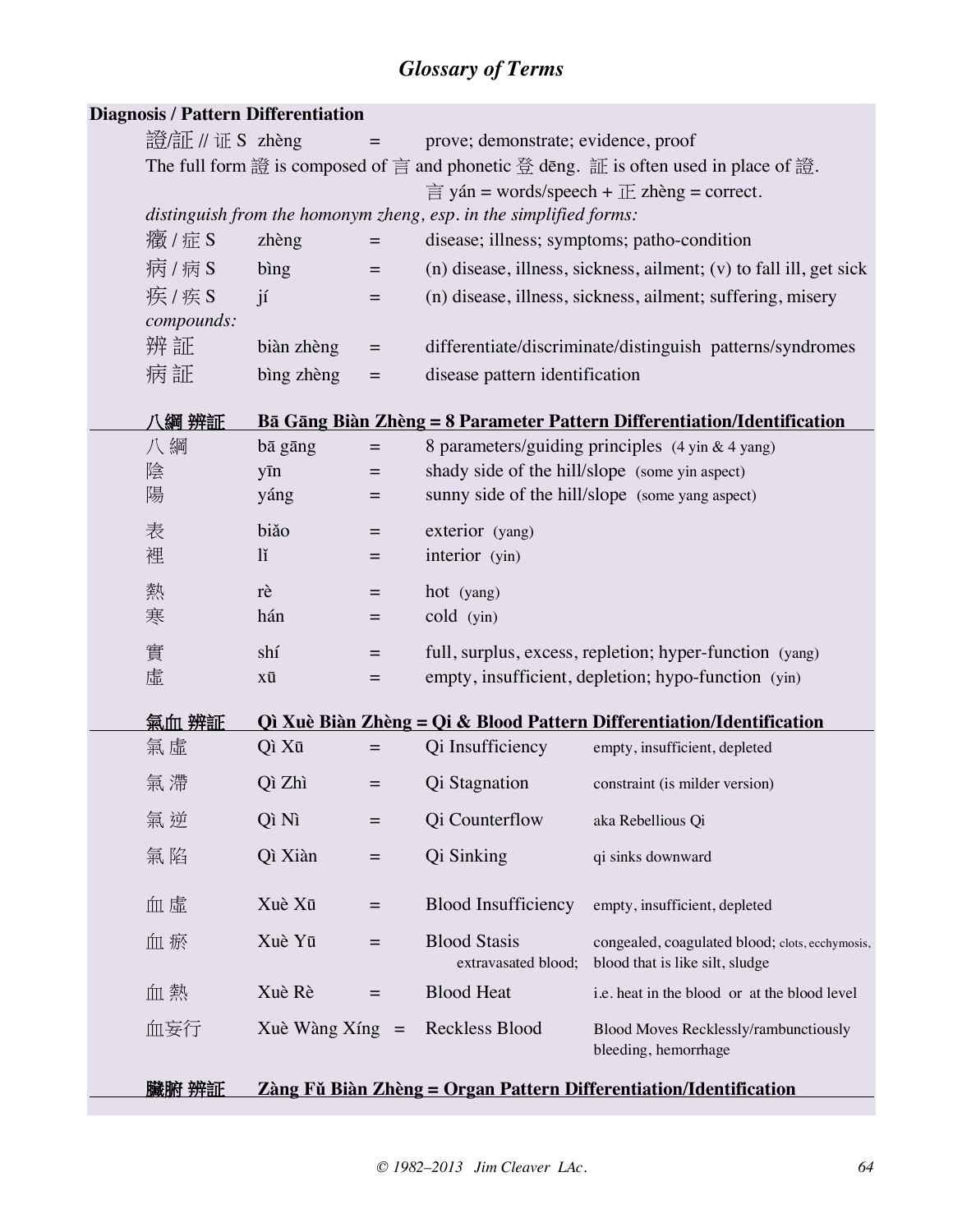## *Glossary of Terms*

| <b>Diagnosis / Pattern Differentiation</b> |                         |                                     |                                                                   |                                                                                      |
|--------------------------------------------|-------------------------|-------------------------------------|-------------------------------------------------------------------|--------------------------------------------------------------------------------------|
| 證/証 // 证 S zhèng                           |                         | $\equiv$                            | prove; demonstrate; evidence, proof                               |                                                                                      |
|                                            |                         |                                     |                                                                   | The full form 證 is composed of 言 and phonetic 登 dēng. 証 is often used in place of 證. |
|                                            |                         |                                     |                                                                   | $\equiv$ yán = words/speech + $\pm$ zhèng = correct.                                 |
|                                            |                         |                                     | distinguish from the homonym zheng, esp. in the simplified forms: |                                                                                      |
| 癥/症S                                       | zhèng                   | $\hspace{1.6cm} = \hspace{1.6cm}$   |                                                                   | disease; illness; symptoms; patho-condition                                          |
| 病/病S                                       | bing                    | $\equiv$                            |                                                                   | (n) disease, illness, sickness, ailment; (v) to fall ill, get sick                   |
| 疾/疾S                                       | $\mathbf{i}$            | $\qquad \qquad =$                   |                                                                   | (n) disease, illness, sickness, ailment; suffering, misery                           |
| compounds:                                 |                         |                                     |                                                                   |                                                                                      |
| 辨証                                         | biàn zhèng              | $\equiv$                            |                                                                   | differentiate/discriminate/distinguish patterns/syndromes                            |
| 病証                                         | bìng zhèng              | $=$                                 | disease pattern identification                                    |                                                                                      |
| 八綱 辨証                                      |                         |                                     |                                                                   | Bā Gāng Biàn Zhèng = 8 Parameter Pattern Differentiation/Identification              |
| 八綱                                         | bā gāng                 | $\quad \  \  =$                     |                                                                   | 8 parameters/guiding principles (4 yin & 4 yang)                                     |
| 陰                                          | yīn                     | $=$                                 | shady side of the hill/slope (some yin aspect)                    |                                                                                      |
| 陽                                          | yáng                    | $=$                                 |                                                                   | sunny side of the hill/slope (some yang aspect)                                      |
| 表                                          | biăo                    | $\qquad \qquad =$                   | exterior (yang)                                                   |                                                                                      |
| 裡                                          | $\overline{\mathbf{u}}$ | $\qquad \qquad =$                   | interior (yin)                                                    |                                                                                      |
| 熱                                          | rè                      | $\qquad \qquad =$                   | hot (yang)                                                        |                                                                                      |
| 寒                                          | hán                     | $=$                                 | cold (yin)                                                        |                                                                                      |
| 實                                          | shí                     | $=$                                 |                                                                   | full, surplus, excess, repletion; hyper-function (yang)                              |
| 虛                                          | хū                      | $=$                                 |                                                                   | empty, insufficient, depletion; hypo-function (yin)                                  |
| 氣血 辨証                                      |                         |                                     |                                                                   | <b>Qì Xuè Biàn Zhèng = Qi &amp; Blood Pattern Differentiation/Identification</b>     |
| 氣虛                                         | Qì Xū                   | $\hspace*{0.4em} = \hspace*{0.4em}$ | Qi Insufficiency                                                  | empty, insufficient, depleted                                                        |
| 氣 滯                                        | Qì Zhì                  | $=$                                 | Qi Stagnation                                                     | constraint (is milder version)                                                       |
| 氣 逆                                        | Qì Nì                   | $=$                                 | Qi Counterflow                                                    | aka Rebellious Qi                                                                    |
| 氣陷                                         | Qì Xiàn                 | $\equiv$                            | Qi Sinking                                                        | qi sinks downward                                                                    |
| 血虛                                         | Xuè Xū                  | $\qquad \qquad =$                   | <b>Blood Insufficiency</b>                                        | empty, insufficient, depleted                                                        |
| 血瘀                                         | Xuè Yū                  | $=$                                 | <b>Blood Stasis</b><br>extravasated blood;                        | congealed, coagulated blood; clots, ecchymosis,<br>blood that is like silt, sludge   |
| 血熱                                         | Xuè Rè                  | $=$                                 | <b>Blood Heat</b>                                                 | i.e. heat in the blood or at the blood level                                         |
| 血妄行                                        | Xuè Wàng Xíng           | $=$                                 | Reckless Blood                                                    | Blood Moves Recklessly/rambunctiously<br>bleeding, hemorrhage                        |
| 臟腑 辨証                                      |                         |                                     |                                                                   | <u> Zàng Fǔ Biàn Zhèng = Organ Pattern Differentiation/Identification</u>            |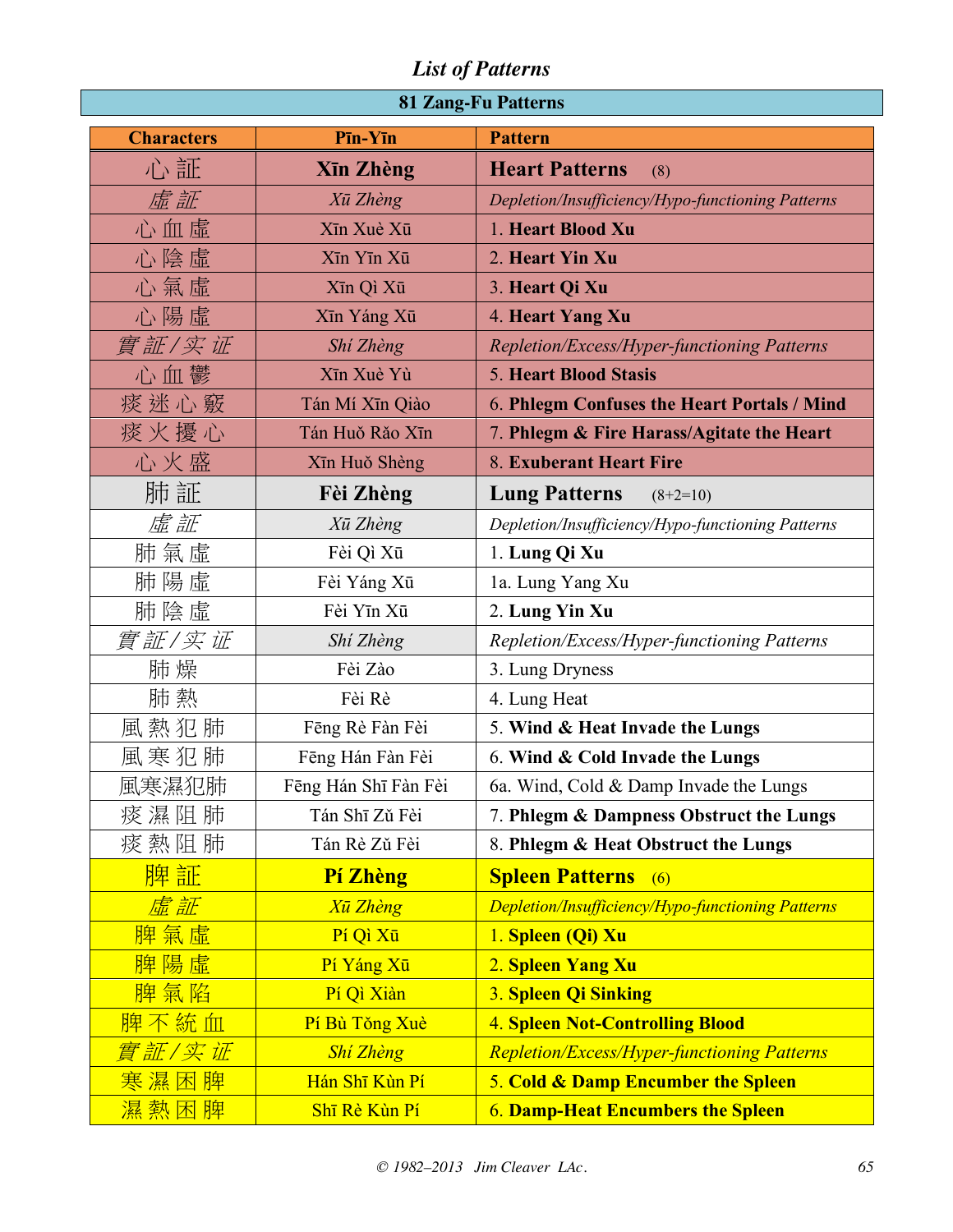|  | <b>81 Zang-Fu Patterns</b> |  |  |  |
|--|----------------------------|--|--|--|
|--|----------------------------|--|--|--|

| <b>Characters</b> | Pīn-Yīn              | <b>Pattern</b>                                           |
|-------------------|----------------------|----------------------------------------------------------|
| 心証                | <b>Xīn Zhèng</b>     | <b>Heart Patterns</b><br>(8)                             |
| 虛証                | Xū Zhèng             | Depletion/Insufficiency/Hypo-functioning Patterns        |
| 心血虛               | Xīn Xuè Xū           | 1. Heart Blood Xu                                        |
| 心陰虛               | Xīn Yīn Xū           | 2. Heart Yin Xu                                          |
| 心氣虛               | Xīn Qì Xū            | 3. Heart Qi Xu                                           |
| 心陽虛               | Xīn Yáng Xū          | 4. Heart Yang Xu                                         |
| 實証/实证             | Shi Zhèng            | Repletion/Excess/Hyper-functioning Patterns              |
| 心血鬱               | Xīn Xuè Yù           | <b>5. Heart Blood Stasis</b>                             |
| 痰 迷 心 竅           | Tán Mí Xīn Qiào      | 6. Phlegm Confuses the Heart Portals / Mind              |
| 痰火擾心              | Tán Huǒ Rǎo Xīn      | 7. Phlegm & Fire Harass/Agitate the Heart                |
| 心火盛               | Xīn Huǒ Shèng        | 8. Exuberant Heart Fire                                  |
| 肺 証               | Fèi Zhèng            | <b>Lung Patterns</b><br>$(8+2=10)$                       |
| 虛証                | Xū Zhèng             | Depletion/Insufficiency/Hypo-functioning Patterns        |
| 肺氣虛               | Fèi Qì Xū            | 1. Lung Qi Xu                                            |
| 肺陽虛               | Fèi Yáng Xū          | 1a. Lung Yang Xu                                         |
| 肺陰虛               | Fèi Yīn Xū           | 2. Lung Yin Xu                                           |
| 實証/实证             | Shí Zhèng            | Repletion/Excess/Hyper-functioning Patterns              |
| 肺 燥               | Fèi Zào              | 3. Lung Dryness                                          |
| 肺 熱               | Fèi Rè               | 4. Lung Heat                                             |
| 風熱犯肺              | Fēng Rè Fàn Fèi      | 5. Wind & Heat Invade the Lungs                          |
| 風寒犯肺              | Fēng Hán Fàn Fèi     | 6. Wind & Cold Invade the Lungs                          |
| 風寒濕犯肺             | Fēng Hán Shī Fàn Fèi | 6a. Wind, Cold & Damp Invade the Lungs                   |
| 痰濕阻肺              | Tán Shī Zǔ Fèi       | 7. Phlegm & Dampness Obstruct the Lungs                  |
| 痰 熱 阻 肺           | Tán Rè Zǔ Fèi        | 8. Phlegm & Heat Obstruct the Lungs                      |
| 脾証                | Pí Zhèng             | <b>Spleen Patterns</b><br>(6)                            |
| 虚証                | <b>Xū Zhèng</b>      | <b>Depletion/Insufficiency/Hypo-functioning Patterns</b> |
| 脾氣虛               | Pí Qì Xū             | 1. Spleen (Qi) Xu                                        |
| 脾陽虛               | Pí Yáng Xū           | 2. Spleen Yang Xu                                        |
| 脾氣陷               | Pí Qì Xiàn           | 3. Spleen Qi Sinking                                     |
| 脾不統血              | Pí Bù Tǒng Xuè       | <b>4. Spleen Not-Controlling Blood</b>                   |
| <u>實証/实证</u>      | <b>Shi Zhèng</b>     | <b>Repletion/Excess/Hyper-functioning Patterns</b>       |
| 寒濕困<br>脾          | Hán Shī Kùn Pí       | 5. Cold & Damp Encumber the Spleen                       |
| 濕熱困脾              | Shī Rè Kùn Pí        | <b>6. Damp-Heat Encumbers the Spleen</b>                 |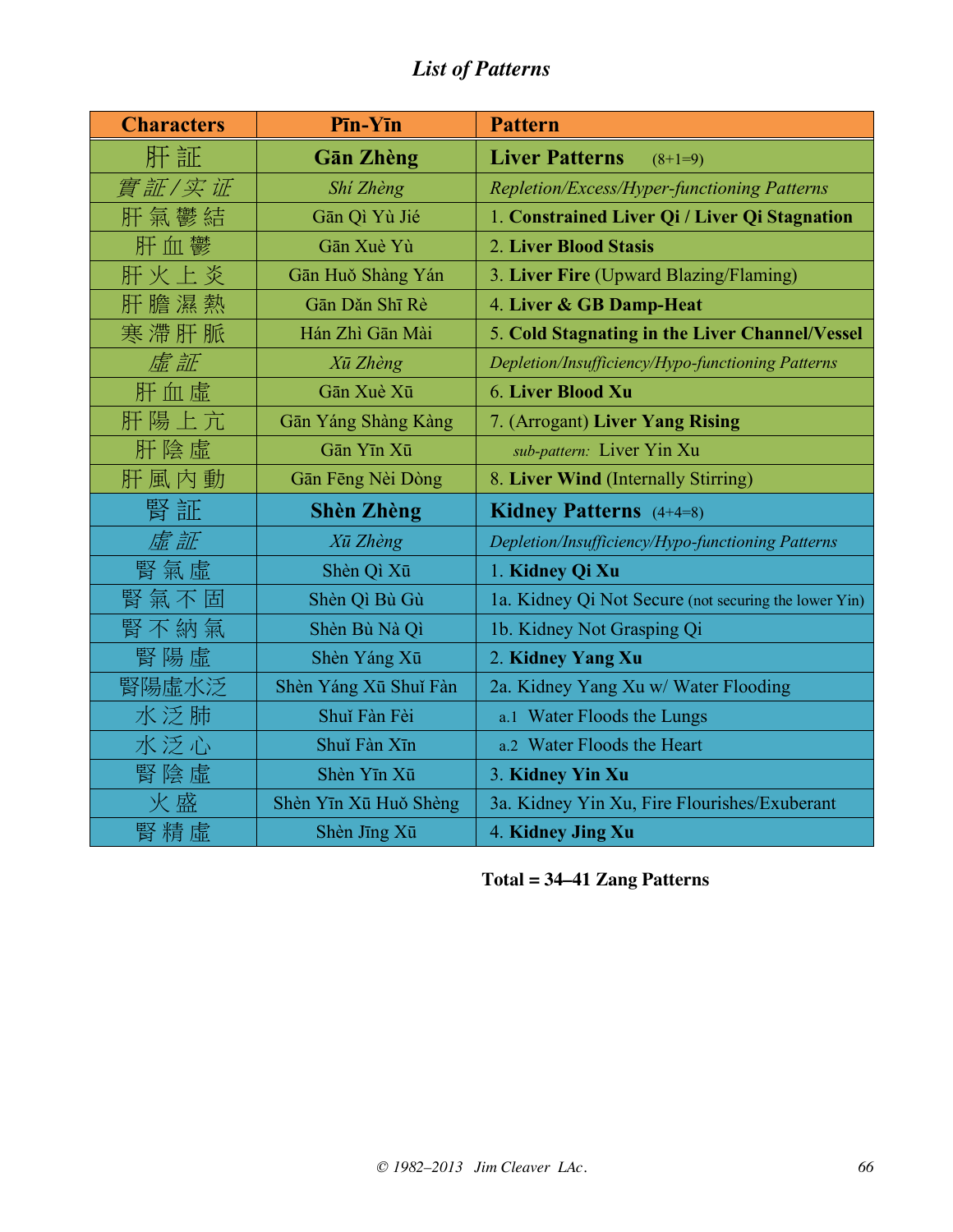| <b>Characters</b> | Pīn-Yīn               | <b>Pattern</b>                                        |
|-------------------|-----------------------|-------------------------------------------------------|
| 肝証                | <b>Gān Zhèng</b>      | <b>Liver Patterns</b><br>$(8+1=9)$                    |
| 實証/实证             | Shí Zhèng             | Repletion/Excess/Hyper-functioning Patterns           |
| 肝氣鬱結              | Gān Qì Yù Jié         | 1. Constrained Liver Qi / Liver Qi Stagnation         |
| 肝血鬱               | Gān Xuè Yù            | 2. Liver Blood Stasis                                 |
| 肝火上炎              | Gān Huǒ Shàng Yán     | 3. Liver Fire (Upward Blazing/Flaming)                |
| 肝膽濕熱              | Gān Dǎn Shī Rè        | 4. Liver & GB Damp-Heat                               |
| 寒滯肝脈              | Hán Zhì Gān Mài       | 5. Cold Stagnating in the Liver Channel/Vessel        |
| 虛証                | Xū Zhèng              | Depletion/Insufficiency/Hypo-functioning Patterns     |
| 肝血虛               | Gān Xuè Xū            | 6. Liver Blood Xu                                     |
| 肝陽上亢              | Gān Yáng Shàng Kàng   | 7. (Arrogant) Liver Yang Rising                       |
| 肝陰虛               | Gān Yīn Xū            | sub-pattern: Liver Yin Xu                             |
| 肝風内動              | Gān Fēng Nèi Dòng     | 8. Liver Wind (Internally Stirring)                   |
| 腎証                | <b>Shèn Zhèng</b>     | <b>Kidney Patterns</b> (4+4=8)                        |
| 虛証                | Xū Zhèng              | Depletion/Insufficiency/Hypo-functioning Patterns     |
| 腎氣虛               | Shèn Qì Xū            | 1. Kidney Qi Xu                                       |
| 腎氣不固              | Shèn Qì Bù Gù         | 1a. Kidney Qi Not Secure (not securing the lower Yin) |
| 腎不納氣              | Shèn Bù Nà Qì         | 1b. Kidney Not Grasping Qi                            |
| 腎陽虛               | Shèn Yáng Xū          | 2. Kidney Yang Xu                                     |
| 腎陽虛水泛             | Shèn Yáng Xū Shuǐ Fàn | 2a. Kidney Yang Xu w/ Water Flooding                  |
| 水泛肺               | Shuǐ Fàn Fèi          | a.1 Water Floods the Lungs                            |
| 水泛心               | Shuǐ Fàn Xīn          | a.2 Water Floods the Heart                            |
| 腎陰虛               | Shèn Yīn Xū           | 3. Kidney Yin Xu                                      |
| 火盛                | Shèn Yīn Xū Huǒ Shèng | 3a. Kidney Yin Xu, Fire Flourishes/Exuberant          |
| 腎精虛               | Shèn Jīng Xū          | 4. Kidney Jing Xu                                     |

**Total = 34–41 Zang Patterns**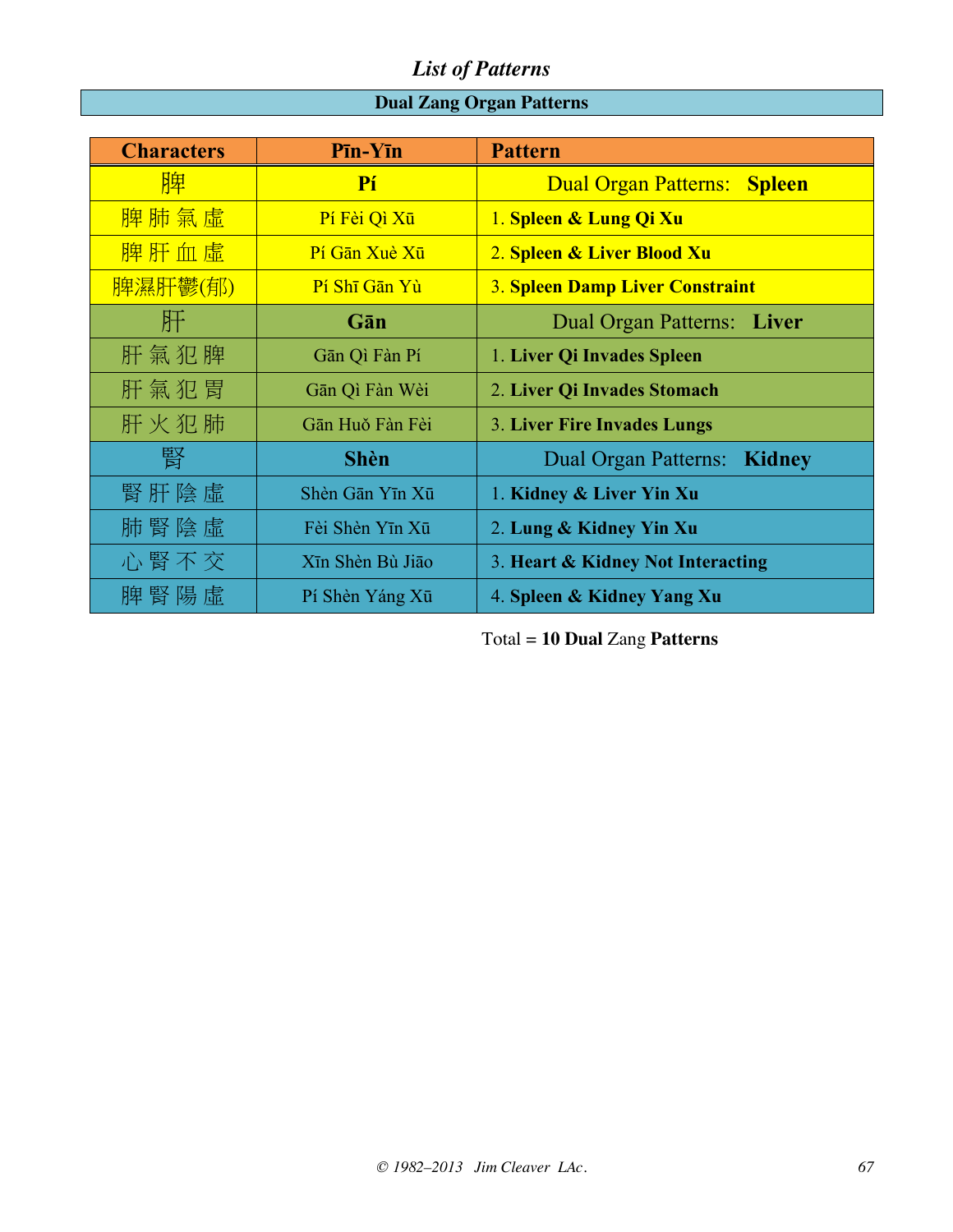## **Dual Zang Organ Patterns**

| <b>Characters</b> | $P\bar{\mathbf{m}}$ - $Y\bar{\mathbf{m}}$ | <b>Pattern</b>                         |
|-------------------|-------------------------------------------|----------------------------------------|
| 脾                 | Pí                                        | Dual Organ Patterns: Spleen            |
| 脾肺氣虛              | Pí Fèi Qì Xū                              | 1. Spleen & Lung Qi Xu                 |
| 脾肝血虛              | Pí Gān Xuè Xū                             | 2. Spleen & Liver Blood Xu             |
| 脾濕肝鬱(郁)           | Pí Shī Gān Yù                             | <b>3. Spleen Damp Liver Constraint</b> |
| 肝                 | Gān                                       | Dual Organ Patterns: Liver             |
| 肝氣犯脾              | Gān Qì Fàn Pí                             | 1. Liver Qi Invades Spleen             |
| 肝氣犯胃              | Gān Qì Fàn Wèi                            | 2. Liver Qi Invades Stomach            |
| 肝火犯肺              | Gān Huǒ Fàn Fèi                           | <b>3. Liver Fire Invades Lungs</b>     |
| 腎                 | <b>Shèn</b>                               | Dual Organ Patterns: Kidney            |
| 腎肝陰虛              | Shèn Gān Yīn Xū                           | 1. Kidney & Liver Yin Xu               |
| 肺腎陰虛              | Fèi Shèn Yīn Xū                           | 2. Lung & Kidney Yin Xu                |
| 心腎不交              | Xīn Shèn Bù Jiāo                          | 3. Heart & Kidney Not Interacting      |
| 脾 腎 陽 虛           | Pí Shèn Yáng Xū                           | 4. Spleen & Kidney Yang Xu             |

Total = **10 Dual** Zang **Patterns**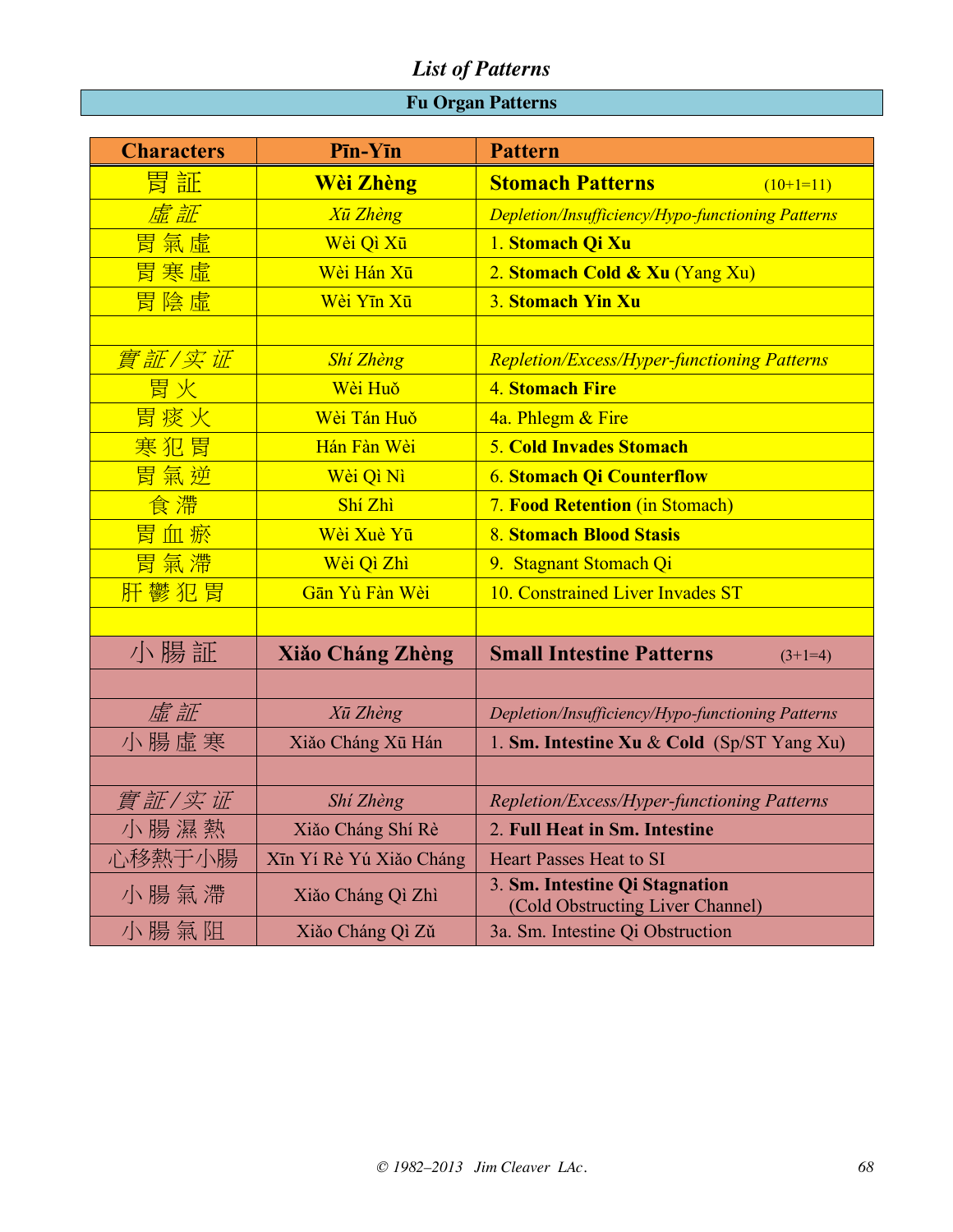### **Fu Organ Patterns**

| <b>Characters</b> | Pīn-Yīn                 | <b>Pattern</b>                                                     |
|-------------------|-------------------------|--------------------------------------------------------------------|
| 胃証                | <b>Wèi Zhèng</b>        | <b>Stomach Patterns</b><br>$(10+1=11)$                             |
| 虚証                | <b>Xū Zhèng</b>         | <b>Depletion/Insufficiency/Hypo-functioning Patterns</b>           |
| 胃氣虛               | Wèi Qì Xū               | 1. Stomach Qi Xu                                                   |
| 胃寒虛               | Wèi Hán Xū              | 2. Stomach Cold & Xu (Yang Xu)                                     |
| 胃陰虛               | Wèi Yīn Xū              | 3. Stomach Yin Xu                                                  |
|                   |                         |                                                                    |
| <u>實証/实证</u>      | Shí Zhèng               | <b>Repletion/Excess/Hyper-functioning Patterns</b>                 |
| 胃火                | Wèi Huŏ                 | <b>4. Stomach Fire</b>                                             |
| 胃痰火               | Wèi Tán Huǒ             | 4a. Phlegm & Fire                                                  |
| 寒犯胃               | Hán Fàn Wèi             | <b>5. Cold Invades Stomach</b>                                     |
| 胃氣逆               | Wèi Qì Nì               | <b>6. Stomach Qi Counterflow</b>                                   |
| 食滯                | Shí Zhì                 | <b>7. Food Retention (in Stomach)</b>                              |
| 胃血瘀               | Wèi Xuè Yū              | 8. Stomach Blood Stasis                                            |
| 胃氣滯               | Wèi Qì Zhì              | 9. Stagnant Stomach Qi                                             |
| 肝鬱犯胃              | Gān Yù Fàn Wèi          | 10. Constrained Liver Invades ST                                   |
|                   |                         |                                                                    |
| 小腸証               | <b>Xiăo Cháng Zhèng</b> | <b>Small Intestine Patterns</b><br>$(3+1=4)$                       |
|                   |                         |                                                                    |
| 虚証                | Xū Zhèng                | Depletion/Insufficiency/Hypo-functioning Patterns                  |
| 小腸虛寒              | Xiăo Cháng Xū Hán       | 1. Sm. Intestine Xu & Cold (Sp/ST Yang Xu)                         |
|                   |                         |                                                                    |
| 實証/实证             | Shí Zhèng               | Repletion/Excess/Hyper-functioning Patterns                        |
| 小腸濕熱              | Xiăo Cháng Shí Rè       | 2. Full Heat in Sm. Intestine                                      |
| 心移熱于小腸            | Xīn Yí Rè Yú Xiǎo Cháng | <b>Heart Passes Heat to SI</b>                                     |
| 小腸氣滯              | Xiăo Cháng Qì Zhì       | 3. Sm. Intestine Qi Stagnation<br>(Cold Obstructing Liver Channel) |
| 小腸氣阻              | Xiăo Cháng Qì Zǔ        | 3a. Sm. Intestine Qi Obstruction                                   |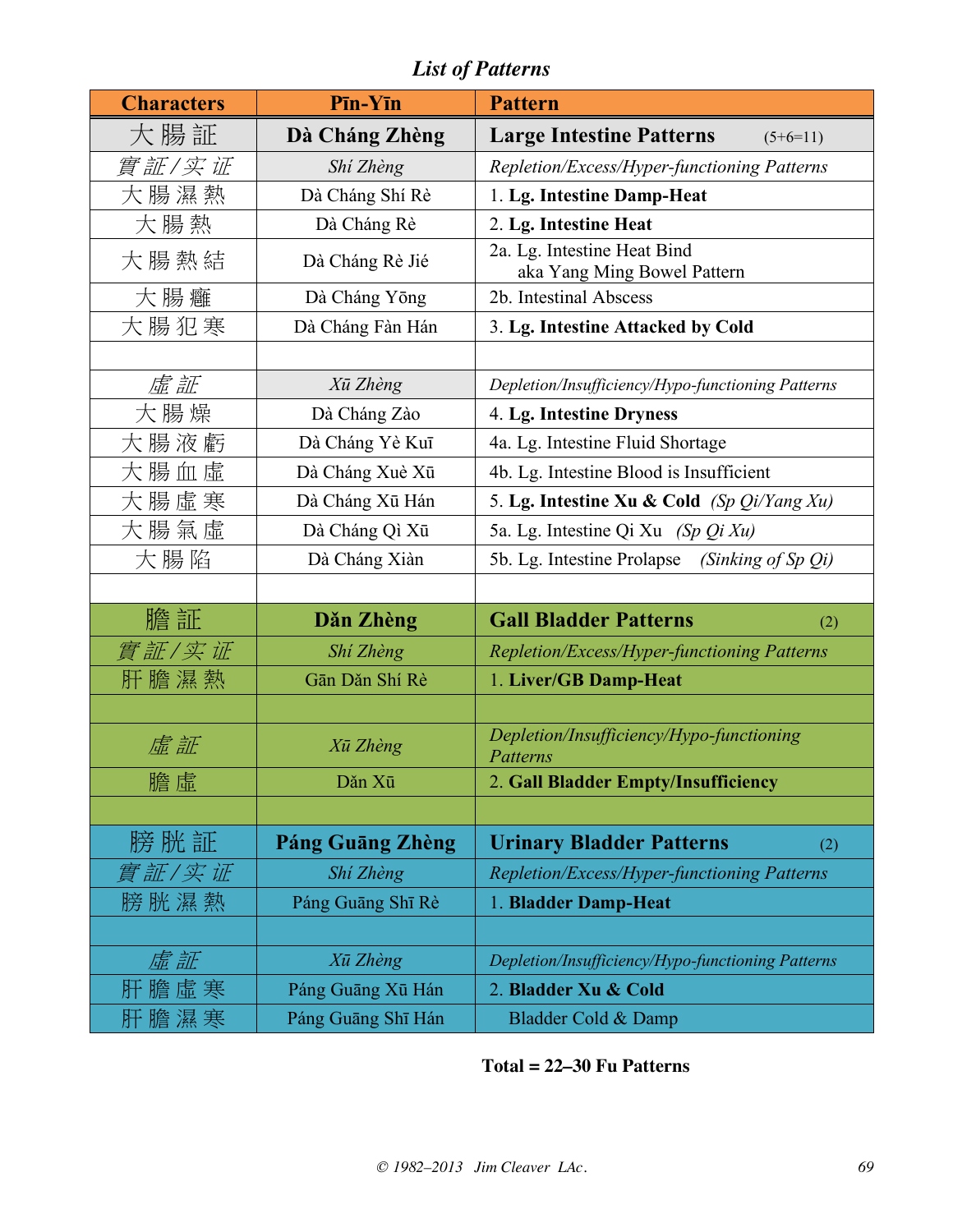| <b>Characters</b> | Pīn-Yīn                 | <b>Pattern</b>                                             |
|-------------------|-------------------------|------------------------------------------------------------|
| 大腸証               | Dà Cháng Zhèng          | <b>Large Intestine Patterns</b><br>$(5+6=11)$              |
| 實証/实证             | Shí Zhèng               | Repletion/Excess/Hyper-functioning Patterns                |
| 大腸濕熱              | Dà Cháng Shí Rè         | 1. Lg. Intestine Damp-Heat                                 |
| 大腸熱               | Dà Cháng Rè             | 2. Lg. Intestine Heat                                      |
| 大腸熱結              | Dà Cháng Rè Jié         | 2a. Lg. Intestine Heat Bind<br>aka Yang Ming Bowel Pattern |
| 大腸癰               | Dà Cháng Yōng           | 2b. Intestinal Abscess                                     |
| 大腸犯寒              | Dà Cháng Fàn Hán        | 3. Lg. Intestine Attacked by Cold                          |
|                   |                         |                                                            |
| 虛証                | Xū Zhèng                | Depletion/Insufficiency/Hypo-functioning Patterns          |
| 大腸燥               | Dà Cháng Zào            | 4. Lg. Intestine Dryness                                   |
| 大腸液虧              | Dà Cháng Yè Kuī         | 4a. Lg. Intestine Fluid Shortage                           |
| 大腸血虛              | Dà Cháng Xuè Xū         | 4b. Lg. Intestine Blood is Insufficient                    |
| 大腸虛寒              | Dà Cháng Xū Hán         | 5. Lg. Intestine Xu & Cold (Sp Qi/Yang Xu)                 |
| 大腸氣虛              | Dà Cháng Qì Xū          | 5a. Lg. Intestine Qi Xu (Sp Qi Xu)                         |
| 大腸陷               | Dà Cháng Xiàn           | 5b. Lg. Intestine Prolapse<br>(Sinking of Sp Qi)           |
|                   |                         |                                                            |
| 膽証                | Dăn Zhèng               | <b>Gall Bladder Patterns</b><br>(2)                        |
| 實証/实证             | Shi Zhèng               | Repletion/Excess/Hyper-functioning Patterns                |
| 肝 膽 濕 熱           | Gān Dăn Shí Rè          | 1. Liver/GB Damp-Heat                                      |
|                   |                         |                                                            |
| 虚証                | Xū Zhèng                | Depletion/Insufficiency/Hypo-functioning<br>Patterns       |
| 膽虛                | Dăn Xū                  | 2. Gall Bladder Empty/Insufficiency                        |
|                   |                         |                                                            |
| 膀 胱 証             | <b>Páng Guāng Zhèng</b> | <b>Urinary Bladder Patterns</b><br>(2)                     |
| 實証/实证             | Shi Zhèng               | Repletion/Excess/Hyper-functioning Patterns                |
| 膀胱濕熱              | Páng Guāng Shī Rè       | 1. Bladder Damp-Heat                                       |
|                   |                         |                                                            |
| 虚証                | Xū Zhèng                | Depletion/Insufficiency/Hypo-functioning Patterns          |
| 肝 膽 虛 寒           | Páng Guāng Xū Hán       | 2. Bladder Xu & Cold                                       |
| 肝膽濕寒              | Páng Guāng Shī Hán      | Bladder Cold & Damp                                        |

## **Total = 22–30 Fu Patterns**